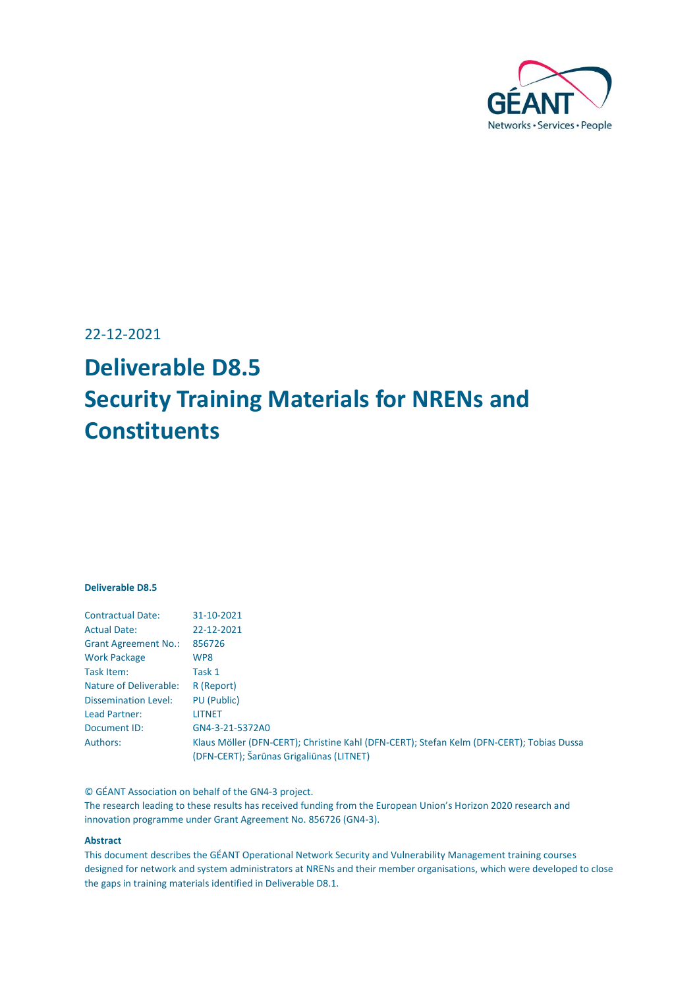

22-12-2021

# **Deliverable D8.5 Security Training Materials for NRENs and Constituents**

#### **Deliverable D8.5**

| <b>Contractual Date:</b>    | 31-10-2021                                                                               |
|-----------------------------|------------------------------------------------------------------------------------------|
| <b>Actual Date:</b>         | 22-12-2021                                                                               |
| <b>Grant Agreement No.:</b> | 856726                                                                                   |
| <b>Work Package</b>         | WP8                                                                                      |
| Task Item:                  | Task 1                                                                                   |
| Nature of Deliverable:      | R (Report)                                                                               |
| <b>Dissemination Level:</b> | PU (Public)                                                                              |
| Lead Partner:               | LITNET                                                                                   |
| Document ID:                | GN4-3-21-5372A0                                                                          |
| Authors:                    | Klaus Möller (DFN-CERT); Christine Kahl (DFN-CERT); Stefan Kelm (DFN-CERT); Tobias Dussa |
|                             | (DFN-CERT); Šarūnas Grigaliūnas (LITNET)                                                 |

© GÉANT Association on behalf of the GN4-3 project.

The research leading to these results has received funding from the European Union's Horizon 2020 research and innovation programme under Grant Agreement No. 856726 (GN4-3).

#### **Abstract**

This document describes the GÉANT Operational Network Security and Vulnerability Management training courses designed for network and system administrators at NRENs and their member organisations, which were developed to close the gaps in training materials identified in Deliverable D8.1.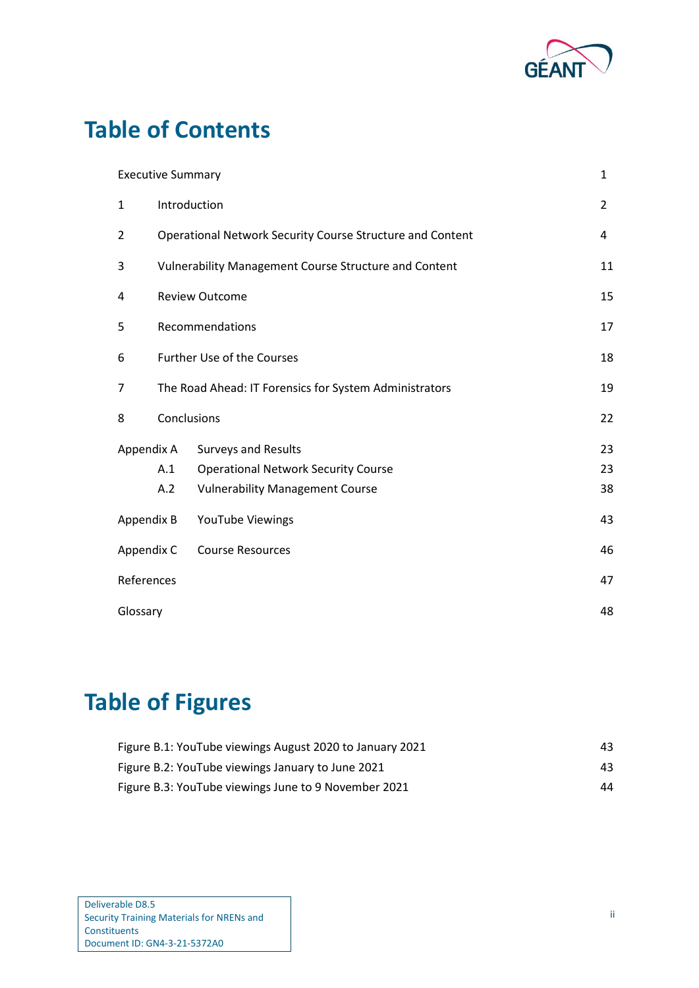

# **Table of Contents**

|              | <b>Executive Summary</b>                                     |                                            | 1              |
|--------------|--------------------------------------------------------------|--------------------------------------------|----------------|
| $\mathbf{1}$ | Introduction                                                 |                                            | $\overline{2}$ |
| 2            | Operational Network Security Course Structure and Content    |                                            | 4              |
| 3            | <b>Vulnerability Management Course Structure and Content</b> |                                            | 11             |
| 4            | <b>Review Outcome</b>                                        |                                            | 15             |
| 5            | Recommendations                                              |                                            | 17             |
| 6            | <b>Further Use of the Courses</b>                            |                                            | 18             |
| 7            | The Road Ahead: IT Forensics for System Administrators       |                                            | 19             |
| 8            | Conclusions                                                  |                                            | 22             |
| Appendix A   |                                                              | <b>Surveys and Results</b>                 | 23             |
|              | A.1                                                          | <b>Operational Network Security Course</b> | 23             |
|              | A.2                                                          | <b>Vulnerability Management Course</b>     | 38             |
| Appendix B   |                                                              | YouTube Viewings                           | 43             |
| Appendix C   |                                                              | <b>Course Resources</b>                    | 46             |
| References   |                                                              |                                            | 47             |
| Glossary     |                                                              |                                            | 48             |

# **Table of Figures**

| Figure B.1: YouTube viewings August 2020 to January 2021 | 43. |
|----------------------------------------------------------|-----|
| Figure B.2: YouTube viewings January to June 2021        | 43. |
| Figure B.3: YouTube viewings June to 9 November 2021     | 44  |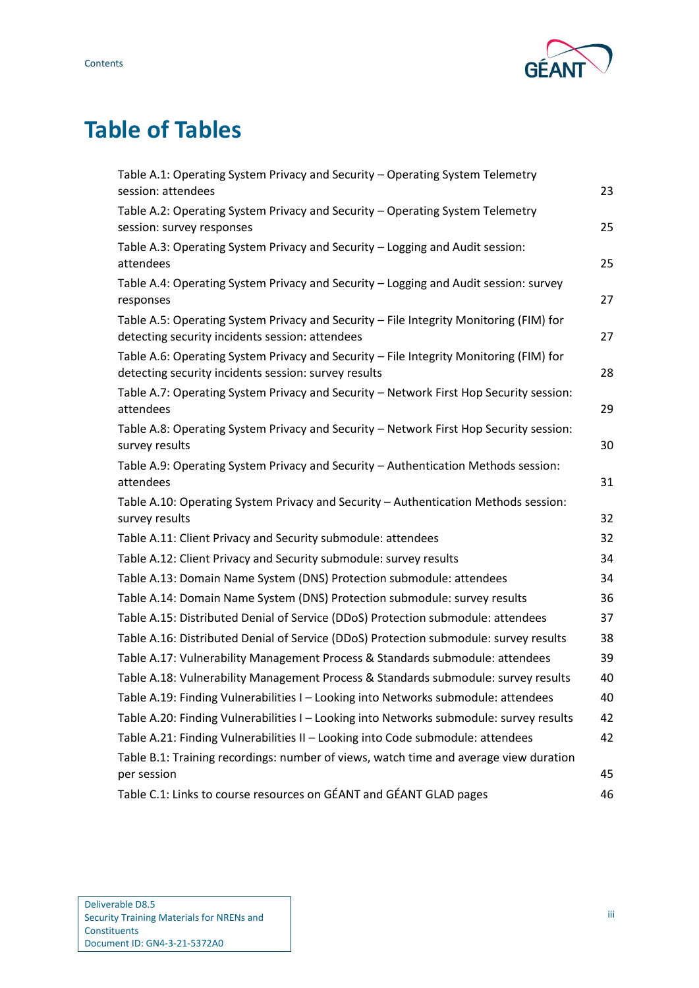

# **Table of Tables**

| Table A.1: Operating System Privacy and Security - Operating System Telemetry<br>session: attendees                                            | 23 |
|------------------------------------------------------------------------------------------------------------------------------------------------|----|
| Table A.2: Operating System Privacy and Security - Operating System Telemetry<br>session: survey responses                                     | 25 |
| Table A.3: Operating System Privacy and Security - Logging and Audit session:<br>attendees                                                     | 25 |
| Table A.4: Operating System Privacy and Security - Logging and Audit session: survey<br>responses                                              | 27 |
| Table A.5: Operating System Privacy and Security - File Integrity Monitoring (FIM) for<br>detecting security incidents session: attendees      | 27 |
| Table A.6: Operating System Privacy and Security - File Integrity Monitoring (FIM) for<br>detecting security incidents session: survey results | 28 |
| Table A.7: Operating System Privacy and Security - Network First Hop Security session:<br>attendees                                            | 29 |
| Table A.8: Operating System Privacy and Security - Network First Hop Security session:<br>survey results                                       | 30 |
| Table A.9: Operating System Privacy and Security - Authentication Methods session:<br>attendees                                                | 31 |
| Table A.10: Operating System Privacy and Security - Authentication Methods session:<br>survey results                                          | 32 |
| Table A.11: Client Privacy and Security submodule: attendees                                                                                   | 32 |
| Table A.12: Client Privacy and Security submodule: survey results                                                                              | 34 |
| Table A.13: Domain Name System (DNS) Protection submodule: attendees                                                                           | 34 |
| Table A.14: Domain Name System (DNS) Protection submodule: survey results                                                                      | 36 |
| Table A.15: Distributed Denial of Service (DDoS) Protection submodule: attendees                                                               | 37 |
| Table A.16: Distributed Denial of Service (DDoS) Protection submodule: survey results                                                          | 38 |
| Table A.17: Vulnerability Management Process & Standards submodule: attendees                                                                  | 39 |
| Table A.18: Vulnerability Management Process & Standards submodule: survey results                                                             | 40 |
| Table A.19: Finding Vulnerabilities I - Looking into Networks submodule: attendees                                                             | 40 |
| Table A.20: Finding Vulnerabilities I - Looking into Networks submodule: survey results                                                        | 42 |
| Table A.21: Finding Vulnerabilities II - Looking into Code submodule: attendees                                                                | 42 |
| Table B.1: Training recordings: number of views, watch time and average view duration                                                          |    |
| per session                                                                                                                                    | 45 |
| Table C.1: Links to course resources on GÉANT and GÉANT GLAD pages                                                                             | 46 |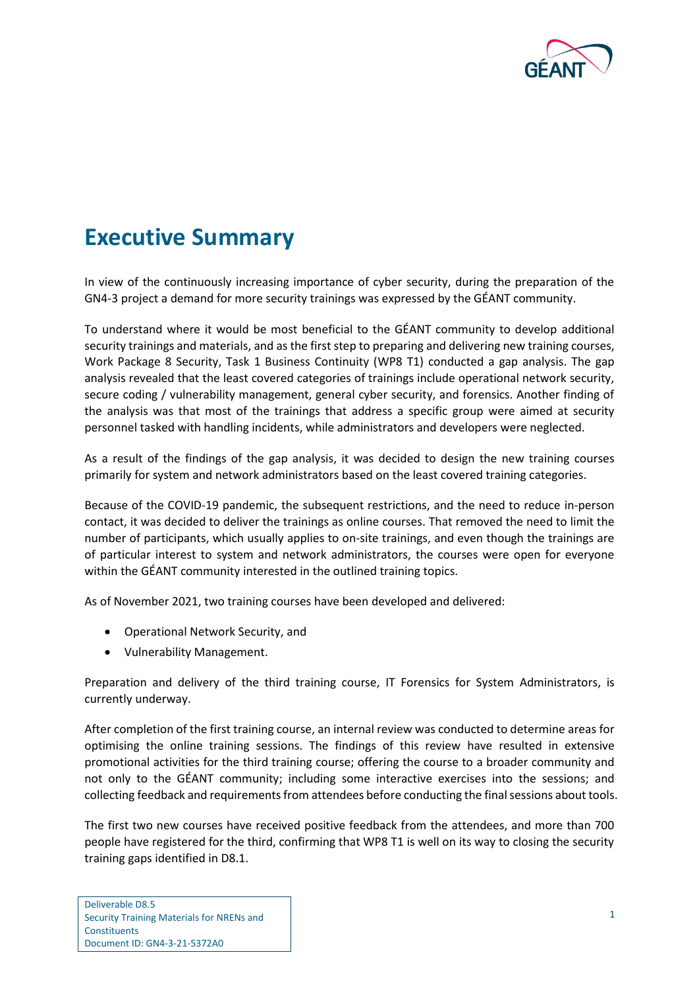

## <span id="page-3-0"></span>**Executive Summary**

In view of the continuously increasing importance of cyber security, during the preparation of the GN4-3 project a demand for more security trainings was expressed by the GÉANT community.

To understand where it would be most beneficial to the GÉANT community to develop additional security trainings and materials, and as the first step to preparing and delivering new training courses, Work Package 8 Security, Task 1 Business Continuity (WP8 T1) conducted a gap analysis. The gap analysis revealed that the least covered categories of trainings include operational network security, secure coding / vulnerability management, general cyber security, and forensics. Another finding of the analysis was that most of the trainings that address a specific group were aimed at security personnel tasked with handling incidents, while administrators and developers were neglected.

As a result of the findings of the gap analysis, it was decided to design the new training courses primarily for system and network administrators based on the least covered training categories.

Because of the COVID-19 pandemic, the subsequent restrictions, and the need to reduce in-person contact, it was decided to deliver the trainings as online courses. That removed the need to limit the number of participants, which usually applies to on-site trainings, and even though the trainings are of particular interest to system and network administrators, the courses were open for everyone within the GÉANT community interested in the outlined training topics.

As of November 2021, two training courses have been developed and delivered:

- Operational Network Security, and
- Vulnerability Management.

Preparation and delivery of the third training course, IT Forensics for System Administrators, is currently underway.

After completion of the first training course, an internal review was conducted to determine areas for optimising the online training sessions. The findings of this review have resulted in extensive promotional activities for the third training course; offering the course to a broader community and not only to the GÉANT community; including some interactive exercises into the sessions; and collecting feedback and requirements from attendees before conducting the final sessions about tools.

The first two new courses have received positive feedback from the attendees, and more than 700 people have registered for the third, confirming that WP8 T1 is well on its way to closing the security training gaps identified in D8.1.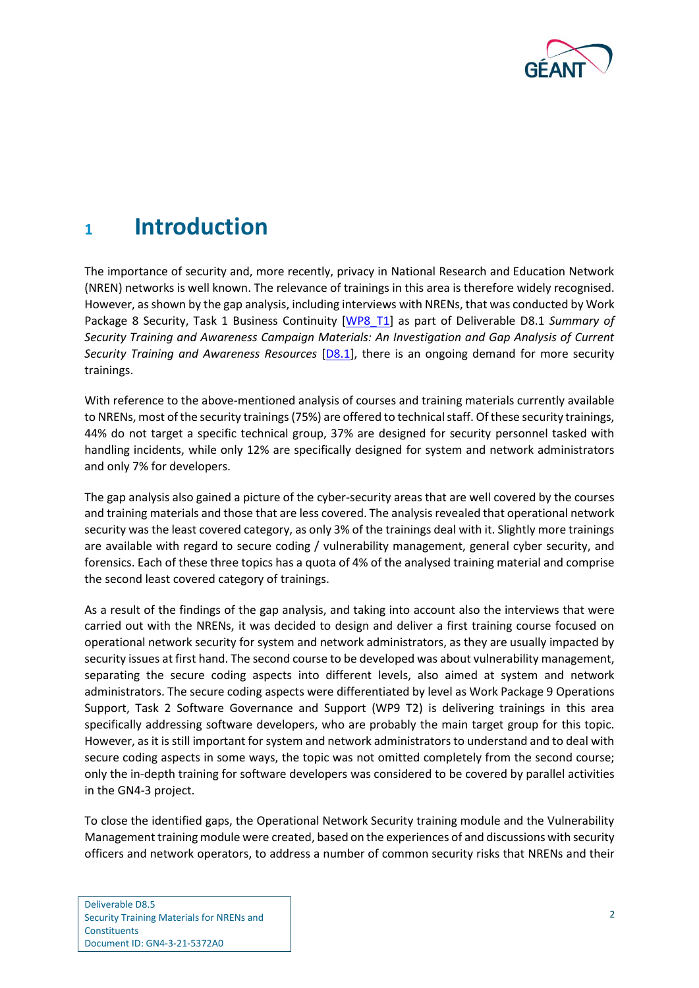

## <span id="page-4-0"></span>**<sup>1</sup> Introduction**

The importance of security and, more recently, privacy in National Research and Education Network (NREN) networks is well known. The relevance of trainings in this area is therefore widely recognised. However, as shown by the gap analysis, including interviews with NRENs, that was conducted by Work Package 8 Security, Task 1 Business Continuity [\[WP8\\_T1\]](#page-49-1) as part of Deliverable D8.1 *Summary of Security Training and Awareness Campaign Materials: An Investigation and Gap Analysis of Current Security Training and Awareness Resources* [\[D8.1\]](#page-49-2), there is an ongoing demand for more security trainings.

With reference to the above-mentioned analysis of courses and training materials currently available to NRENs, most of the security trainings (75%) are offered to technical staff. Of these security trainings, 44% do not target a specific technical group, 37% are designed for security personnel tasked with handling incidents, while only 12% are specifically designed for system and network administrators and only 7% for developers.

The gap analysis also gained a picture of the cyber-security areas that are well covered by the courses and training materials and those that are less covered. The analysis revealed that operational network security was the least covered category, as only 3% of the trainings deal with it. Slightly more trainings are available with regard to secure coding / vulnerability management, general cyber security, and forensics. Each of these three topics has a quota of 4% of the analysed training material and comprise the second least covered category of trainings.

As a result of the findings of the gap analysis, and taking into account also the interviews that were carried out with the NRENs, it was decided to design and deliver a first training course focused on operational network security for system and network administrators, as they are usually impacted by security issues at first hand. The second course to be developed was about vulnerability management, separating the secure coding aspects into different levels, also aimed at system and network administrators. The secure coding aspects were differentiated by level as Work Package 9 Operations Support, Task 2 Software Governance and Support (WP9 T2) is delivering trainings in this area specifically addressing software developers, who are probably the main target group for this topic. However, as it is still important for system and network administrators to understand and to deal with secure coding aspects in some ways, the topic was not omitted completely from the second course; only the in-depth training for software developers was considered to be covered by parallel activities in the GN4-3 project.

To close the identified gaps, the Operational Network Security training module and the Vulnerability Management training module were created, based on the experiences of and discussions with security officers and network operators, to address a number of common security risks that NRENs and their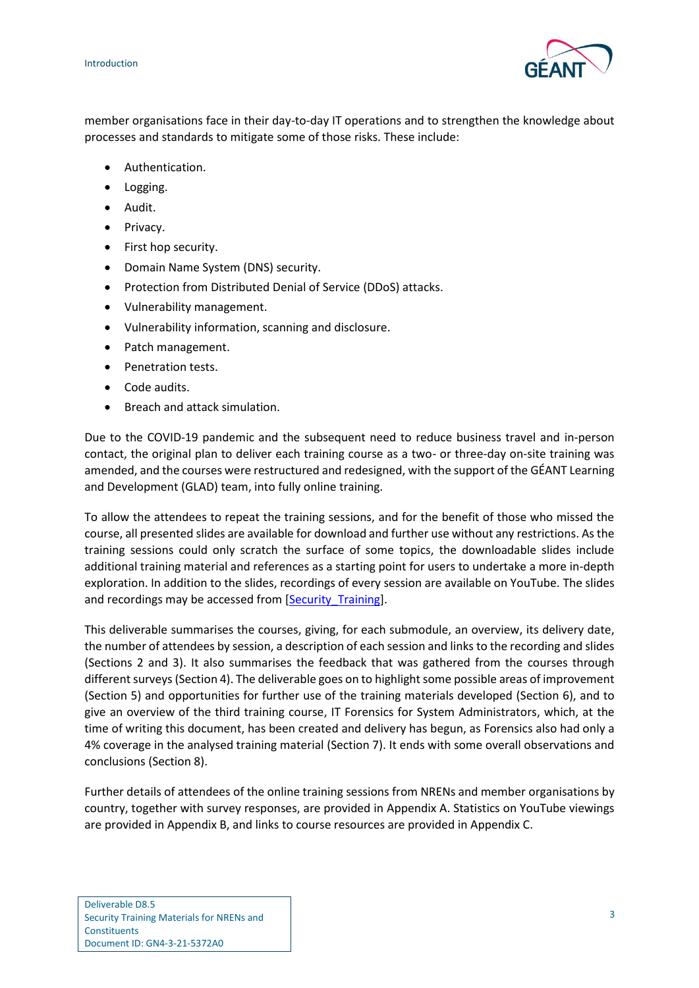

member organisations face in their day-to-day IT operations and to strengthen the knowledge about processes and standards to mitigate some of those risks. These include:

- Authentication.
- Logging.
- Audit.
- Privacy.
- First hop security.
- Domain Name System (DNS) security.
- Protection from Distributed Denial of Service (DDoS) attacks.
- Vulnerability management.
- Vulnerability information, scanning and disclosure.
- Patch management.
- Penetration tests.
- Code audits.
- Breach and attack simulation.

Due to the COVID-19 pandemic and the subsequent need to reduce business travel and in-person contact, the original plan to deliver each training course as a two- or three-day on-site training was amended, and the courses were restructured and redesigned, with the support of the GÉANT Learning and Development (GLAD) team, into fully online training.

To allow the attendees to repeat the training sessions, and for the benefit of those who missed the course, all presented slides are available for download and further use without any restrictions. As the training sessions could only scratch the surface of some topics, the downloadable slides include additional training material and references as a starting point for users to undertake a more in-depth exploration. In addition to the slides, recordings of every session are available on YouTube. The slides and recordings may be accessed from [\[Security\\_Training\]](#page-49-3).

This deliverable summarises the courses, giving, for each submodule, an overview, its delivery date, the number of attendees by session, a description of each session and links to the recording and slides (Sections [2](#page-6-0) and [3\)](#page-13-0). It also summarises the feedback that was gathered from the courses through different surveys(Sectio[n 4\)](#page-17-0). The deliverable goes on to highlight some possible areas of improvement (Section [5\)](#page-19-0) and opportunities for further use of the training materials developed (Section [6\)](#page-20-0), and to give an overview of the third training course, IT Forensics for System Administrators, which, at the time of writing this document, has been created and delivery has begun, as Forensics also had only a 4% coverage in the analysed training material (Section [7\)](#page-21-0). It ends with some overall observations and conclusions (Section [8\)](#page-24-0).

Further details of attendees of the online training sessions from NRENs and member organisations by country, together with survey responses, are provided in [Appendix A.](#page-25-0) Statistics on YouTube viewings are provided in [Appendix B,](#page-45-0) and links to course resources are provided i[n Appendix C.](#page-48-0)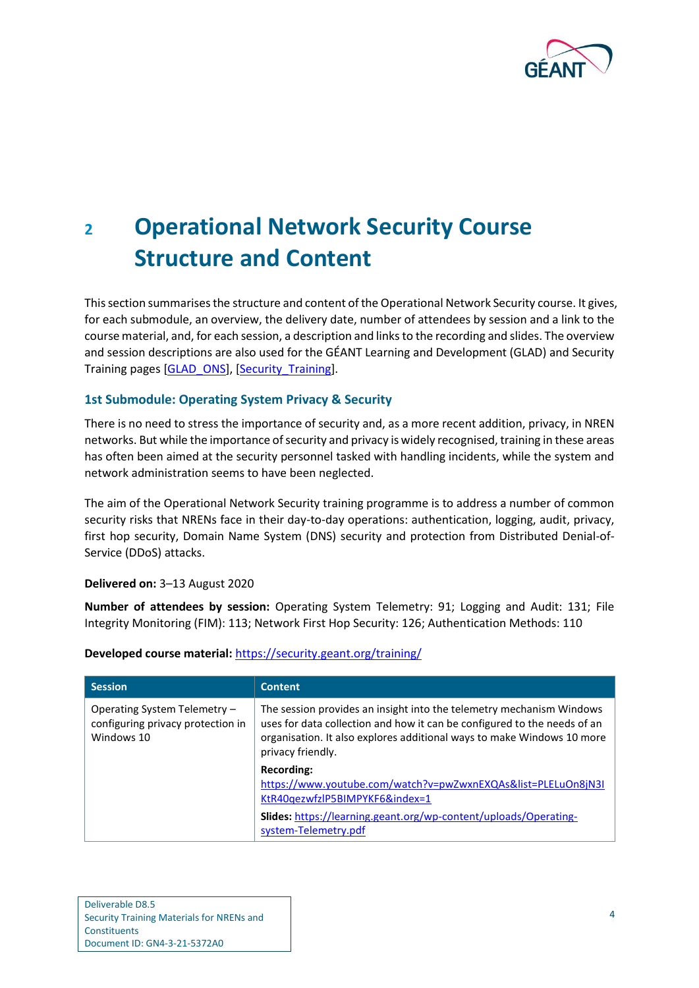

# <span id="page-6-0"></span>**<sup>2</sup> Operational Network Security Course Structure and Content**

This section summarises the structure and content of the Operational Network Security course. It gives, for each submodule, an overview, the delivery date, number of attendees by session and a link to the course material, and, for each session, a description and links to the recording and slides. The overview and session descriptions are also used for the GÉANT Learning and Development (GLAD) and Security Training pages [\[GLAD\\_ONS\]](#page-49-4), [\[Security\\_Training\]](#page-49-3).

#### **1st Submodule: Operating System Privacy & Security**

There is no need to stress the importance of security and, as a more recent addition, privacy, in NREN networks. But while the importance of security and privacy is widely recognised, training in these areas has often been aimed at the security personnel tasked with handling incidents, while the system and network administration seems to have been neglected.

The aim of the Operational Network Security training programme is to address a number of common security risks that NRENs face in their day-to-day operations: authentication, logging, audit, privacy, first hop security, Domain Name System (DNS) security and protection from Distributed Denial-of-Service (DDoS) attacks.

#### **Delivered on:** 3–13 August 2020

**Number of attendees by session:** Operating System Telemetry: 91; Logging and Audit: 131; File Integrity Monitoring (FIM): 113; Network First Hop Security: 126; Authentication Methods: 110

| <b>Session</b>                                                                  | <b>Content</b>                                                                                                                                                                                                                                  |
|---------------------------------------------------------------------------------|-------------------------------------------------------------------------------------------------------------------------------------------------------------------------------------------------------------------------------------------------|
| Operating System Telemetry -<br>configuring privacy protection in<br>Windows 10 | The session provides an insight into the telemetry mechanism Windows<br>uses for data collection and how it can be configured to the needs of an<br>organisation. It also explores additional ways to make Windows 10 more<br>privacy friendly. |
|                                                                                 | Recording:<br>https://www.youtube.com/watch?v=pwZwxnEXQAs&list=PLELuOn8jN3I<br>KtR40qezwfzlP5BIMPYKF6&index=1<br>Slides: https://learning.geant.org/wp-content/uploads/Operating-<br>system-Telemetry.pdf                                       |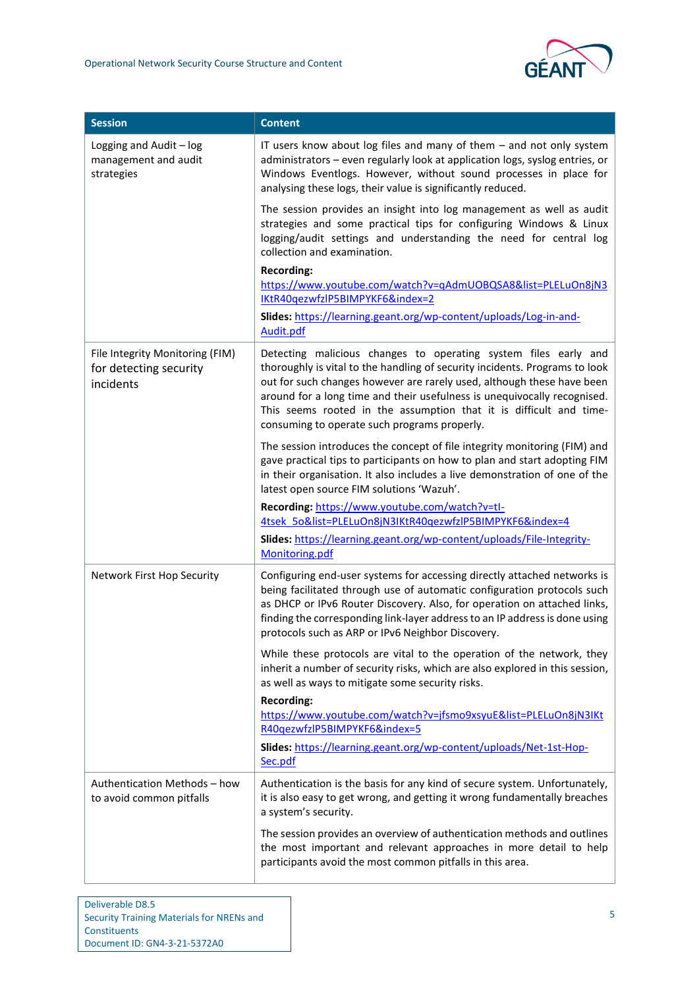| <b>Session</b>                                                         | <b>Content</b>                                                                                                                                                                                                                                                                                                                                                                                                             |
|------------------------------------------------------------------------|----------------------------------------------------------------------------------------------------------------------------------------------------------------------------------------------------------------------------------------------------------------------------------------------------------------------------------------------------------------------------------------------------------------------------|
| Logging and Audit - log<br>management and audit<br>strategies          | IT users know about log files and many of them - and not only system<br>administrators - even regularly look at application logs, syslog entries, or<br>Windows Eventlogs. However, without sound processes in place for<br>analysing these logs, their value is significantly reduced.                                                                                                                                    |
|                                                                        | The session provides an insight into log management as well as audit<br>strategies and some practical tips for configuring Windows & Linux<br>logging/audit settings and understanding the need for central log<br>collection and examination.                                                                                                                                                                             |
|                                                                        | <b>Recording:</b><br>https://www.youtube.com/watch?v=qAdmUOBQSA8&list=PLELuOn8jN3<br>IKtR40qezwfzlP5BIMPYKF6&index=2                                                                                                                                                                                                                                                                                                       |
|                                                                        | Slides: https://learning.geant.org/wp-content/uploads/Log-in-and-<br>Audit.pdf                                                                                                                                                                                                                                                                                                                                             |
| File Integrity Monitoring (FIM)<br>for detecting security<br>incidents | Detecting malicious changes to operating system files early and<br>thoroughly is vital to the handling of security incidents. Programs to look<br>out for such changes however are rarely used, although these have been<br>around for a long time and their usefulness is unequivocally recognised.<br>This seems rooted in the assumption that it is difficult and time-<br>consuming to operate such programs properly. |
|                                                                        | The session introduces the concept of file integrity monitoring (FIM) and<br>gave practical tips to participants on how to plan and start adopting FIM<br>in their organisation. It also includes a live demonstration of one of the<br>latest open source FIM solutions 'Wazuh'.                                                                                                                                          |
|                                                                        | Recording: https://www.youtube.com/watch?v=tl-<br>4tsek 5o&list=PLELuOn8jN3IKtR40gezwfzlP5BIMPYKF6&index=4                                                                                                                                                                                                                                                                                                                 |
|                                                                        | Slides: https://learning.geant.org/wp-content/uploads/File-Integrity-<br>Monitoring.pdf                                                                                                                                                                                                                                                                                                                                    |
| Network First Hop Security                                             | Configuring end-user systems for accessing directly attached networks is<br>being facilitated through use of automatic configuration protocols such<br>as DHCP or IPv6 Router Discovery. Also, for operation on attached links,<br>finding the corresponding link-layer address to an IP address is done using<br>protocols such as ARP or IPv6 Neighbor Discovery.                                                        |
|                                                                        | While these protocols are vital to the operation of the network, they<br>inherit a number of security risks, which are also explored in this session,<br>as well as ways to mitigate some security risks.                                                                                                                                                                                                                  |
|                                                                        | <b>Recording:</b><br>https://www.youtube.com/watch?v=jfsmo9xsyuE&list=PLELuOn8jN3IKt<br>R40qezwfzlP5BIMPYKF6&index=5                                                                                                                                                                                                                                                                                                       |
|                                                                        | Slides: https://learning.geant.org/wp-content/uploads/Net-1st-Hop-<br>Sec.pdf                                                                                                                                                                                                                                                                                                                                              |
| Authentication Methods - how<br>to avoid common pitfalls               | Authentication is the basis for any kind of secure system. Unfortunately,<br>it is also easy to get wrong, and getting it wrong fundamentally breaches<br>a system's security.                                                                                                                                                                                                                                             |
|                                                                        | The session provides an overview of authentication methods and outlines<br>the most important and relevant approaches in more detail to help<br>participants avoid the most common pitfalls in this area.                                                                                                                                                                                                                  |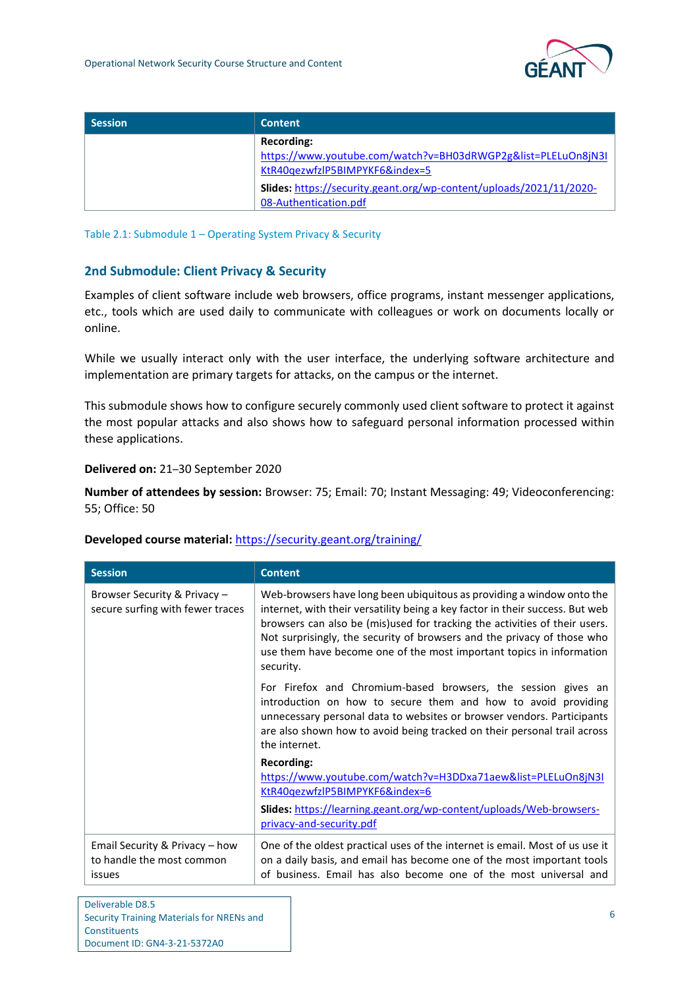| <b>Session</b> | <b>Content</b>                                                                                                                 |
|----------------|--------------------------------------------------------------------------------------------------------------------------------|
|                | Recording:<br>https://www.youtube.com/watch?v=BH03dRWGP2g&list=PLELuOn8jN3I                                                    |
|                | KtR40qezwfzlP5BIMPYKF6&index=5<br>Slides: https://security.geant.org/wp-content/uploads/2021/11/2020-<br>08-Authentication.pdf |

Table 2.1: Submodule 1 – Operating System Privacy & Security

#### **2nd Submodule: Client Privacy & Security**

Examples of client software include web browsers, office programs, instant messenger applications, etc., tools which are used daily to communicate with colleagues or work on documents locally or online.

While we usually interact only with the user interface, the underlying software architecture and implementation are primary targets for attacks, on the campus or the internet.

This submodule shows how to configure securely commonly used client software to protect it against the most popular attacks and also shows how to safeguard personal information processed within these applications.

#### **Delivered on:** 21–30 September 2020

**Number of attendees by session:** Browser: 75; Email: 70; Instant Messaging: 49; Videoconferencing: 55; Office: 50

| <b>Session</b>                                                        | <b>Content</b>                                                                                                                                                                                                                                                                                                                                                                                       |
|-----------------------------------------------------------------------|------------------------------------------------------------------------------------------------------------------------------------------------------------------------------------------------------------------------------------------------------------------------------------------------------------------------------------------------------------------------------------------------------|
| Browser Security & Privacy -<br>secure surfing with fewer traces      | Web-browsers have long been ubiquitous as providing a window onto the<br>internet, with their versatility being a key factor in their success. But web<br>browsers can also be (mis)used for tracking the activities of their users.<br>Not surprisingly, the security of browsers and the privacy of those who<br>use them have become one of the most important topics in information<br>security. |
|                                                                       | For Firefox and Chromium-based browsers, the session gives an<br>introduction on how to secure them and how to avoid providing<br>unnecessary personal data to websites or browser vendors. Participants<br>are also shown how to avoid being tracked on their personal trail across<br>the internet.                                                                                                |
|                                                                       | <b>Recording:</b><br>https://www.youtube.com/watch?v=H3DDxa71aew&list=PLELuOn8jN3I<br>KtR40gezwfzlP5BIMPYKF6&index=6                                                                                                                                                                                                                                                                                 |
|                                                                       | Slides: https://learning.geant.org/wp-content/uploads/Web-browsers-<br>privacy-and-security.pdf                                                                                                                                                                                                                                                                                                      |
| Email Security & Privacy - how<br>to handle the most common<br>issues | One of the oldest practical uses of the internet is email. Most of us use it<br>on a daily basis, and email has become one of the most important tools<br>of business. Email has also become one of the most universal and                                                                                                                                                                           |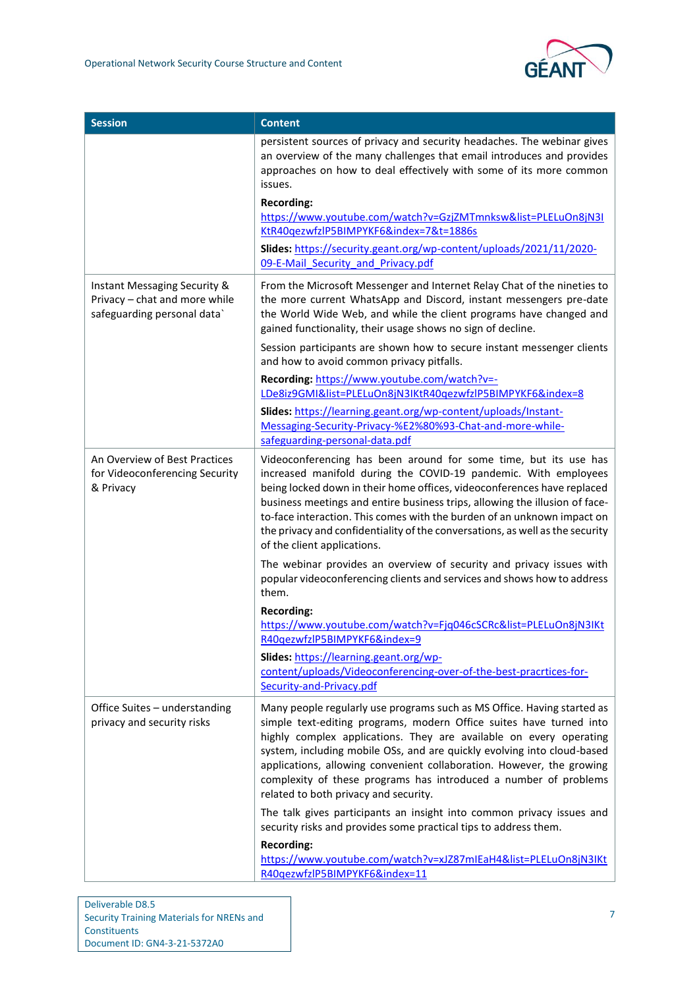| <b>Session</b>                                                                               | <b>Content</b>                                                                                                                                                                                                                                                                                                                                                                                                                                                                           |
|----------------------------------------------------------------------------------------------|------------------------------------------------------------------------------------------------------------------------------------------------------------------------------------------------------------------------------------------------------------------------------------------------------------------------------------------------------------------------------------------------------------------------------------------------------------------------------------------|
|                                                                                              | persistent sources of privacy and security headaches. The webinar gives<br>an overview of the many challenges that email introduces and provides<br>approaches on how to deal effectively with some of its more common<br>issues.                                                                                                                                                                                                                                                        |
|                                                                                              | <b>Recording:</b><br>https://www.youtube.com/watch?v=GzjZMTmnksw&list=PLELuOn8jN3I<br>KtR40gezwfzlP5BIMPYKF6&index=7&t=1886s                                                                                                                                                                                                                                                                                                                                                             |
|                                                                                              | Slides: https://security.geant.org/wp-content/uploads/2021/11/2020-<br>09-E-Mail Security and Privacy.pdf                                                                                                                                                                                                                                                                                                                                                                                |
| Instant Messaging Security &<br>Privacy - chat and more while<br>safeguarding personal data` | From the Microsoft Messenger and Internet Relay Chat of the nineties to<br>the more current WhatsApp and Discord, instant messengers pre-date<br>the World Wide Web, and while the client programs have changed and<br>gained functionality, their usage shows no sign of decline.                                                                                                                                                                                                       |
|                                                                                              | Session participants are shown how to secure instant messenger clients<br>and how to avoid common privacy pitfalls.                                                                                                                                                                                                                                                                                                                                                                      |
|                                                                                              | Recording: https://www.youtube.com/watch?v=-<br>LDe8iz9GMI&list=PLELuOn8jN3IKtR40gezwfzlP5BIMPYKF6&index=8                                                                                                                                                                                                                                                                                                                                                                               |
|                                                                                              | Slides: https://learning.geant.org/wp-content/uploads/Instant-<br>Messaging-Security-Privacy-%E2%80%93-Chat-and-more-while-<br>safeguarding-personal-data.pdf                                                                                                                                                                                                                                                                                                                            |
| An Overview of Best Practices<br>for Videoconferencing Security<br>& Privacy                 | Videoconferencing has been around for some time, but its use has<br>increased manifold during the COVID-19 pandemic. With employees<br>being locked down in their home offices, videoconferences have replaced<br>business meetings and entire business trips, allowing the illusion of face-<br>to-face interaction. This comes with the burden of an unknown impact on<br>the privacy and confidentiality of the conversations, as well as the security<br>of the client applications. |
|                                                                                              | The webinar provides an overview of security and privacy issues with<br>popular videoconferencing clients and services and shows how to address<br>them.                                                                                                                                                                                                                                                                                                                                 |
|                                                                                              | <b>Recording:</b><br>https://www.youtube.com/watch?v=Fjq046cSCRc&list=PLELuOn8jN3IKt<br>R40qezwfzlP5BIMPYKF6&index=9                                                                                                                                                                                                                                                                                                                                                                     |
|                                                                                              | Slides: https://learning.geant.org/wp-<br>content/uploads/Videoconferencing-over-of-the-best-pracrtices-for-<br>Security-and-Privacy.pdf                                                                                                                                                                                                                                                                                                                                                 |
| Office Suites - understanding<br>privacy and security risks                                  | Many people regularly use programs such as MS Office. Having started as<br>simple text-editing programs, modern Office suites have turned into<br>highly complex applications. They are available on every operating<br>system, including mobile OSs, and are quickly evolving into cloud-based<br>applications, allowing convenient collaboration. However, the growing<br>complexity of these programs has introduced a number of problems<br>related to both privacy and security.    |
|                                                                                              | The talk gives participants an insight into common privacy issues and<br>security risks and provides some practical tips to address them.                                                                                                                                                                                                                                                                                                                                                |
|                                                                                              | <b>Recording:</b><br>https://www.youtube.com/watch?v=xJZ87mIEaH4&list=PLELuOn8jN3IKt<br>R40gezwfzlP5BIMPYKF6&index=11                                                                                                                                                                                                                                                                                                                                                                    |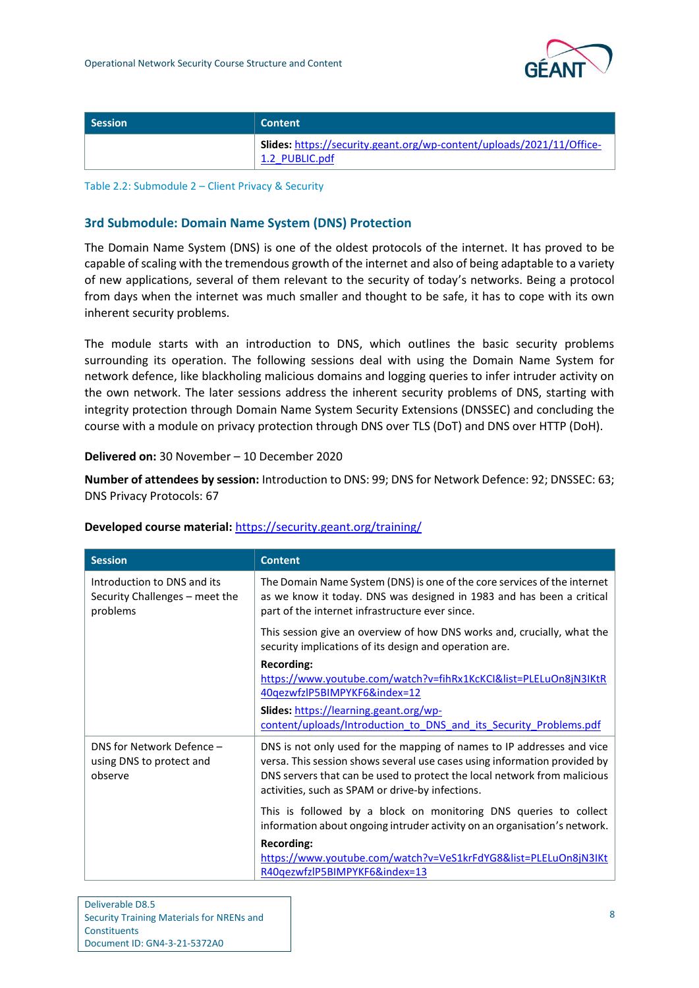

| <b>Session</b> | Content /                                                                               |
|----------------|-----------------------------------------------------------------------------------------|
|                | Slides: https://security.geant.org/wp-content/uploads/2021/11/Office-<br>1.2 PUBLIC.pdf |

Table 2.2: Submodule 2 – Client Privacy & Security

#### **3rd Submodule: Domain Name System (DNS) Protection**

The Domain Name System (DNS) is one of the oldest protocols of the internet. It has proved to be capable of scaling with the tremendous growth of the internet and also of being adaptable to a variety of new applications, several of them relevant to the security of today's networks. Being a protocol from days when the internet was much smaller and thought to be safe, it has to cope with its own inherent security problems.

The module starts with an introduction to DNS, which outlines the basic security problems surrounding its operation. The following sessions deal with using the Domain Name System for network defence, like blackholing malicious domains and logging queries to infer intruder activity on the own network. The later sessions address the inherent security problems of DNS, starting with integrity protection through Domain Name System Security Extensions (DNSSEC) and concluding the course with a module on privacy protection through DNS over TLS (DoT) and DNS over HTTP (DoH).

#### **Delivered on:** 30 November – 10 December 2020

**Number of attendees by session:** Introduction to DNS: 99; DNS for Network Defence: 92; DNSSEC: 63; DNS Privacy Protocols: 67

| <b>Session</b>                                                            | <b>Content</b>                                                                                                                                                                                                                                                                      |
|---------------------------------------------------------------------------|-------------------------------------------------------------------------------------------------------------------------------------------------------------------------------------------------------------------------------------------------------------------------------------|
| Introduction to DNS and its<br>Security Challenges – meet the<br>problems | The Domain Name System (DNS) is one of the core services of the internet<br>as we know it today. DNS was designed in 1983 and has been a critical<br>part of the internet infrastructure ever since.                                                                                |
|                                                                           | This session give an overview of how DNS works and, crucially, what the<br>security implications of its design and operation are.                                                                                                                                                   |
|                                                                           | <b>Recording:</b><br>https://www.youtube.com/watch?v=fihRx1KcKCI&list=PLELuOn8jN3IKtR<br>40qezwfzlP5BIMPYKF6&index=12                                                                                                                                                               |
|                                                                           | Slides: https://learning.geant.org/wp-<br>content/uploads/Introduction to DNS and its Security Problems.pdf                                                                                                                                                                         |
| DNS for Network Defence -<br>using DNS to protect and<br>observe          | DNS is not only used for the mapping of names to IP addresses and vice<br>versa. This session shows several use cases using information provided by<br>DNS servers that can be used to protect the local network from malicious<br>activities, such as SPAM or drive-by infections. |
|                                                                           | This is followed by a block on monitoring DNS queries to collect<br>information about ongoing intruder activity on an organisation's network.                                                                                                                                       |
|                                                                           | <b>Recording:</b><br>https://www.youtube.com/watch?v=VeS1krFdYG8&list=PLELuOn8jN3IKt<br>R40qezwfzlP5BIMPYKF6&index=13                                                                                                                                                               |

| Deliverable D8.5                          |
|-------------------------------------------|
| Security Training Materials for NRENs and |
| Constituents                              |
| Document ID: GN4-3-21-5372A0              |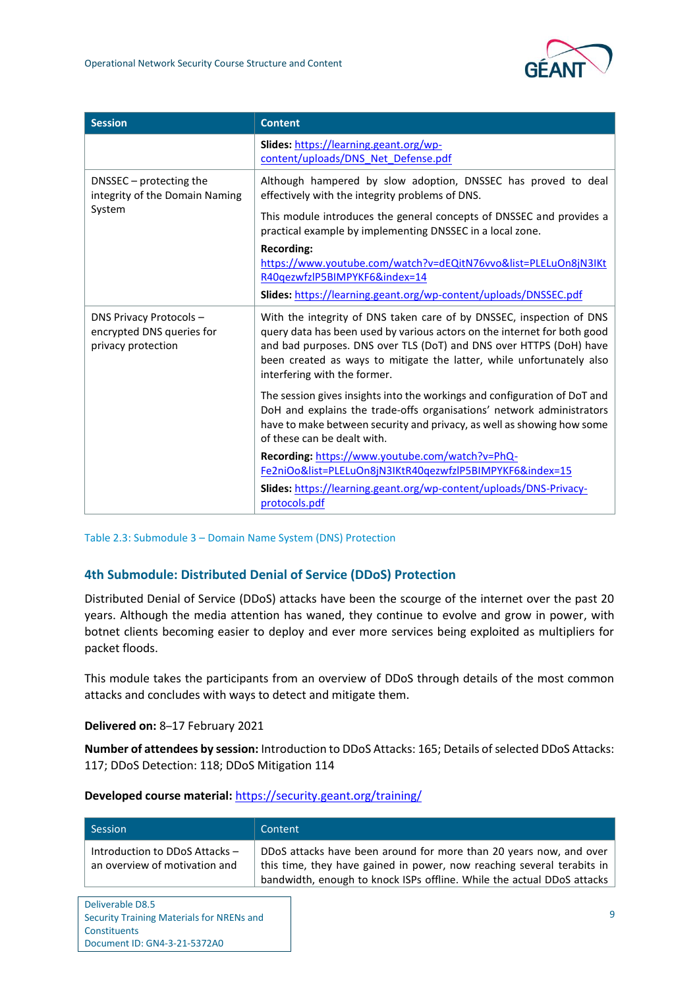| <b>Session</b>                                                                    | <b>Content</b>                                                                                                                                                                                                                                                                                                                  |
|-----------------------------------------------------------------------------------|---------------------------------------------------------------------------------------------------------------------------------------------------------------------------------------------------------------------------------------------------------------------------------------------------------------------------------|
|                                                                                   | Slides: https://learning.geant.org/wp-<br>content/uploads/DNS Net Defense.pdf                                                                                                                                                                                                                                                   |
| DNSSEC – protecting the<br>integrity of the Domain Naming<br>System               | Although hampered by slow adoption, DNSSEC has proved to deal<br>effectively with the integrity problems of DNS.                                                                                                                                                                                                                |
|                                                                                   | This module introduces the general concepts of DNSSEC and provides a<br>practical example by implementing DNSSEC in a local zone.                                                                                                                                                                                               |
|                                                                                   | <b>Recording:</b><br>https://www.youtube.com/watch?v=dEQitN76vvo&list=PLELuOn8jN3IKt<br>R40qezwfzlP5BIMPYKF6&index=14                                                                                                                                                                                                           |
|                                                                                   | Slides: https://learning.geant.org/wp-content/uploads/DNSSEC.pdf                                                                                                                                                                                                                                                                |
| <b>DNS Privacy Protocols -</b><br>encrypted DNS queries for<br>privacy protection | With the integrity of DNS taken care of by DNSSEC, inspection of DNS<br>query data has been used by various actors on the internet for both good<br>and bad purposes. DNS over TLS (DoT) and DNS over HTTPS (DoH) have<br>been created as ways to mitigate the latter, while unfortunately also<br>interfering with the former. |
|                                                                                   | The session gives insights into the workings and configuration of DoT and<br>DoH and explains the trade-offs organisations' network administrators<br>have to make between security and privacy, as well as showing how some<br>of these can be dealt with.                                                                     |
|                                                                                   | Recording: https://www.youtube.com/watch?v=PhQ-<br>Fe2niOo&list=PLELuOn8jN3IKtR40qezwfzlP5BIMPYKF6&index=15                                                                                                                                                                                                                     |
|                                                                                   | Slides: https://learning.geant.org/wp-content/uploads/DNS-Privacy-<br>protocols.pdf                                                                                                                                                                                                                                             |

Table 2.3: Submodule 3 – Domain Name System (DNS) Protection

#### **4th Submodule: Distributed Denial of Service (DDoS) Protection**

Distributed Denial of Service (DDoS) attacks have been the scourge of the internet over the past 20 years. Although the media attention has waned, they continue to evolve and grow in power, with botnet clients becoming easier to deploy and ever more services being exploited as multipliers for packet floods.

This module takes the participants from an overview of DDoS through details of the most common attacks and concludes with ways to detect and mitigate them.

**Delivered on:** 8–17 February 2021

Constituents

Document ID: GN4-3-21-5372A0

**Number of attendees by session:** Introduction to DDoS Attacks: 165; Details of selected DDoS Attacks: 117; DDoS Detection: 118; DDoS Mitigation 114

| Session                                                         | Content                                                                                                                                                                                                                |
|-----------------------------------------------------------------|------------------------------------------------------------------------------------------------------------------------------------------------------------------------------------------------------------------------|
| Introduction to DDoS Attacks -<br>an overview of motivation and | DDoS attacks have been around for more than 20 years now, and over<br>this time, they have gained in power, now reaching several terabits in<br>bandwidth, enough to knock ISPs offline. While the actual DDoS attacks |
| Deliverable D8.5<br>Security Training Materials for NRENs and   | 9                                                                                                                                                                                                                      |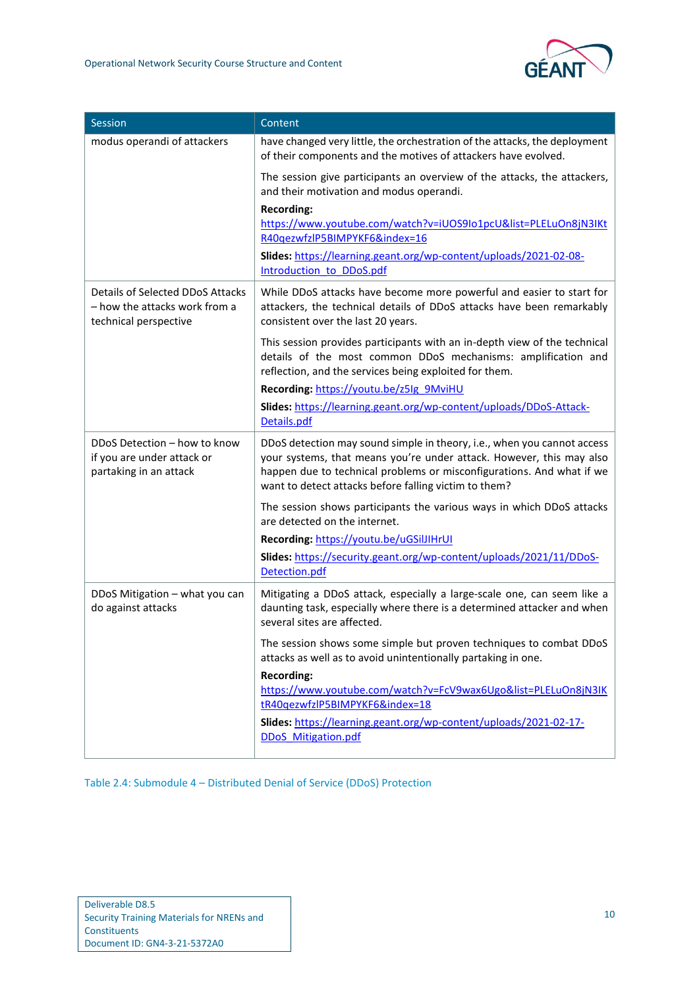| Session                                                                                    | Content                                                                                                                                                                                                                                                                           |
|--------------------------------------------------------------------------------------------|-----------------------------------------------------------------------------------------------------------------------------------------------------------------------------------------------------------------------------------------------------------------------------------|
| modus operandi of attackers                                                                | have changed very little, the orchestration of the attacks, the deployment<br>of their components and the motives of attackers have evolved.                                                                                                                                      |
|                                                                                            | The session give participants an overview of the attacks, the attackers,<br>and their motivation and modus operandi.                                                                                                                                                              |
|                                                                                            | <b>Recording:</b><br>https://www.youtube.com/watch?v=iUOS9Io1pcU&list=PLELuOn8jN3IKt<br>R40qezwfzlP5BIMPYKF6&index=16                                                                                                                                                             |
|                                                                                            | Slides: https://learning.geant.org/wp-content/uploads/2021-02-08-<br>Introduction to DDoS.pdf                                                                                                                                                                                     |
| Details of Selected DDoS Attacks<br>- how the attacks work from a<br>technical perspective | While DDoS attacks have become more powerful and easier to start for<br>attackers, the technical details of DDoS attacks have been remarkably<br>consistent over the last 20 years.                                                                                               |
|                                                                                            | This session provides participants with an in-depth view of the technical<br>details of the most common DDoS mechanisms: amplification and<br>reflection, and the services being exploited for them.                                                                              |
|                                                                                            | Recording: https://youtu.be/z5lg 9MviHU                                                                                                                                                                                                                                           |
|                                                                                            | Slides: https://learning.geant.org/wp-content/uploads/DDoS-Attack-<br>Details.pdf                                                                                                                                                                                                 |
| DDoS Detection - how to know<br>if you are under attack or<br>partaking in an attack       | DDoS detection may sound simple in theory, i.e., when you cannot access<br>your systems, that means you're under attack. However, this may also<br>happen due to technical problems or misconfigurations. And what if we<br>want to detect attacks before falling victim to them? |
|                                                                                            | The session shows participants the various ways in which DDoS attacks<br>are detected on the internet.                                                                                                                                                                            |
|                                                                                            | Recording: https://youtu.be/uGSilJIHrUI                                                                                                                                                                                                                                           |
|                                                                                            | Slides: https://security.geant.org/wp-content/uploads/2021/11/DDoS-<br>Detection.pdf                                                                                                                                                                                              |
| DDoS Mitigation - what you can<br>do against attacks                                       | Mitigating a DDoS attack, especially a large-scale one, can seem like a<br>daunting task, especially where there is a determined attacker and when<br>several sites are affected.                                                                                                 |
|                                                                                            | The session shows some simple but proven techniques to combat DDoS<br>attacks as well as to avoid unintentionally partaking in one.                                                                                                                                               |
|                                                                                            | <b>Recording:</b><br>https://www.youtube.com/watch?v=FcV9wax6Ugo&list=PLELuOn8jN3IK<br>tR40qezwfzlP5BIMPYKF6&index=18                                                                                                                                                             |
|                                                                                            | Slides: https://learning.geant.org/wp-content/uploads/2021-02-17-<br><b>DDoS</b> Mitigation.pdf                                                                                                                                                                                   |

Table 2.4: Submodule 4 – Distributed Denial of Service (DDoS) Protection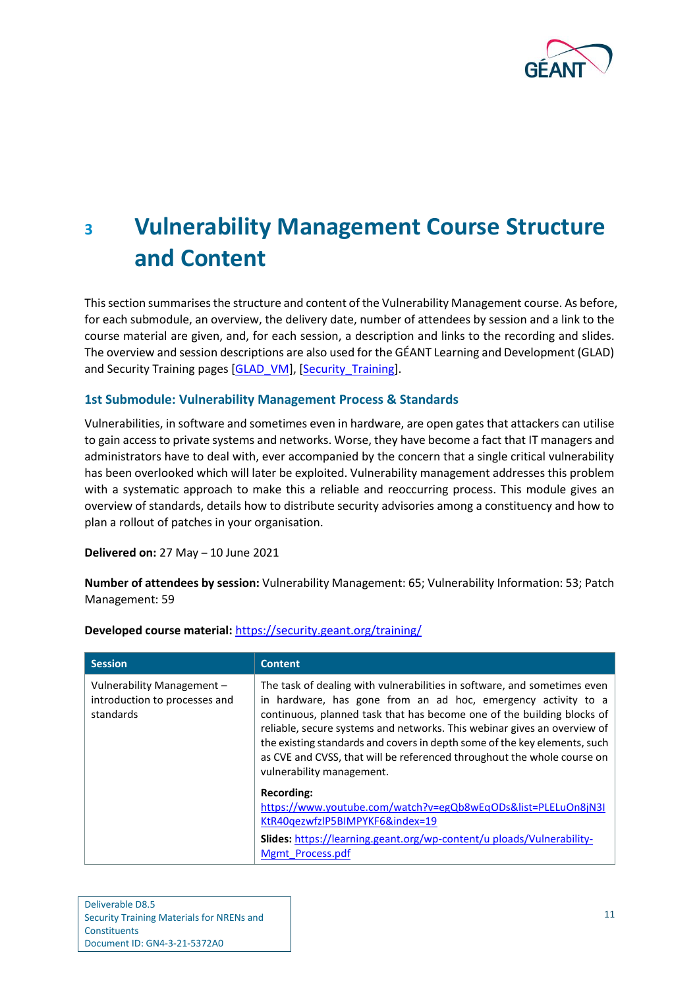

# <span id="page-13-0"></span>**<sup>3</sup> Vulnerability Management Course Structure and Content**

This section summarises the structure and content of the Vulnerability Management course. As before, for each submodule, an overview, the delivery date, number of attendees by session and a link to the course material are given, and, for each session, a description and links to the recording and slides. The overview and session descriptions are also used for the GÉANT Learning and Development (GLAD) and Security Training pages [\[GLAD\\_VM\]](#page-49-5), [\[Security\\_Training\]](#page-49-3).

#### **1st Submodule: Vulnerability Management Process & Standards**

Vulnerabilities, in software and sometimes even in hardware, are open gates that attackers can utilise to gain access to private systems and networks. Worse, they have become a fact that IT managers and administrators have to deal with, ever accompanied by the concern that a single critical vulnerability has been overlooked which will later be exploited. Vulnerability management addresses this problem with a systematic approach to make this a reliable and reoccurring process. This module gives an overview of standards, details how to distribute security advisories among a constituency and how to plan a rollout of patches in your organisation.

**Delivered on:** 27 May – 10 June 2021

**Number of attendees by session:** Vulnerability Management: 65; Vulnerability Information: 53; Patch Management: 59

| <b>Session</b>                                                           | <b>Content</b>                                                                                                                                                                                                                                                                                                                                                                                                                                                                       |
|--------------------------------------------------------------------------|--------------------------------------------------------------------------------------------------------------------------------------------------------------------------------------------------------------------------------------------------------------------------------------------------------------------------------------------------------------------------------------------------------------------------------------------------------------------------------------|
| Vulnerability Management -<br>introduction to processes and<br>standards | The task of dealing with vulnerabilities in software, and sometimes even<br>in hardware, has gone from an ad hoc, emergency activity to a<br>continuous, planned task that has become one of the building blocks of<br>reliable, secure systems and networks. This webinar gives an overview of<br>the existing standards and covers in depth some of the key elements, such<br>as CVE and CVSS, that will be referenced throughout the whole course on<br>vulnerability management. |
|                                                                          | Recording:<br>https://www.youtube.com/watch?v=egQb8wEqODs&list=PLELuOn8jN3I<br>KtR40gezwfzlP5BIMPYKF6&index=19<br>Slides: https://learning.geant.org/wp-content/u ploads/Vulnerability-<br>Mgmt Process.pdf                                                                                                                                                                                                                                                                          |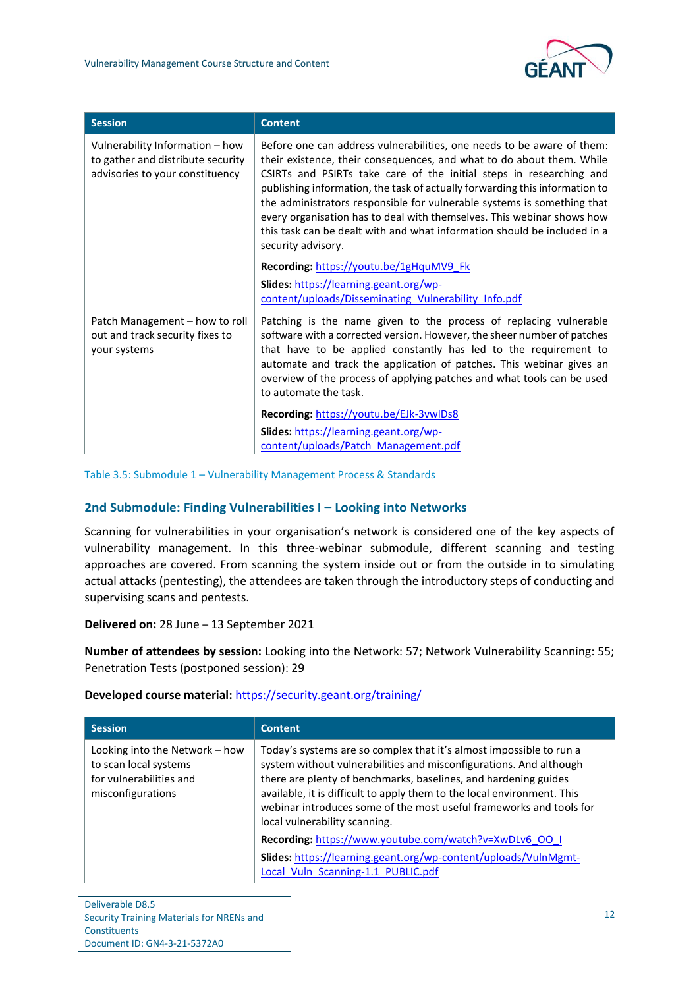

| <b>Session</b>                                                                                          | <b>Content</b>                                                                                                                                                                                                                                                                                                                                                                                                                                                                                                                                               |
|---------------------------------------------------------------------------------------------------------|--------------------------------------------------------------------------------------------------------------------------------------------------------------------------------------------------------------------------------------------------------------------------------------------------------------------------------------------------------------------------------------------------------------------------------------------------------------------------------------------------------------------------------------------------------------|
| Vulnerability Information - how<br>to gather and distribute security<br>advisories to your constituency | Before one can address vulnerabilities, one needs to be aware of them:<br>their existence, their consequences, and what to do about them. While<br>CSIRTs and PSIRTs take care of the initial steps in researching and<br>publishing information, the task of actually forwarding this information to<br>the administrators responsible for vulnerable systems is something that<br>every organisation has to deal with themselves. This webinar shows how<br>this task can be dealt with and what information should be included in a<br>security advisory. |
|                                                                                                         | Recording: https://youtu.be/1gHquMV9 Fk                                                                                                                                                                                                                                                                                                                                                                                                                                                                                                                      |
|                                                                                                         | Slides: https://learning.geant.org/wp-<br>content/uploads/Disseminating Vulnerability Info.pdf                                                                                                                                                                                                                                                                                                                                                                                                                                                               |
| Patch Management – how to roll<br>out and track security fixes to<br>your systems                       | Patching is the name given to the process of replacing vulnerable<br>software with a corrected version. However, the sheer number of patches<br>that have to be applied constantly has led to the requirement to<br>automate and track the application of patches. This webinar gives an<br>overview of the process of applying patches and what tools can be used<br>to automate the task.                                                                                                                                                                  |
|                                                                                                         | Recording: https://youtu.be/EJk-3vwlDs8                                                                                                                                                                                                                                                                                                                                                                                                                                                                                                                      |
|                                                                                                         | Slides: https://learning.geant.org/wp-                                                                                                                                                                                                                                                                                                                                                                                                                                                                                                                       |
|                                                                                                         | content/uploads/Patch Management.pdf                                                                                                                                                                                                                                                                                                                                                                                                                                                                                                                         |

Table 3.5: Submodule 1 – Vulnerability Management Process & Standards

#### **2nd Submodule: Finding Vulnerabilities I – Looking into Networks**

Scanning for vulnerabilities in your organisation's network is considered one of the key aspects of vulnerability management. In this three-webinar submodule, different scanning and testing approaches are covered. From scanning the system inside out or from the outside in to simulating actual attacks (pentesting), the attendees are taken through the introductory steps of conducting and supervising scans and pentests.

**Delivered on:** 28 June – 13 September 2021

**Number of attendees by session:** Looking into the Network: 57; Network Vulnerability Scanning: 55; Penetration Tests (postponed session): 29

| <b>Session</b>                                                                                          | <b>Content</b>                                                                                                                                                                                                                                                                                                                                                                                  |
|---------------------------------------------------------------------------------------------------------|-------------------------------------------------------------------------------------------------------------------------------------------------------------------------------------------------------------------------------------------------------------------------------------------------------------------------------------------------------------------------------------------------|
| Looking into the Network - how<br>to scan local systems<br>for vulnerabilities and<br>misconfigurations | Today's systems are so complex that it's almost impossible to run a<br>system without vulnerabilities and misconfigurations. And although<br>there are plenty of benchmarks, baselines, and hardening guides<br>available, it is difficult to apply them to the local environment. This<br>webinar introduces some of the most useful frameworks and tools for<br>local vulnerability scanning. |
|                                                                                                         | Recording: https://www.youtube.com/watch?v=XwDLv6_00_1                                                                                                                                                                                                                                                                                                                                          |
|                                                                                                         | Slides: https://learning.geant.org/wp-content/uploads/VulnMgmt-<br>Local Vuln Scanning-1.1 PUBLIC.pdf                                                                                                                                                                                                                                                                                           |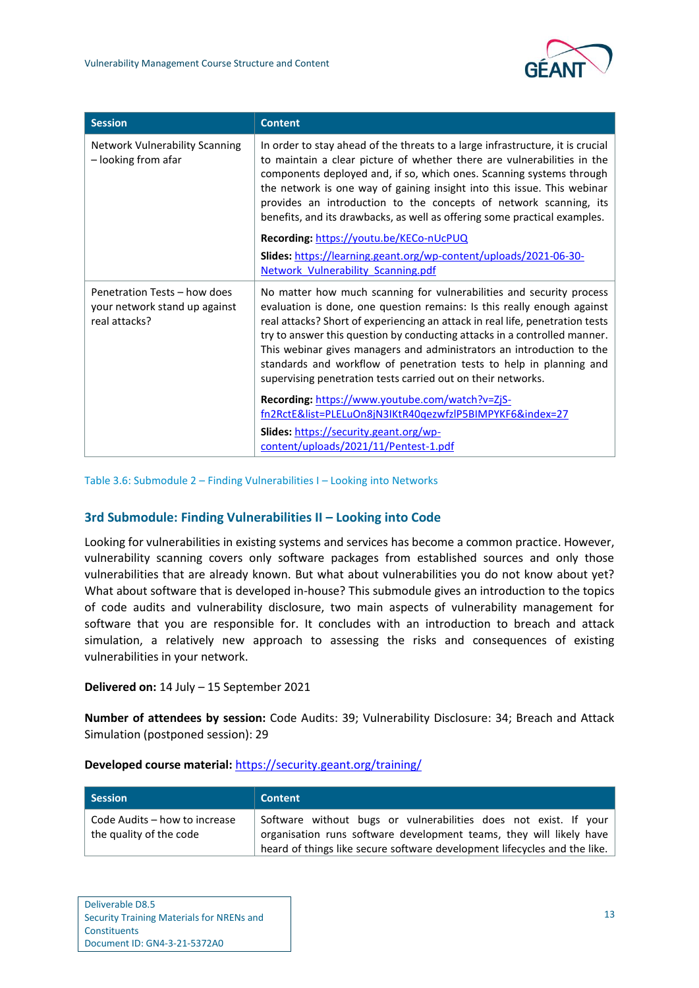| <b>Session</b>                                                                 | <b>Content</b>                                                                                                                                                                                                                                                                                                                                                                                                                                                                                                                |
|--------------------------------------------------------------------------------|-------------------------------------------------------------------------------------------------------------------------------------------------------------------------------------------------------------------------------------------------------------------------------------------------------------------------------------------------------------------------------------------------------------------------------------------------------------------------------------------------------------------------------|
| <b>Network Vulnerability Scanning</b><br>- looking from afar                   | In order to stay ahead of the threats to a large infrastructure, it is crucial<br>to maintain a clear picture of whether there are vulnerabilities in the<br>components deployed and, if so, which ones. Scanning systems through<br>the network is one way of gaining insight into this issue. This webinar<br>provides an introduction to the concepts of network scanning, its<br>benefits, and its drawbacks, as well as offering some practical examples.<br>Recording: https://youtu.be/KECo-nUcPUQ                     |
|                                                                                | Slides: https://learning.geant.org/wp-content/uploads/2021-06-30-                                                                                                                                                                                                                                                                                                                                                                                                                                                             |
|                                                                                | Network Vulnerability Scanning.pdf                                                                                                                                                                                                                                                                                                                                                                                                                                                                                            |
| Penetration Tests - how does<br>your network stand up against<br>real attacks? | No matter how much scanning for vulnerabilities and security process<br>evaluation is done, one question remains: Is this really enough against<br>real attacks? Short of experiencing an attack in real life, penetration tests<br>try to answer this question by conducting attacks in a controlled manner.<br>This webinar gives managers and administrators an introduction to the<br>standards and workflow of penetration tests to help in planning and<br>supervising penetration tests carried out on their networks. |
|                                                                                | Recording: https://www.youtube.com/watch?v=ZjS-<br>fn2RctE&list=PLELuOn8jN3IKtR40gezwfzlP5BIMPYKF6&index=27                                                                                                                                                                                                                                                                                                                                                                                                                   |
|                                                                                | Slides: https://security.geant.org/wp-<br>content/uploads/2021/11/Pentest-1.pdf                                                                                                                                                                                                                                                                                                                                                                                                                                               |

Table 3.6: Submodule 2 – Finding Vulnerabilities I – Looking into Networks

#### **3rd Submodule: Finding Vulnerabilities II – Looking into Code**

Looking for vulnerabilities in existing systems and services has become a common practice. However, vulnerability scanning covers only software packages from established sources and only those vulnerabilities that are already known. But what about vulnerabilities you do not know about yet? What about software that is developed in-house? This submodule gives an introduction to the topics of code audits and vulnerability disclosure, two main aspects of vulnerability management for software that you are responsible for. It concludes with an introduction to breach and attack simulation, a relatively new approach to assessing the risks and consequences of existing vulnerabilities in your network.

#### **Delivered on:** 14 July – 15 September 2021

**Number of attendees by session:** Code Audits: 39; Vulnerability Disclosure: 34; Breach and Attack Simulation (postponed session): 29

| Session                                                  | <b>Content</b>                                                                                                                          |
|----------------------------------------------------------|-----------------------------------------------------------------------------------------------------------------------------------------|
| Code Audits – how to increase<br>the quality of the code | Software without bugs or vulnerabilities does not exist. If your<br>organisation runs software development teams, they will likely have |
|                                                          | heard of things like secure software development lifecycles and the like.                                                               |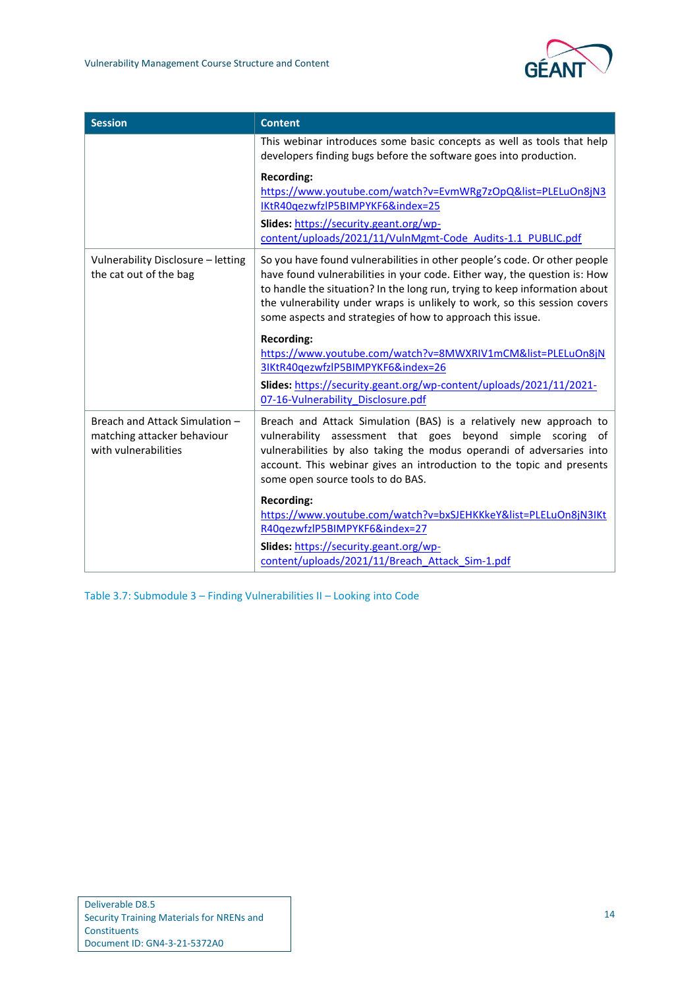| <b>Session</b>                                                                        | <b>Content</b>                                                                                                                                                                                                                                                                                                                                                                  |
|---------------------------------------------------------------------------------------|---------------------------------------------------------------------------------------------------------------------------------------------------------------------------------------------------------------------------------------------------------------------------------------------------------------------------------------------------------------------------------|
|                                                                                       | This webinar introduces some basic concepts as well as tools that help<br>developers finding bugs before the software goes into production.                                                                                                                                                                                                                                     |
|                                                                                       | <b>Recording:</b><br>https://www.youtube.com/watch?v=EvmWRg7zOpQ&list=PLELuOn8jN3<br>IKtR40qezwfzlP5BIMPYKF6&index=25<br>Slides: https://security.geant.org/wp-<br>content/uploads/2021/11/VulnMgmt-Code Audits-1.1 PUBLIC.pdf                                                                                                                                                  |
| Vulnerability Disclosure - letting<br>the cat out of the bag                          | So you have found vulnerabilities in other people's code. Or other people<br>have found vulnerabilities in your code. Either way, the question is: How<br>to handle the situation? In the long run, trying to keep information about<br>the vulnerability under wraps is unlikely to work, so this session covers<br>some aspects and strategies of how to approach this issue. |
|                                                                                       | <b>Recording:</b><br>https://www.youtube.com/watch?v=8MWXRIV1mCM&list=PLELuOn8jN<br>3IKtR40qezwfzlP5BIMPYKF6&index=26                                                                                                                                                                                                                                                           |
|                                                                                       | Slides: https://security.geant.org/wp-content/uploads/2021/11/2021-<br>07-16-Vulnerability Disclosure.pdf                                                                                                                                                                                                                                                                       |
| Breach and Attack Simulation -<br>matching attacker behaviour<br>with vulnerabilities | Breach and Attack Simulation (BAS) is a relatively new approach to<br>vulnerability assessment that goes beyond simple scoring of<br>vulnerabilities by also taking the modus operandi of adversaries into<br>account. This webinar gives an introduction to the topic and presents<br>some open source tools to do BAS.                                                        |
|                                                                                       | <b>Recording:</b><br>https://www.youtube.com/watch?v=bxSJEHKKkeY&list=PLELuOn8jN3IKt<br>R40qezwfzlP5BIMPYKF6&index=27                                                                                                                                                                                                                                                           |
|                                                                                       | Slides: https://security.geant.org/wp-<br>content/uploads/2021/11/Breach Attack Sim-1.pdf                                                                                                                                                                                                                                                                                       |

Table 3.7: Submodule 3 – Finding Vulnerabilities II – Looking into Code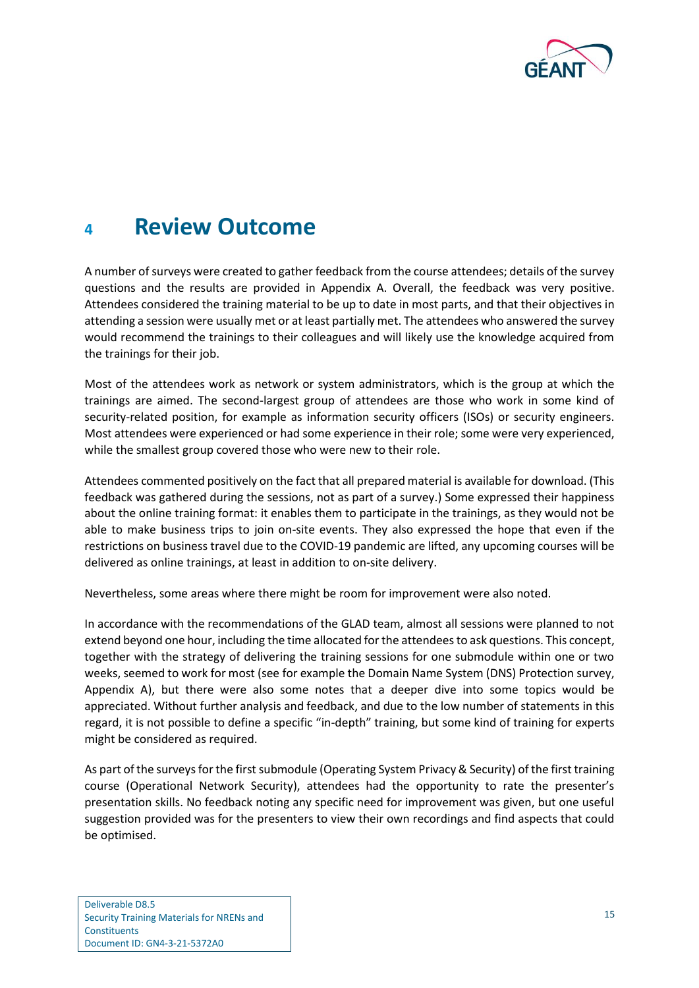

## <span id="page-17-0"></span>**<sup>4</sup> Review Outcome**

A number of surveys were created to gather feedback from the course attendees; details of the survey questions and the results are provided in [Appendix A.](#page-25-0) Overall, the feedback was very positive. Attendees considered the training material to be up to date in most parts, and that their objectives in attending a session were usually met or at least partially met. The attendees who answered the survey would recommend the trainings to their colleagues and will likely use the knowledge acquired from the trainings for their job.

Most of the attendees work as network or system administrators, which is the group at which the trainings are aimed. The second-largest group of attendees are those who work in some kind of security-related position, for example as information security officers (ISOs) or security engineers. Most attendees were experienced or had some experience in their role; some were very experienced, while the smallest group covered those who were new to their role.

Attendees commented positively on the fact that all prepared material is available for download. (This feedback was gathered during the sessions, not as part of a survey.) Some expressed their happiness about the online training format: it enables them to participate in the trainings, as they would not be able to make business trips to join on-site events. They also expressed the hope that even if the restrictions on business travel due to the COVID-19 pandemic are lifted, any upcoming courses will be delivered as online trainings, at least in addition to on-site delivery.

Nevertheless, some areas where there might be room for improvement were also noted.

In accordance with the recommendations of the GLAD team, almost all sessions were planned to not extend beyond one hour, including the time allocated for the attendees to ask questions. This concept, together with the strategy of delivering the training sessions for one submodule within one or two weeks, seemed to work for most (see for example the [Domain Name System \(DNS\) Protection](#page-36-2) survey, [Appendix A\)](#page-25-0), but there were also some notes that a deeper dive into some topics would be appreciated. Without further analysis and feedback, and due to the low number of statements in this regard, it is not possible to define a specific "in-depth" training, but some kind of training for experts might be considered as required.

As part of the surveys for the first submodule (Operating System Privacy & Security) of the first training course (Operational Network Security), attendees had the opportunity to rate the presenter's presentation skills. No feedback noting any specific need for improvement was given, but one useful suggestion provided was for the presenters to view their own recordings and find aspects that could be optimised.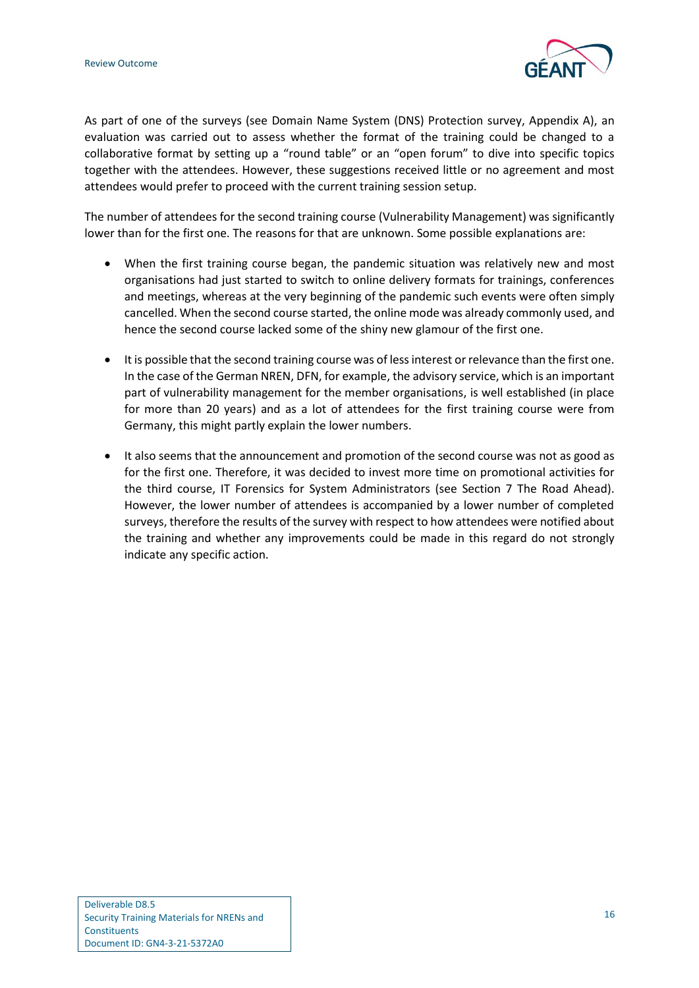

As part of one of the surveys (see [Domain Name System \(DNS\) Protection](#page-36-2) survey, [Appendix A\)](#page-25-0), an evaluation was carried out to assess whether the format of the training could be changed to a collaborative format by setting up a "round table" or an "open forum" to dive into specific topics together with the attendees. However, these suggestions received little or no agreement and most attendees would prefer to proceed with the current training session setup.

The number of attendees for the second training course (Vulnerability Management) was significantly lower than for the first one. The reasons for that are unknown. Some possible explanations are:

- When the first training course began, the pandemic situation was relatively new and most organisations had just started to switch to online delivery formats for trainings, conferences and meetings, whereas at the very beginning of the pandemic such events were often simply cancelled. When the second course started, the online mode was already commonly used, and hence the second course lacked some of the shiny new glamour of the first one.
- It is possible that the second training course was of less interest or relevance than the first one. In the case of the German NREN, DFN, for example, the advisory service, which is an important part of vulnerability management for the member organisations, is well established (in place for more than 20 years) and as a lot of attendees for the first training course were from Germany, this might partly explain the lower numbers.
- It also seems that the announcement and promotion of the second course was not as good as for the first one. Therefore, it was decided to invest more time on promotional activities for the third course, IT Forensics for System Administrators (see Section [7](#page-21-0) [The Road Ahead\)](#page-21-0). However, the lower number of attendees is accompanied by a lower number of completed surveys, therefore the results of the survey with respect to how attendees were notified about the training and whether any improvements could be made in this regard do not strongly indicate any specific action.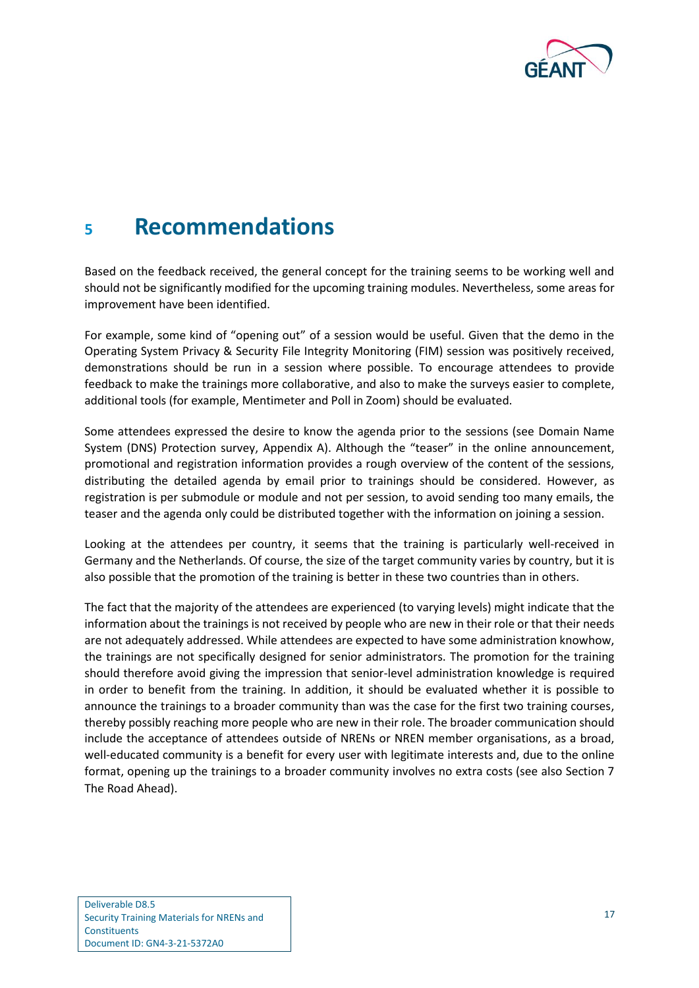

## <span id="page-19-0"></span>**<sup>5</sup> Recommendations**

Based on the feedback received, the general concept for the training seems to be working well and should not be significantly modified for the upcoming training modules. Nevertheless, some areas for improvement have been identified.

For example, some kind of "opening out" of a session would be useful. Given that the demo in the Operating System Privacy & Security File Integrity Monitoring (FIM) session was positively received, demonstrations should be run in a session where possible. To encourage attendees to provide feedback to make the trainings more collaborative, and also to make the surveys easier to complete, additional tools (for example, Mentimeter and Poll in Zoom) should be evaluated.

Some attendees expressed the desire to know the agenda prior to the sessions (see [Domain Name](#page-36-2)  [System \(DNS\) Protection](#page-36-2) survey, [Appendix A\)](#page-25-0). Although the "teaser" in the online announcement, promotional and registration information provides a rough overview of the content of the sessions, distributing the detailed agenda by email prior to trainings should be considered. However, as registration is per submodule or module and not per session, to avoid sending too many emails, the teaser and the agenda only could be distributed together with the information on joining a session.

Looking at the attendees per country, it seems that the training is particularly well-received in Germany and the Netherlands. Of course, the size of the target community varies by country, but it is also possible that the promotion of the training is better in these two countries than in others.

The fact that the majority of the attendees are experienced (to varying levels) might indicate that the information about the trainings is not received by people who are new in their role or that their needs are not adequately addressed. While attendees are expected to have some administration knowhow, the trainings are not specifically designed for senior administrators. The promotion for the training should therefore avoid giving the impression that senior-level administration knowledge is required in order to benefit from the training. In addition, it should be evaluated whether it is possible to announce the trainings to a broader community than was the case for the first two training courses, thereby possibly reaching more people who are new in their role. The broader communication should include the acceptance of attendees outside of NRENs or NREN member organisations, as a broad, well-educated community is a benefit for every user with legitimate interests and, due to the online format, opening up the trainings to a broader community involves no extra costs (see also Section [7](#page-21-0) [The Road Ahead\)](#page-21-0).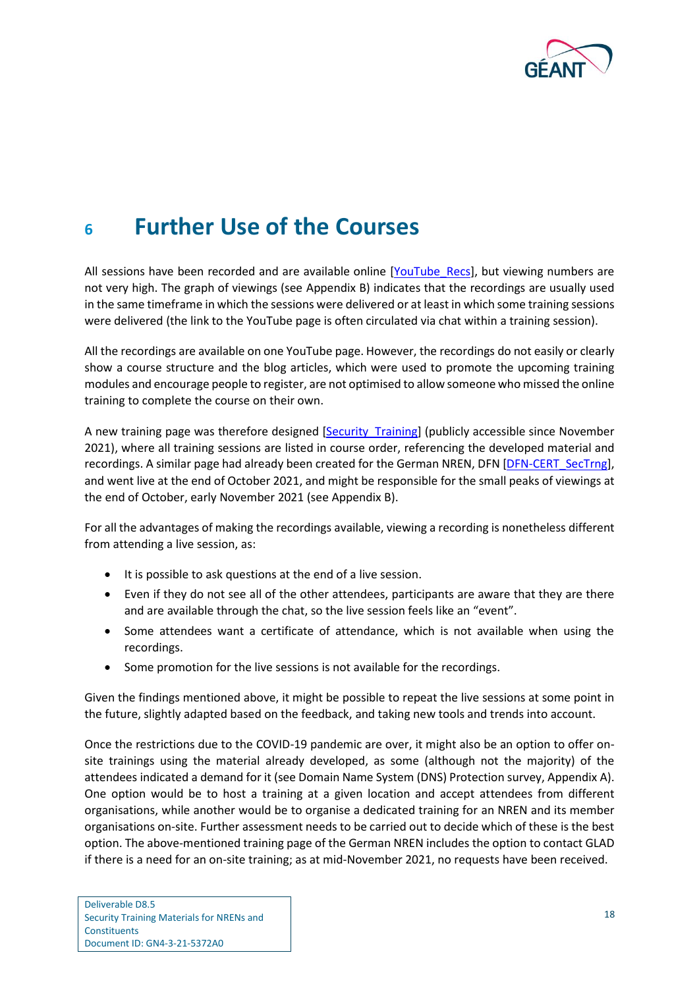

## <span id="page-20-0"></span>**<sup>6</sup> Further Use of the Courses**

All sessions have been recorded and are available online [\[YouTube\\_Recs\]](#page-49-6), but viewing numbers are not very high. The graph of viewings (see [Appendix B\)](#page-45-0) indicates that the recordings are usually used in the same timeframe in which the sessions were delivered or at least in which some training sessions were delivered (the link to the YouTube page is often circulated via chat within a training session).

All the recordings are available on one YouTube page. However, the recordings do not easily or clearly show a course structure and the blog articles, which were used to promote the upcoming training modules and encourage people to register, are not optimised to allow someone who missed the online training to complete the course on their own.

A new training page was therefore designed [\[Security\\_Training\]](#page-49-3) (publicly accessible since November 2021), where all training sessions are listed in course order, referencing the developed material and recordings. A similar page had already been created for the German NREN, DFN [DFN-CERT SecTrng], and went live at the end of October 2021, and might be responsible for the small peaks of viewings at the end of October, early November 2021 (se[e Appendix B\)](#page-45-0).

For all the advantages of making the recordings available, viewing a recording is nonetheless different from attending a live session, as:

- It is possible to ask questions at the end of a live session.
- Even if they do not see all of the other attendees, participants are aware that they are there and are available through the chat, so the live session feels like an "event".
- Some attendees want a certificate of attendance, which is not available when using the recordings.
- Some promotion for the live sessions is not available for the recordings.

Given the findings mentioned above, it might be possible to repeat the live sessions at some point in the future, slightly adapted based on the feedback, and taking new tools and trends into account.

Once the restrictions due to the COVID-19 pandemic are over, it might also be an option to offer onsite trainings using the material already developed, as some (although not the majority) of the attendees indicated a demand for it (se[e Domain Name System \(DNS\) Protection](#page-36-2) survey[, Appendix A\)](#page-25-0). One option would be to host a training at a given location and accept attendees from different organisations, while another would be to organise a dedicated training for an NREN and its member organisations on-site. Further assessment needs to be carried out to decide which of these is the best option. The above-mentioned training page of the German NREN includes the option to contact GLAD if there is a need for an on-site training; as at mid-November 2021, no requests have been received.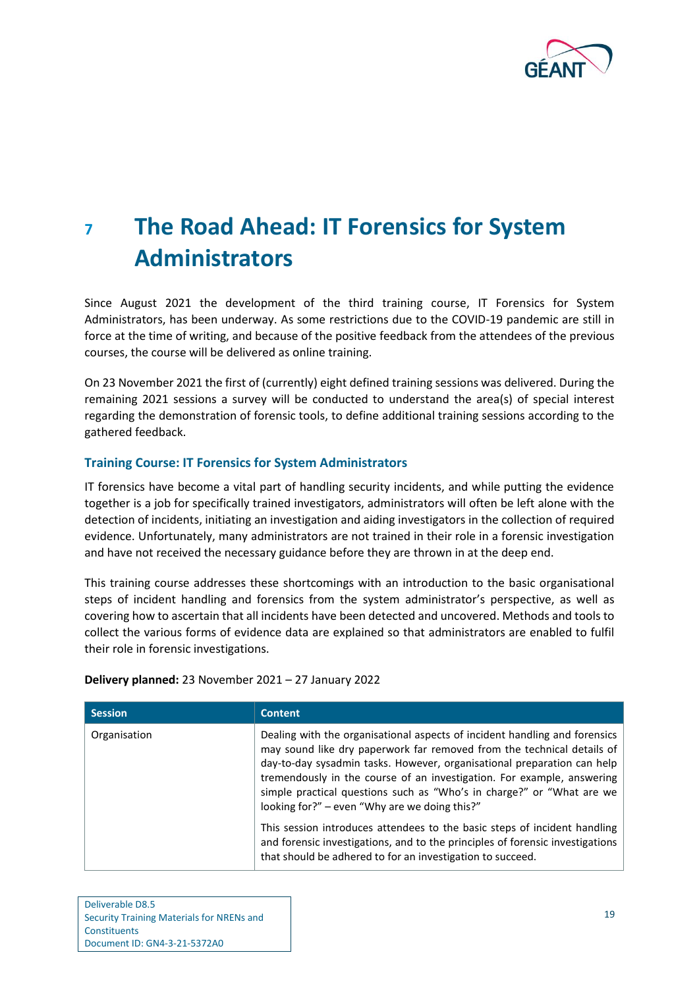

# <span id="page-21-0"></span>**<sup>7</sup> The Road Ahead: IT Forensics for System Administrators**

Since August 2021 the development of the third training course, IT Forensics for System Administrators, has been underway. As some restrictions due to the COVID-19 pandemic are still in force at the time of writing, and because of the positive feedback from the attendees of the previous courses, the course will be delivered as online training.

On 23 November 2021 the first of (currently) eight defined training sessions was delivered. During the remaining 2021 sessions a survey will be conducted to understand the area(s) of special interest regarding the demonstration of forensic tools, to define additional training sessions according to the gathered feedback.

#### **Training Course: IT Forensics for System Administrators**

IT forensics have become a vital part of handling security incidents, and while putting the evidence together is a job for specifically trained investigators, administrators will often be left alone with the detection of incidents, initiating an investigation and aiding investigators in the collection of required evidence. Unfortunately, many administrators are not trained in their role in a forensic investigation and have not received the necessary guidance before they are thrown in at the deep end.

This training course addresses these shortcomings with an introduction to the basic organisational steps of incident handling and forensics from the system administrator's perspective, as well as covering how to ascertain that all incidents have been detected and uncovered. Methods and tools to collect the various forms of evidence data are explained so that administrators are enabled to fulfil their role in forensic investigations.

#### **Delivery planned:** 23 November 2021 – 27 January 2022

| <b>Session</b> | <b>Content</b>                                                                                                                                                                                                                                                                                                                                                                                                                      |
|----------------|-------------------------------------------------------------------------------------------------------------------------------------------------------------------------------------------------------------------------------------------------------------------------------------------------------------------------------------------------------------------------------------------------------------------------------------|
| Organisation   | Dealing with the organisational aspects of incident handling and forensics<br>may sound like dry paperwork far removed from the technical details of<br>day-to-day sysadmin tasks. However, organisational preparation can help<br>tremendously in the course of an investigation. For example, answering<br>simple practical questions such as "Who's in charge?" or "What are we<br>looking for?" - even "Why are we doing this?" |
|                | This session introduces attendees to the basic steps of incident handling<br>and forensic investigations, and to the principles of forensic investigations<br>that should be adhered to for an investigation to succeed.                                                                                                                                                                                                            |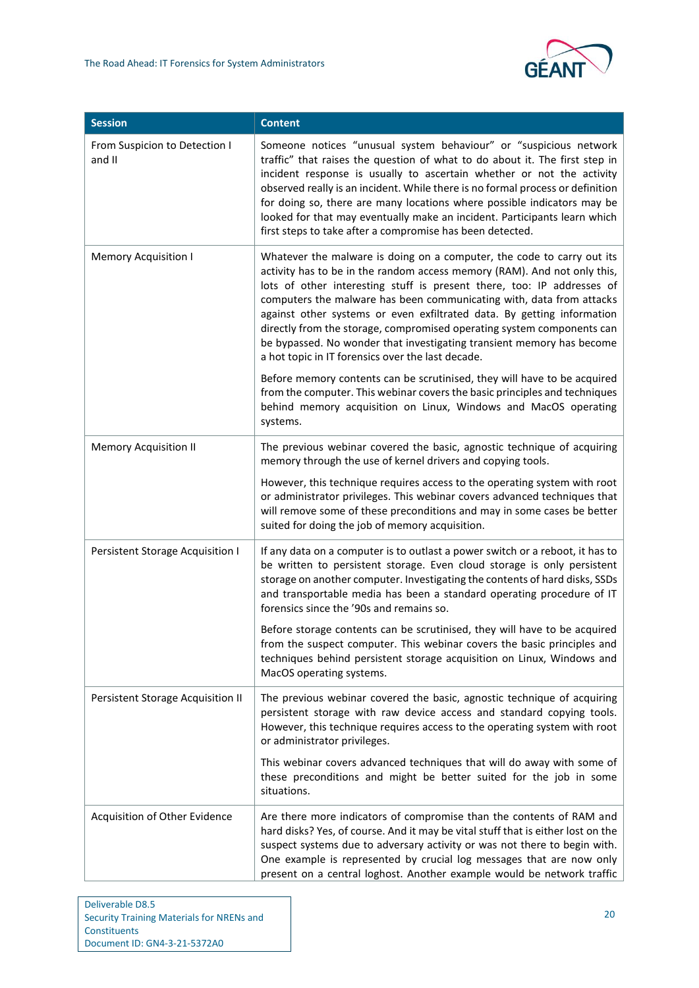

| <b>Session</b>                          | <b>Content</b>                                                                                                                                                                                                                                                                                                                                                                                                                                                                                                                                                                         |
|-----------------------------------------|----------------------------------------------------------------------------------------------------------------------------------------------------------------------------------------------------------------------------------------------------------------------------------------------------------------------------------------------------------------------------------------------------------------------------------------------------------------------------------------------------------------------------------------------------------------------------------------|
| From Suspicion to Detection I<br>and II | Someone notices "unusual system behaviour" or "suspicious network<br>traffic" that raises the question of what to do about it. The first step in<br>incident response is usually to ascertain whether or not the activity<br>observed really is an incident. While there is no formal process or definition<br>for doing so, there are many locations where possible indicators may be<br>looked for that may eventually make an incident. Participants learn which<br>first steps to take after a compromise has been detected.                                                       |
| <b>Memory Acquisition I</b>             | Whatever the malware is doing on a computer, the code to carry out its<br>activity has to be in the random access memory (RAM). And not only this,<br>lots of other interesting stuff is present there, too: IP addresses of<br>computers the malware has been communicating with, data from attacks<br>against other systems or even exfiltrated data. By getting information<br>directly from the storage, compromised operating system components can<br>be bypassed. No wonder that investigating transient memory has become<br>a hot topic in IT forensics over the last decade. |
|                                         | Before memory contents can be scrutinised, they will have to be acquired<br>from the computer. This webinar covers the basic principles and techniques<br>behind memory acquisition on Linux, Windows and MacOS operating<br>systems.                                                                                                                                                                                                                                                                                                                                                  |
| <b>Memory Acquisition II</b>            | The previous webinar covered the basic, agnostic technique of acquiring<br>memory through the use of kernel drivers and copying tools.                                                                                                                                                                                                                                                                                                                                                                                                                                                 |
|                                         | However, this technique requires access to the operating system with root<br>or administrator privileges. This webinar covers advanced techniques that<br>will remove some of these preconditions and may in some cases be better<br>suited for doing the job of memory acquisition.                                                                                                                                                                                                                                                                                                   |
| Persistent Storage Acquisition I        | If any data on a computer is to outlast a power switch or a reboot, it has to<br>be written to persistent storage. Even cloud storage is only persistent<br>storage on another computer. Investigating the contents of hard disks, SSDs<br>and transportable media has been a standard operating procedure of IT<br>forensics since the '90s and remains so.                                                                                                                                                                                                                           |
|                                         | Before storage contents can be scrutinised, they will have to be acquired<br>from the suspect computer. This webinar covers the basic principles and<br>techniques behind persistent storage acquisition on Linux, Windows and<br>MacOS operating systems.                                                                                                                                                                                                                                                                                                                             |
| Persistent Storage Acquisition II       | The previous webinar covered the basic, agnostic technique of acquiring<br>persistent storage with raw device access and standard copying tools.<br>However, this technique requires access to the operating system with root<br>or administrator privileges.                                                                                                                                                                                                                                                                                                                          |
|                                         | This webinar covers advanced techniques that will do away with some of<br>these preconditions and might be better suited for the job in some<br>situations.                                                                                                                                                                                                                                                                                                                                                                                                                            |
| Acquisition of Other Evidence           | Are there more indicators of compromise than the contents of RAM and<br>hard disks? Yes, of course. And it may be vital stuff that is either lost on the<br>suspect systems due to adversary activity or was not there to begin with.<br>One example is represented by crucial log messages that are now only<br>present on a central loghost. Another example would be network traffic                                                                                                                                                                                                |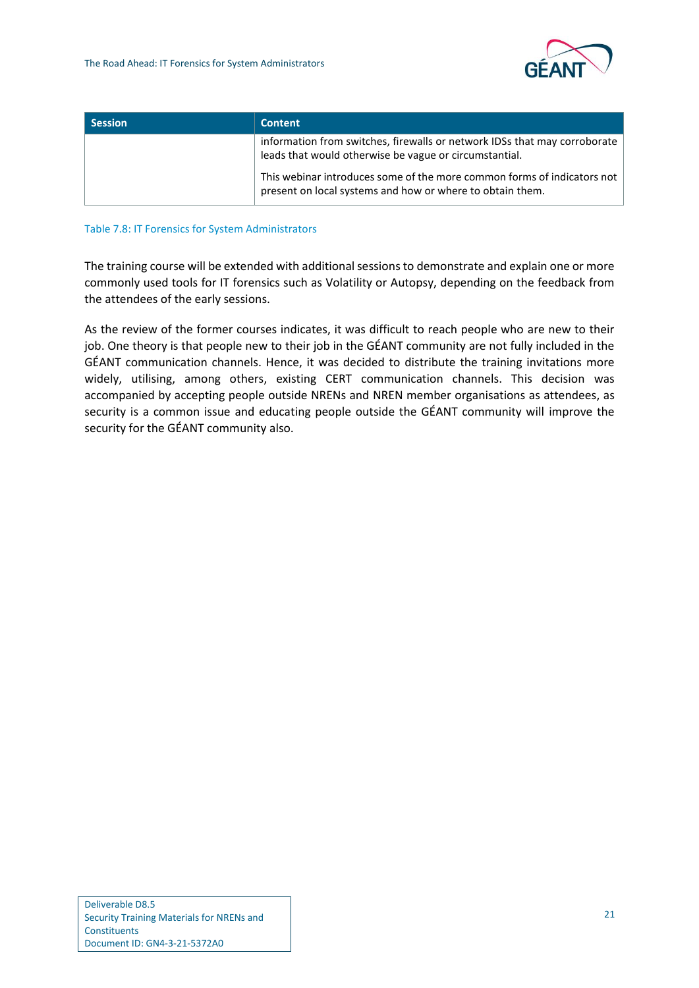

| <b>Session</b> | <b>Content</b>                                                                                                                       |
|----------------|--------------------------------------------------------------------------------------------------------------------------------------|
|                | information from switches, firewalls or network IDSs that may corroborate<br>leads that would otherwise be vague or circumstantial.  |
|                | This webinar introduces some of the more common forms of indicators not<br>present on local systems and how or where to obtain them. |

#### Table 7.8: IT Forensics for System Administrators

The training course will be extended with additional sessions to demonstrate and explain one or more commonly used tools for IT forensics such as Volatility or Autopsy, depending on the feedback from the attendees of the early sessions.

As the review of the former courses indicates, it was difficult to reach people who are new to their job. One theory is that people new to their job in the GÉANT community are not fully included in the GÉANT communication channels. Hence, it was decided to distribute the training invitations more widely, utilising, among others, existing CERT communication channels. This decision was accompanied by accepting people outside NRENs and NREN member organisations as attendees, as security is a common issue and educating people outside the GÉANT community will improve the security for the GÉANT community also.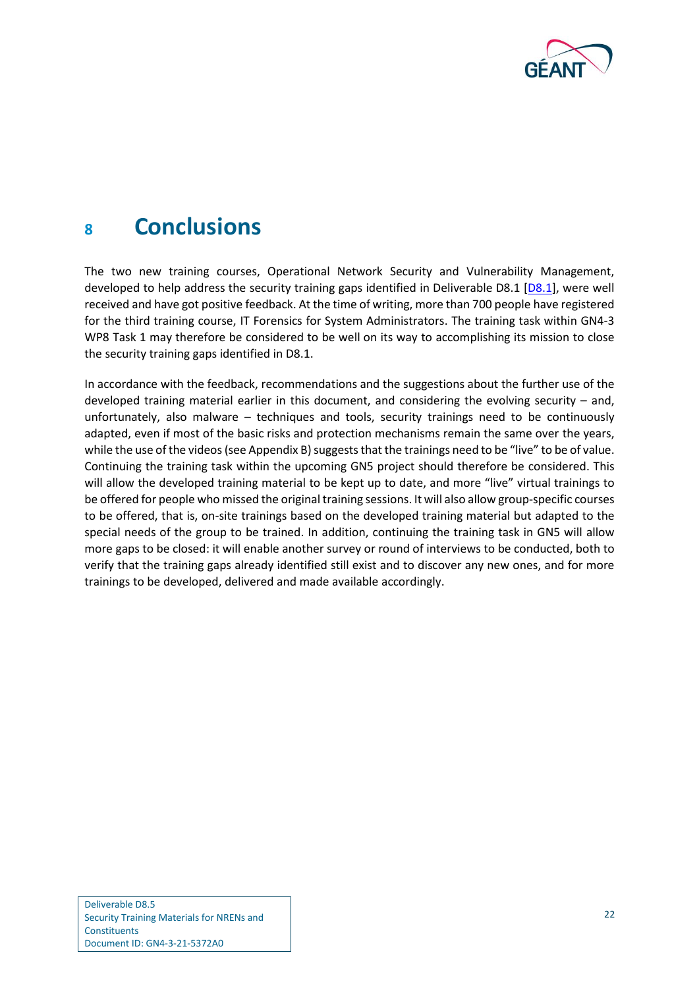

## <span id="page-24-0"></span>**<sup>8</sup> Conclusions**

The two new training courses, Operational Network Security and Vulnerability Management, developed to help address the security training gaps identified in Deliverable D8.1 [\[D8.1\]](#page-49-2), were well received and have got positive feedback. At the time of writing, more than 700 people have registered for the third training course, IT Forensics for System Administrators. The training task within GN4-3 WP8 Task 1 may therefore be considered to be well on its way to accomplishing its mission to close the security training gaps identified in D8.1.

In accordance with the feedback, recommendations and the suggestions about the further use of the developed training material earlier in this document, and considering the evolving security – and, unfortunately, also malware – techniques and tools, security trainings need to be continuously adapted, even if most of the basic risks and protection mechanisms remain the same over the years, while the use of the videos (se[e Appendix B\)](#page-45-0) suggests that the trainings need to be "live" to be of value. Continuing the training task within the upcoming GN5 project should therefore be considered. This will allow the developed training material to be kept up to date, and more "live" virtual trainings to be offered for people who missed the original training sessions. It will also allow group-specific courses to be offered, that is, on-site trainings based on the developed training material but adapted to the special needs of the group to be trained. In addition, continuing the training task in GN5 will allow more gaps to be closed: it will enable another survey or round of interviews to be conducted, both to verify that the training gaps already identified still exist and to discover any new ones, and for more trainings to be developed, delivered and made available accordingly.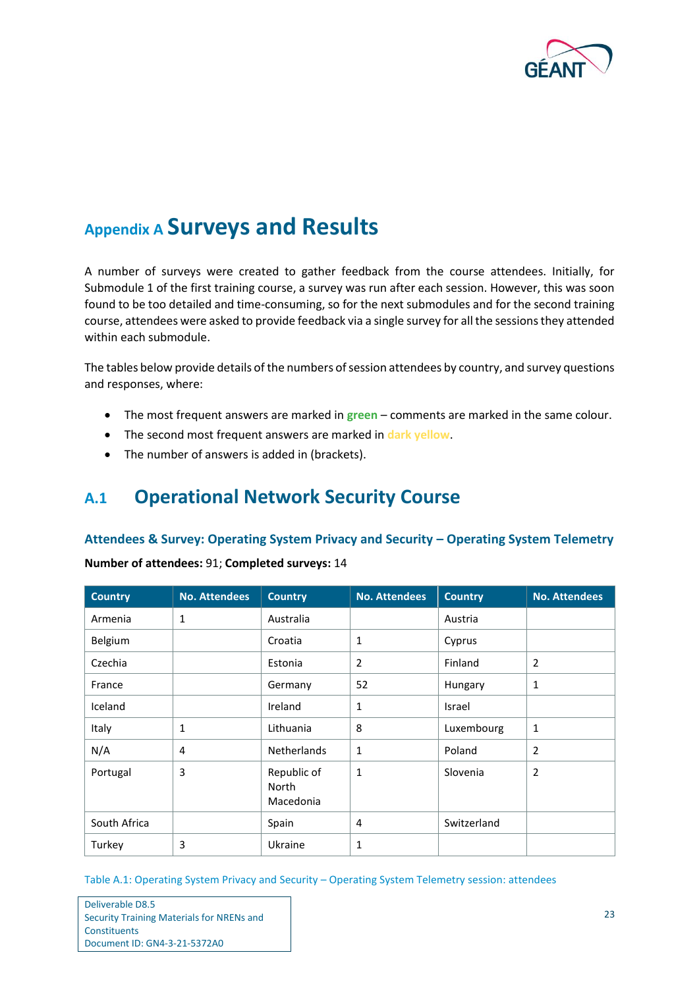

## <span id="page-25-0"></span>**Appendix A Surveys and Results**

A number of surveys were created to gather feedback from the course attendees. Initially, for Submodule 1 of the first training course, a survey was run after each session. However, this was soon found to be too detailed and time-consuming, so for the next submodules and for the second training course, attendees were asked to provide feedback via a single survey for all the sessions they attended within each submodule.

The tables below provide details of the numbers of session attendees by country, and survey questions and responses, where:

- The most frequent answers are marked in **green** comments are marked in the same colour.
- The second most frequent answers are marked in **dark yellow**.
- The number of answers is added in (brackets).

### <span id="page-25-1"></span>**A.1 Operational Network Security Course**

#### **Attendees & Survey: Operating System Privacy and Security – Operating System Telemetry**

| <b>Country</b> | <b>No. Attendees</b> | <b>Country</b>                    | <b>No. Attendees</b> | <b>Country</b> | <b>No. Attendees</b> |
|----------------|----------------------|-----------------------------------|----------------------|----------------|----------------------|
| Armenia        | 1                    | Australia                         |                      | Austria        |                      |
| Belgium        |                      | Croatia                           | 1                    | Cyprus         |                      |
| Czechia        |                      | Estonia                           | $\overline{2}$       | Finland        | 2                    |
| France         |                      | Germany                           | 52                   | Hungary        | 1                    |
| Iceland        |                      | Ireland                           | 1                    | Israel         |                      |
| Italy          | 1                    | Lithuania                         | 8                    | Luxembourg     | 1                    |
| N/A            | 4                    | <b>Netherlands</b>                | $\mathbf{1}$         | Poland         | $\overline{2}$       |
| Portugal       | 3                    | Republic of<br>North<br>Macedonia | 1                    | Slovenia       | $\overline{2}$       |
| South Africa   |                      | Spain                             | 4                    | Switzerland    |                      |
| Turkey         | 3                    | Ukraine                           | 1                    |                |                      |

**Number of attendees:** 91; **Completed surveys:** 14

<span id="page-25-2"></span>Table A.1: Operating System Privacy and Security – Operating System Telemetry session: attendees

| Deliverable D8.5                          |
|-------------------------------------------|
| Security Training Materials for NRENs and |
| Constituents                              |
| Document ID: GN4-3-21-5372A0              |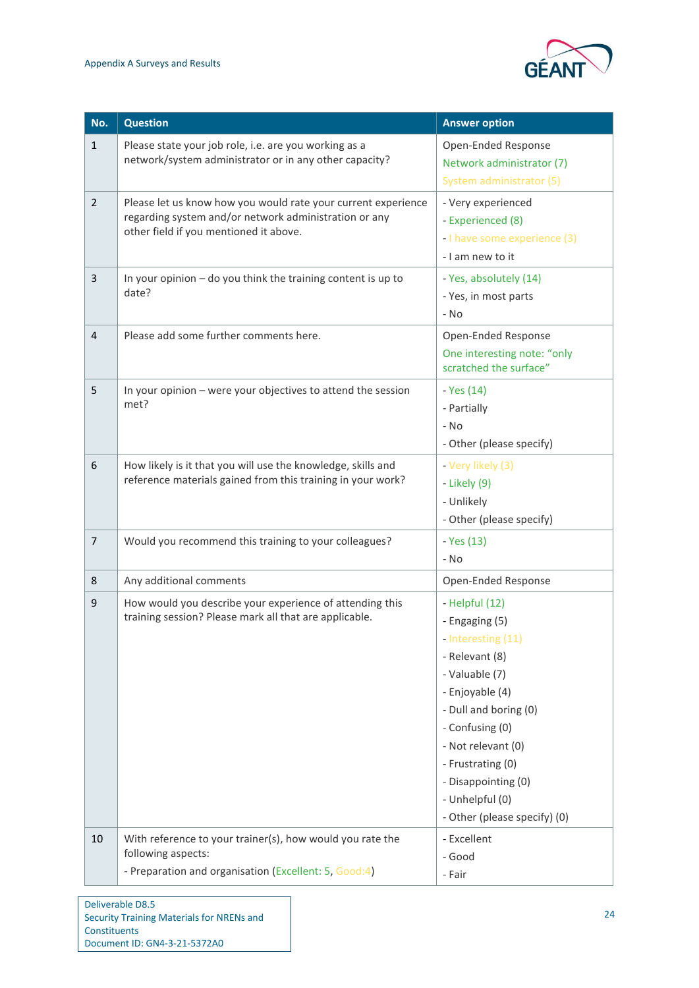

| No.            | <b>Question</b>                                                                                                                                                  | <b>Answer option</b>                                                                                                                                                                                                                                                           |
|----------------|------------------------------------------------------------------------------------------------------------------------------------------------------------------|--------------------------------------------------------------------------------------------------------------------------------------------------------------------------------------------------------------------------------------------------------------------------------|
| $\mathbf{1}$   | Please state your job role, i.e. are you working as a<br>network/system administrator or in any other capacity?                                                  | Open-Ended Response<br>Network administrator (7)<br>System administrator (5)                                                                                                                                                                                                   |
| $\overline{2}$ | Please let us know how you would rate your current experience<br>regarding system and/or network administration or any<br>other field if you mentioned it above. | - Very experienced<br>- Experienced (8)<br>- I have some experience (3)<br>- I am new to it                                                                                                                                                                                    |
| $\mathbf{3}$   | In your opinion $-$ do you think the training content is up to<br>date?                                                                                          | - Yes, absolutely (14)<br>- Yes, in most parts<br>- No                                                                                                                                                                                                                         |
| $\overline{4}$ | Please add some further comments here.                                                                                                                           | Open-Ended Response<br>One interesting note: "only<br>scratched the surface"                                                                                                                                                                                                   |
| 5              | In your opinion - were your objectives to attend the session<br>met?                                                                                             | - Yes (14)<br>- Partially<br>$- N0$<br>- Other (please specify)                                                                                                                                                                                                                |
| 6              | How likely is it that you will use the knowledge, skills and<br>reference materials gained from this training in your work?                                      | - Very likely (3)<br>- Likely (9)<br>- Unlikely<br>- Other (please specify)                                                                                                                                                                                                    |
| $\overline{7}$ | Would you recommend this training to your colleagues?                                                                                                            | - Yes (13)<br>- No                                                                                                                                                                                                                                                             |
| 8              | Any additional comments                                                                                                                                          | Open-Ended Response                                                                                                                                                                                                                                                            |
| $\mathsf 9$    | How would you describe your experience of attending this<br>training session? Please mark all that are applicable.                                               | - Helpful (12)<br>- Engaging (5)<br>- Interesting (11)<br>- Relevant (8)<br>- Valuable (7)<br>- Enjoyable (4)<br>- Dull and boring (0)<br>- Confusing (0)<br>- Not relevant (0)<br>- Frustrating (0)<br>- Disappointing (0)<br>- Unhelpful (0)<br>- Other (please specify) (0) |
| 10             | With reference to your trainer(s), how would you rate the<br>following aspects:<br>- Preparation and organisation (Excellent: 5, Good:4)                         | - Excellent<br>- Good<br>- Fair                                                                                                                                                                                                                                                |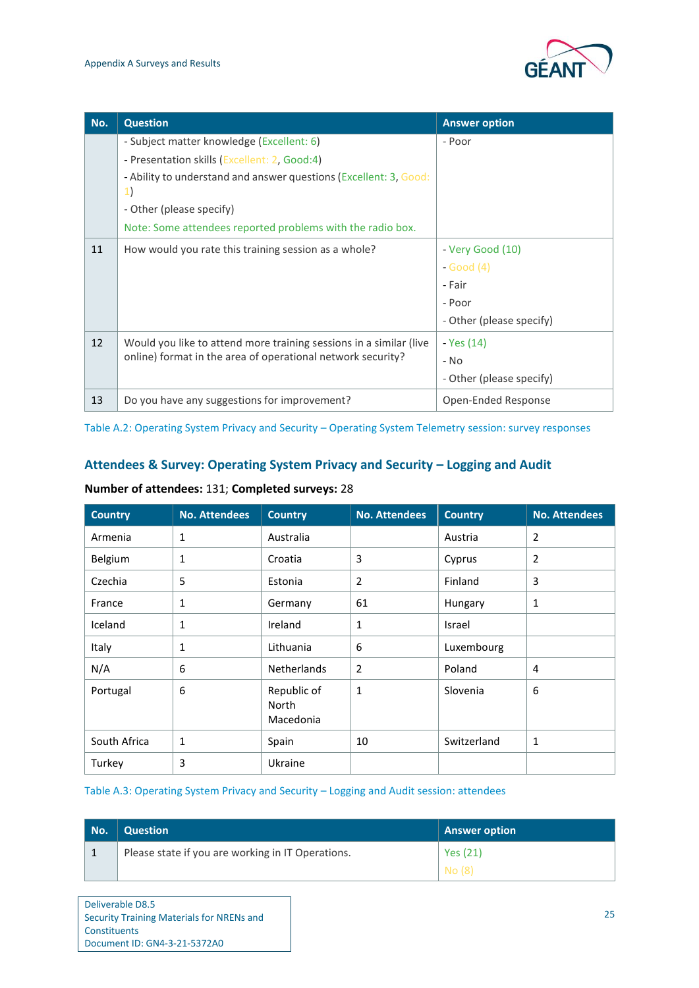

| No. | <b>Question</b>                                                         | <b>Answer option</b>     |
|-----|-------------------------------------------------------------------------|--------------------------|
|     | - Subject matter knowledge (Excellent: 6)                               | - Poor                   |
|     | - Presentation skills (Excellent: 2, Good:4)                            |                          |
|     | - Ability to understand and answer questions (Excellent: 3, Good:<br>1) |                          |
|     | - Other (please specify)                                                |                          |
|     | Note: Some attendees reported problems with the radio box.              |                          |
| 11  | How would you rate this training session as a whole?                    | - Very Good (10)         |
|     |                                                                         | $-Good(4)$               |
|     |                                                                         | - Fair                   |
|     |                                                                         | - Poor                   |
|     |                                                                         | - Other (please specify) |
| 12  | Would you like to attend more training sessions in a similar (live      | - Yes (14)               |
|     | online) format in the area of operational network security?             | - No                     |
|     |                                                                         | - Other (please specify) |
| 13  | Do you have any suggestions for improvement?                            | Open-Ended Response      |

<span id="page-27-0"></span>Table A.2: Operating System Privacy and Security – Operating System Telemetry session: survey responses

#### Attendees & Survey: Operating System Privacy and Security – Logging and Audit

#### **Number of attendees:** 131; **Completed surveys:** 28

| <b>Country</b> | <b>No. Attendees</b> | <b>Country</b>                    | <b>No. Attendees</b> | <b>Country</b> | <b>No. Attendees</b> |
|----------------|----------------------|-----------------------------------|----------------------|----------------|----------------------|
| Armenia        | 1                    | Australia                         |                      | Austria        | 2                    |
| Belgium        | 1                    | Croatia                           | 3                    | Cyprus         | 2                    |
| Czechia        | 5                    | Estonia                           | $\overline{2}$       | Finland        | 3                    |
| France         | 1                    | Germany                           | 61                   | Hungary        | $\mathbf{1}$         |
| Iceland        | 1                    | Ireland                           | 1                    | Israel         |                      |
| Italy          | 1                    | Lithuania                         | 6                    | Luxembourg     |                      |
| N/A            | 6                    | <b>Netherlands</b>                | 2                    | Poland         | 4                    |
| Portugal       | 6                    | Republic of<br>North<br>Macedonia | 1                    | Slovenia       | 6                    |
| South Africa   | 1                    | Spain                             | 10                   | Switzerland    | 1                    |
| Turkey         | 3                    | Ukraine                           |                      |                |                      |

#### <span id="page-27-1"></span>Table A.3: Operating System Privacy and Security – Logging and Audit session: attendees

| No. | <b>Question</b>                                   | <b>Answer option</b> |
|-----|---------------------------------------------------|----------------------|
|     | Please state if you are working in IT Operations. | Yes (21)             |
|     |                                                   | $N$ o (8)            |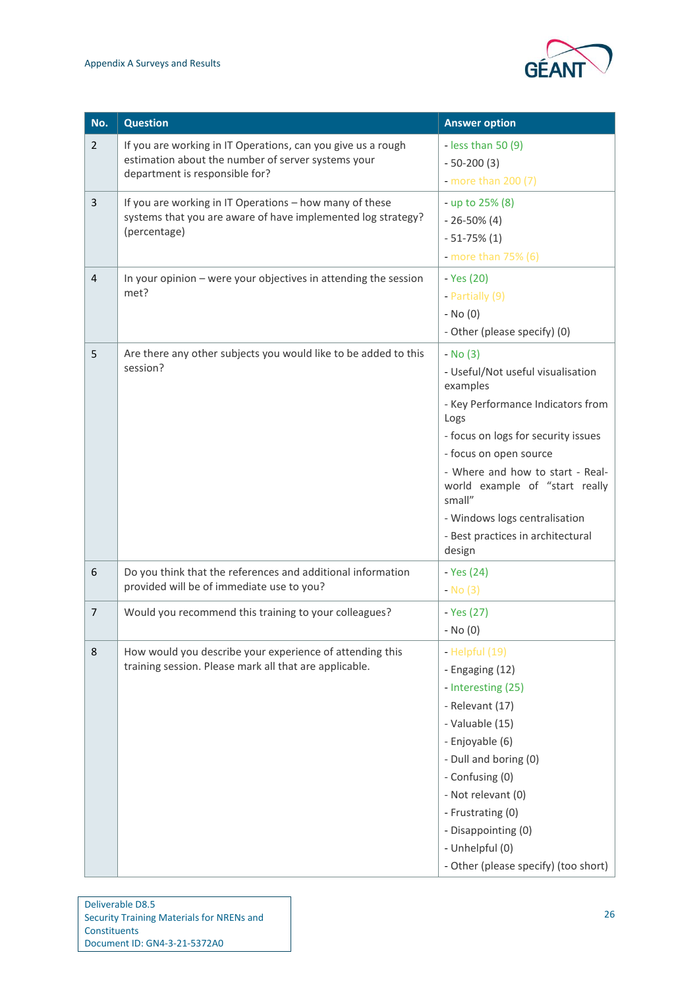

| No.            | <b>Question</b>                                                                                                                                      | <b>Answer option</b>                                                                                                                                                                                                                                                                                                                    |
|----------------|------------------------------------------------------------------------------------------------------------------------------------------------------|-----------------------------------------------------------------------------------------------------------------------------------------------------------------------------------------------------------------------------------------------------------------------------------------------------------------------------------------|
| $\overline{2}$ | If you are working in IT Operations, can you give us a rough<br>estimation about the number of server systems your<br>department is responsible for? | - less than $50(9)$<br>$-50-200(3)$<br>- more than $200(7)$                                                                                                                                                                                                                                                                             |
| 3              | If you are working in IT Operations - how many of these<br>systems that you are aware of have implemented log strategy?<br>(percentage)              | - up to 25% (8)<br>$-26-50\%$ (4)<br>$-51-75\%$ (1)<br>- more than $75\%$ (6)                                                                                                                                                                                                                                                           |
| $\overline{4}$ | In your opinion - were your objectives in attending the session<br>met?                                                                              | - Yes (20)<br>- Partially (9)<br>$-$ No $(0)$<br>- Other (please specify) (0)                                                                                                                                                                                                                                                           |
| 5              | Are there any other subjects you would like to be added to this<br>session?                                                                          | - No (3)<br>- Useful/Not useful visualisation<br>examples<br>- Key Performance Indicators from<br>Logs<br>- focus on logs for security issues<br>- focus on open source<br>- Where and how to start - Real-<br>world example of "start really<br>small"<br>- Windows logs centralisation<br>- Best practices in architectural<br>design |
| 6              | Do you think that the references and additional information<br>provided will be of immediate use to you?                                             | - Yes (24)<br>$-$ No $(3)$                                                                                                                                                                                                                                                                                                              |
| $\overline{7}$ | Would you recommend this training to your colleagues?                                                                                                | - Yes (27)<br>$-$ No $(0)$                                                                                                                                                                                                                                                                                                              |
| 8              | How would you describe your experience of attending this<br>training session. Please mark all that are applicable.                                   | - Helpful (19)<br>- Engaging (12)<br>- Interesting (25)<br>- Relevant (17)<br>- Valuable (15)<br>- Enjoyable (6)<br>- Dull and boring (0)<br>- Confusing (0)<br>- Not relevant (0)<br>- Frustrating (0)<br>- Disappointing (0)<br>- Unhelpful (0)<br>- Other (please specify) (too short)                                               |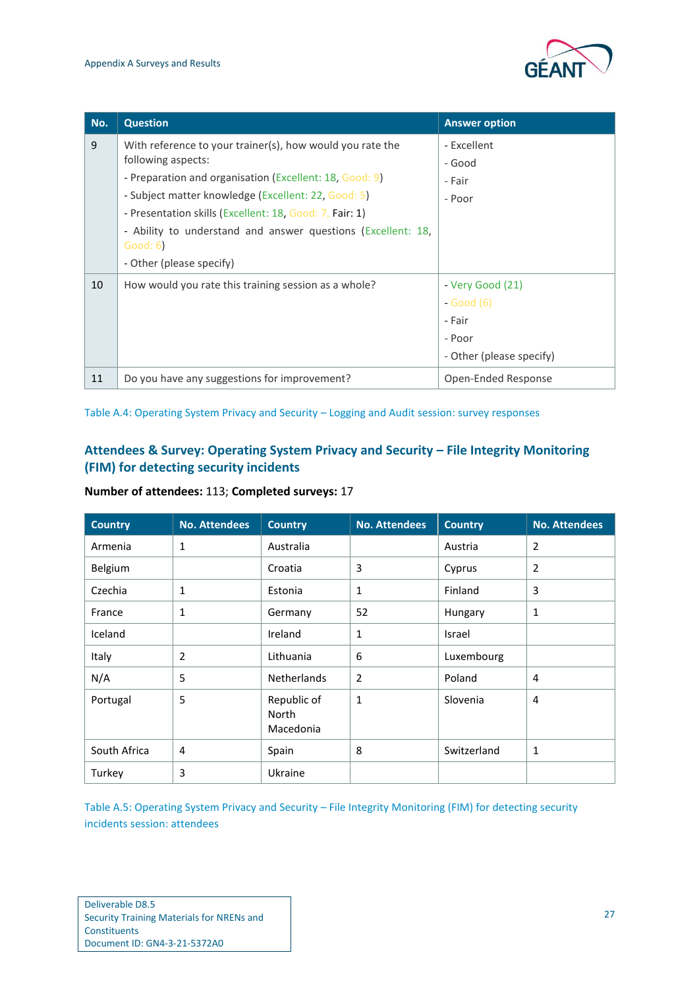

| No. | <b>Question</b>                                                          | <b>Answer option</b>     |
|-----|--------------------------------------------------------------------------|--------------------------|
| 9   | With reference to your trainer(s), how would you rate the                | - Excellent              |
|     | following aspects:                                                       | - Good                   |
|     | - Preparation and organisation (Excellent: 18, Good: 9)                  | - Fair                   |
|     | - Subject matter knowledge (Excellent: 22, Good: 5)                      | - Poor                   |
|     | - Presentation skills (Excellent: 18, Good: 7, Fair: 1)                  |                          |
|     | - Ability to understand and answer questions (Excellent: 18,<br>Good: 6) |                          |
|     | - Other (please specify)                                                 |                          |
| 10  | How would you rate this training session as a whole?                     | - Very Good (21)         |
|     |                                                                          | - Good (6)               |
|     |                                                                          | - Fair                   |
|     |                                                                          | - Poor                   |
|     |                                                                          | - Other (please specify) |
| 11  | Do you have any suggestions for improvement?                             | Open-Ended Response      |

<span id="page-29-0"></span>Table A.4: Operating System Privacy and Security – Logging and Audit session: survey responses

#### **Attendees & Survey: Operating System Privacy and Security – File Integrity Monitoring (FIM) for detecting security incidents**

**Number of attendees:** 113; **Completed surveys:** 17

| <b>Country</b> | <b>No. Attendees</b> | <b>Country</b>                           | <b>No. Attendees</b> | <b>Country</b> | <b>No. Attendees</b> |
|----------------|----------------------|------------------------------------------|----------------------|----------------|----------------------|
| Armenia        | 1                    | Australia                                |                      | Austria        | 2                    |
| Belgium        |                      | Croatia                                  | 3                    | Cyprus         | $\overline{2}$       |
| Czechia        | 1                    | Estonia                                  | 1                    | Finland        | 3                    |
| France         | 1                    | Germany                                  | 52                   | Hungary        | 1                    |
| Iceland        |                      | Ireland                                  | 1                    | Israel         |                      |
| Italy          | $\overline{2}$       | Lithuania                                | 6                    | Luxembourg     |                      |
| N/A            | 5                    | <b>Netherlands</b>                       | $\overline{2}$       | Poland         | 4                    |
| Portugal       | 5                    | Republic of<br><b>North</b><br>Macedonia | 1                    | Slovenia       | 4                    |
| South Africa   | 4                    | Spain                                    | 8                    | Switzerland    | 1                    |
| Turkey         | 3                    | Ukraine                                  |                      |                |                      |

<span id="page-29-1"></span>Table A.5: Operating System Privacy and Security – File Integrity Monitoring (FIM) for detecting security incidents session: attendees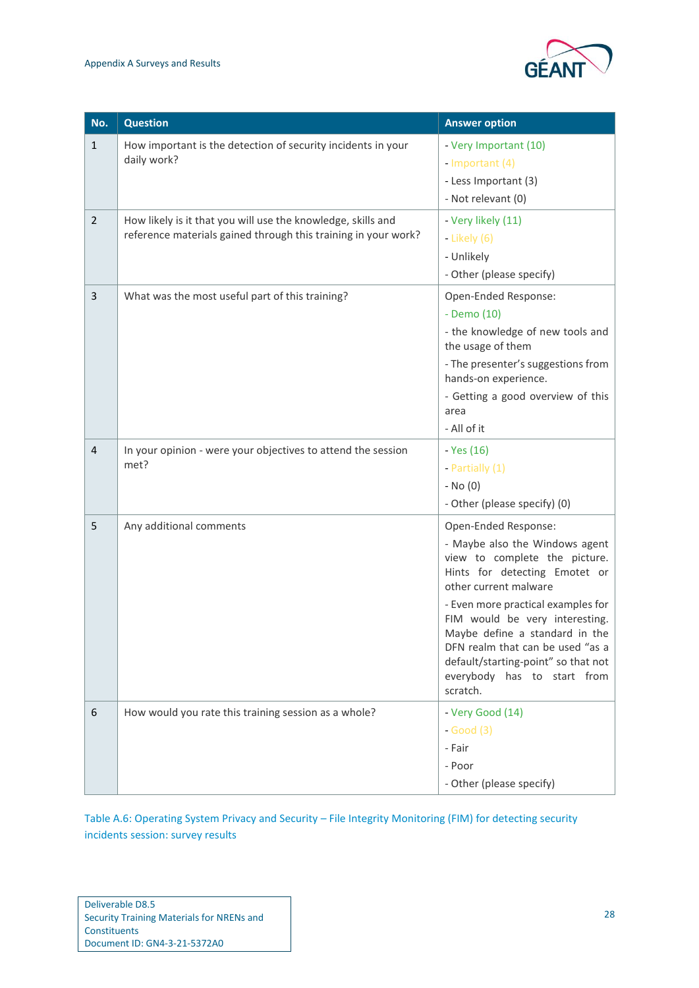

| No.            | <b>Question</b>                                                                                                                | <b>Answer option</b>                                                                                                                                                                                                                                                                                                                                                              |
|----------------|--------------------------------------------------------------------------------------------------------------------------------|-----------------------------------------------------------------------------------------------------------------------------------------------------------------------------------------------------------------------------------------------------------------------------------------------------------------------------------------------------------------------------------|
| $\mathbf{1}$   | How important is the detection of security incidents in your<br>daily work?                                                    | - Very Important (10)<br>- Important (4)<br>- Less Important (3)<br>- Not relevant (0)                                                                                                                                                                                                                                                                                            |
| $\overline{2}$ | How likely is it that you will use the knowledge, skills and<br>reference materials gained through this training in your work? | - Very likely (11)<br>- Likely $(6)$<br>- Unlikely<br>- Other (please specify)                                                                                                                                                                                                                                                                                                    |
| 3              | What was the most useful part of this training?                                                                                | Open-Ended Response:<br>- Demo (10)<br>- the knowledge of new tools and<br>the usage of them<br>- The presenter's suggestions from<br>hands-on experience.<br>- Getting a good overview of this<br>area<br>- All of it                                                                                                                                                            |
| 4              | In your opinion - were your objectives to attend the session<br>met?                                                           | - Yes (16)<br>- Partially (1)<br>$-$ No $(0)$<br>- Other (please specify) (0)                                                                                                                                                                                                                                                                                                     |
| 5              | Any additional comments                                                                                                        | Open-Ended Response:<br>- Maybe also the Windows agent<br>view to complete the picture.<br>Hints for detecting Emotet or<br>other current malware<br>- Even more practical examples for<br>FIM would be very interesting.<br>Maybe define a standard in the<br>DFN realm that can be used "as a<br>default/starting-point" so that not<br>everybody has to start from<br>scratch. |
| 6              | How would you rate this training session as a whole?                                                                           | - Very Good (14)<br>$-Good(3)$<br>- Fair<br>- Poor<br>- Other (please specify)                                                                                                                                                                                                                                                                                                    |

<span id="page-30-0"></span>Table A.6: Operating System Privacy and Security – File Integrity Monitoring (FIM) for detecting security incidents session: survey results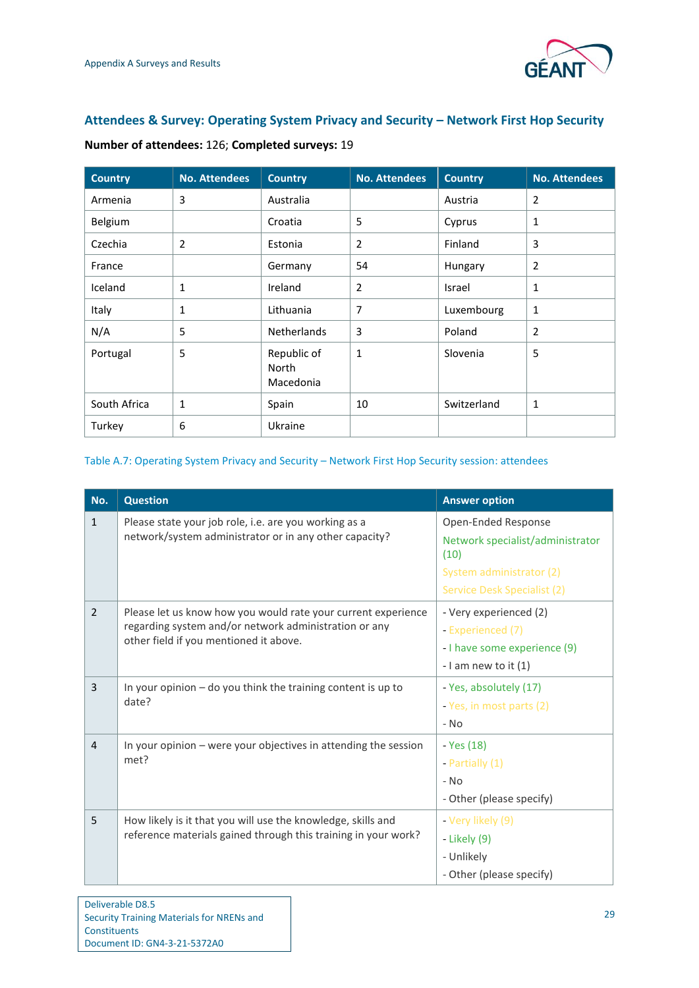

#### **Attendees & Survey: Operating System Privacy and Security – Network First Hop Security**

| <b>Country</b> | <b>No. Attendees</b> | <b>Country</b>                    | <b>No. Attendees</b> | <b>Country</b> | <b>No. Attendees</b> |
|----------------|----------------------|-----------------------------------|----------------------|----------------|----------------------|
| Armenia        | 3                    | Australia                         |                      | Austria        | 2                    |
| Belgium        |                      | Croatia                           | 5                    | Cyprus         | $\mathbf{1}$         |
| Czechia        | $\overline{2}$       | Estonia                           | $\overline{2}$       | Finland        | 3                    |
| France         |                      | Germany                           | 54                   | Hungary        | 2                    |
| Iceland        | 1                    | Ireland                           | $\overline{2}$       | Israel         | 1                    |
| Italy          | 1                    | Lithuania                         | 7                    | Luxembourg     | $\mathbf{1}$         |
| N/A            | 5                    | <b>Netherlands</b>                | 3                    | Poland         | 2                    |
| Portugal       | 5                    | Republic of<br>North<br>Macedonia | $\mathbf{1}$         | Slovenia       | 5                    |
| South Africa   | 1                    | Spain                             | 10                   | Switzerland    | $\mathbf{1}$         |
| Turkey         | 6                    | Ukraine                           |                      |                |                      |

#### **Number of attendees:** 126; **Completed surveys:** 19

#### <span id="page-31-0"></span>Table A.7: Operating System Privacy and Security – Network First Hop Security session: attendees

| No.            | <b>Question</b>                                                                                                                                                  | <b>Answer option</b>                                                                                                       |
|----------------|------------------------------------------------------------------------------------------------------------------------------------------------------------------|----------------------------------------------------------------------------------------------------------------------------|
| $\mathbf{1}$   | Please state your job role, i.e. are you working as a<br>network/system administrator or in any other capacity?                                                  | Open-Ended Response<br>Network specialist/administrator<br>(10)<br>System administrator (2)<br>Service Desk Specialist (2) |
| $\overline{2}$ | Please let us know how you would rate your current experience<br>regarding system and/or network administration or any<br>other field if you mentioned it above. | - Very experienced (2)<br>- Experienced (7)<br>- I have some experience (9)<br>- I am new to it $(1)$                      |
| 3              | In your opinion $-$ do you think the training content is up to<br>date?                                                                                          | - Yes, absolutely (17)<br>- Yes, in most parts (2)<br>$-$ No                                                               |
| $\overline{4}$ | In your opinion $-$ were your objectives in attending the session<br>met?                                                                                        | - Yes (18)<br>- Partially $(1)$<br>$-$ No<br>- Other (please specify)                                                      |
| 5              | How likely is it that you will use the knowledge, skills and<br>reference materials gained through this training in your work?                                   | - Very likely (9)<br>- Likely (9)<br>- Unlikely<br>- Other (please specify)                                                |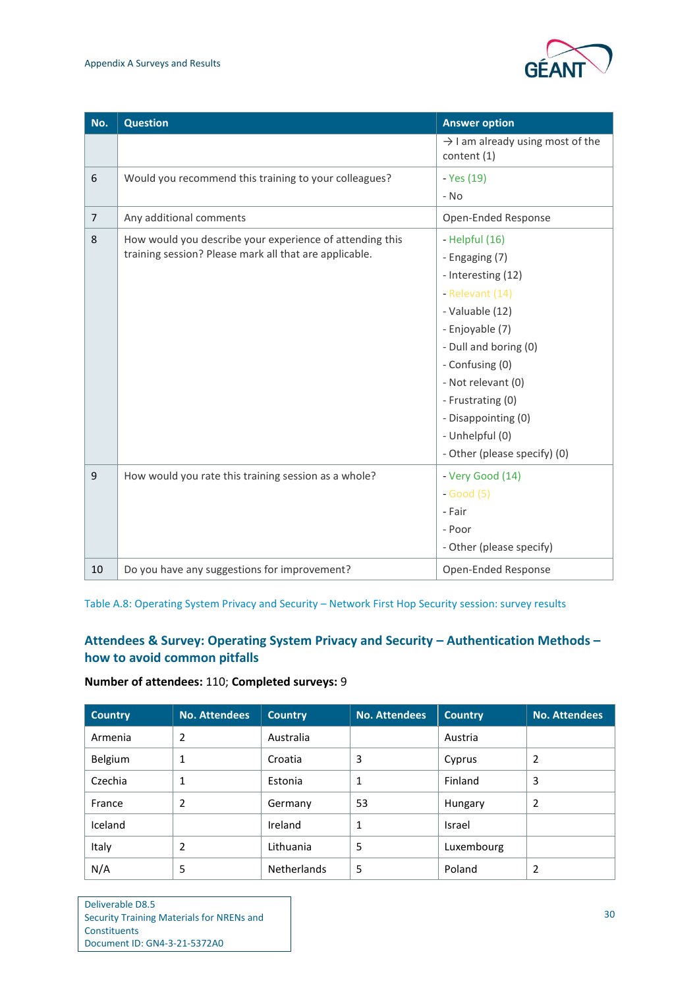#### Appendix A Surveys and Results



| No.            | <b>Question</b>                                                                                                    | <b>Answer option</b>                                                                                                                                                                                                                                                               |
|----------------|--------------------------------------------------------------------------------------------------------------------|------------------------------------------------------------------------------------------------------------------------------------------------------------------------------------------------------------------------------------------------------------------------------------|
|                |                                                                                                                    | $\rightarrow$ I am already using most of the<br>content (1)                                                                                                                                                                                                                        |
| 6              | Would you recommend this training to your colleagues?                                                              | - Yes (19)<br>$-$ No                                                                                                                                                                                                                                                               |
| $\overline{7}$ | Any additional comments                                                                                            | Open-Ended Response                                                                                                                                                                                                                                                                |
| 8              | How would you describe your experience of attending this<br>training session? Please mark all that are applicable. | - Helpful $(16)$<br>- Engaging (7)<br>- Interesting (12)<br>- Relevant (14)<br>- Valuable (12)<br>- Enjoyable (7)<br>- Dull and boring (0)<br>- Confusing (0)<br>- Not relevant (0)<br>- Frustrating (0)<br>- Disappointing (0)<br>- Unhelpful (0)<br>- Other (please specify) (0) |
| 9              | How would you rate this training session as a whole?                                                               | - Very Good (14)<br>$-Good(5)$<br>- Fair<br>- Poor<br>- Other (please specify)                                                                                                                                                                                                     |
| 10             | Do you have any suggestions for improvement?                                                                       | Open-Ended Response                                                                                                                                                                                                                                                                |

<span id="page-32-0"></span>Table A.8: Operating System Privacy and Security – Network First Hop Security session: survey results

#### **Attendees & Survey: Operating System Privacy and Security – Authentication Methods – how to avoid common pitfalls**

#### **Number of attendees:** 110; **Completed surveys:** 9

| <b>Country</b> | <b>No. Attendees</b> | <b>Country</b>     | <b>No. Attendees</b> | <b>Country</b> | <b>No. Attendees</b> |
|----------------|----------------------|--------------------|----------------------|----------------|----------------------|
| Armenia        | 2                    | Australia          |                      | Austria        |                      |
| Belgium        |                      | Croatia            | 3                    | Cyprus         | 2                    |
| Czechia        | 1                    | Estonia            | 1                    | Finland        | 3                    |
| France         | 2                    | Germany            | 53                   | Hungary        | 2                    |
| Iceland        |                      | Ireland            | 1                    | Israel         |                      |
| Italy          | 2                    | Lithuania          | 5                    | Luxembourg     |                      |
| N/A            | 5                    | <b>Netherlands</b> | 5                    | Poland         | 2                    |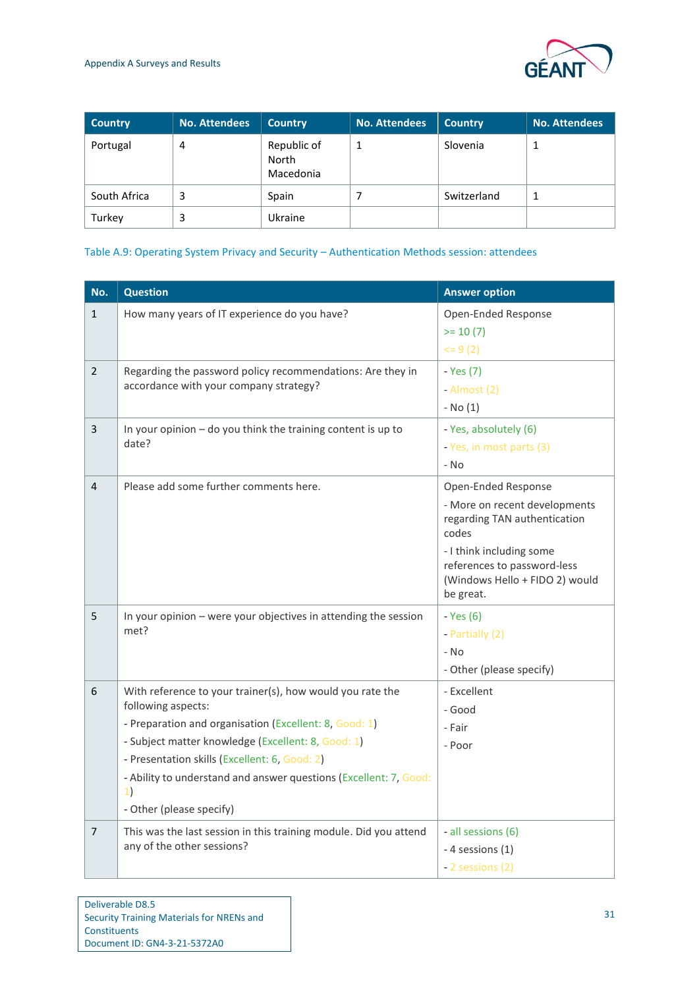

| <b>Country</b> | <b>No. Attendees</b> | <b>Country</b>                    | <b>No. Attendees</b> | <b>Country</b> | <b>No. Attendees</b> |
|----------------|----------------------|-----------------------------------|----------------------|----------------|----------------------|
| Portugal       | 4                    | Republic of<br>North<br>Macedonia |                      | Slovenia       | 1                    |
| South Africa   | 3                    | Spain                             |                      | Switzerland    | 1                    |
| Turkey         | 3                    | Ukraine                           |                      |                |                      |

#### <span id="page-33-0"></span>Table A.9: Operating System Privacy and Security – Authentication Methods session: attendees

| No.            | <b>Question</b>                                                              | <b>Answer option</b>                  |
|----------------|------------------------------------------------------------------------------|---------------------------------------|
| $\mathbf{1}$   | How many years of IT experience do you have?                                 | Open-Ended Response                   |
|                |                                                                              | $>= 10(7)$                            |
|                |                                                                              | $= 9(2)$                              |
| $\overline{2}$ | Regarding the password policy recommendations: Are they in                   | - Yes (7)                             |
|                | accordance with your company strategy?                                       | - Almost (2)                          |
|                |                                                                              | $-$ No $(1)$                          |
| 3              | In your opinion $-$ do you think the training content is up to               | - Yes, absolutely (6)                 |
|                | date?                                                                        | - Yes, in most parts (3)              |
|                |                                                                              | - No                                  |
| 4              | Please add some further comments here.                                       | Open-Ended Response                   |
|                |                                                                              | - More on recent developments         |
|                |                                                                              | regarding TAN authentication<br>codes |
|                |                                                                              | - I think including some              |
|                |                                                                              | references to password-less           |
|                |                                                                              | (Windows Hello + FIDO 2) would        |
|                |                                                                              | be great.                             |
| 5              | In your opinion - were your objectives in attending the session<br>met?      | - Yes (6)                             |
|                |                                                                              | - Partially (2)                       |
|                |                                                                              | - No                                  |
|                |                                                                              | - Other (please specify)              |
| 6              | With reference to your trainer(s), how would you rate the                    | - Excellent                           |
|                | following aspects:<br>- Preparation and organisation (Excellent: 8, Good: 1) | - Good                                |
|                | - Subject matter knowledge (Excellent: 8, Good: 1)                           | - Fair                                |
|                | - Presentation skills (Excellent: 6, Good: 2)                                | - Poor                                |
|                | - Ability to understand and answer questions (Excellent: 7, Good:            |                                       |
|                | 1)                                                                           |                                       |
|                | - Other (please specify)                                                     |                                       |
| $\overline{7}$ | This was the last session in this training module. Did you attend            | - all sessions (6)                    |
|                | any of the other sessions?                                                   | - 4 sessions (1)                      |
|                |                                                                              | - 2 sessions (2)                      |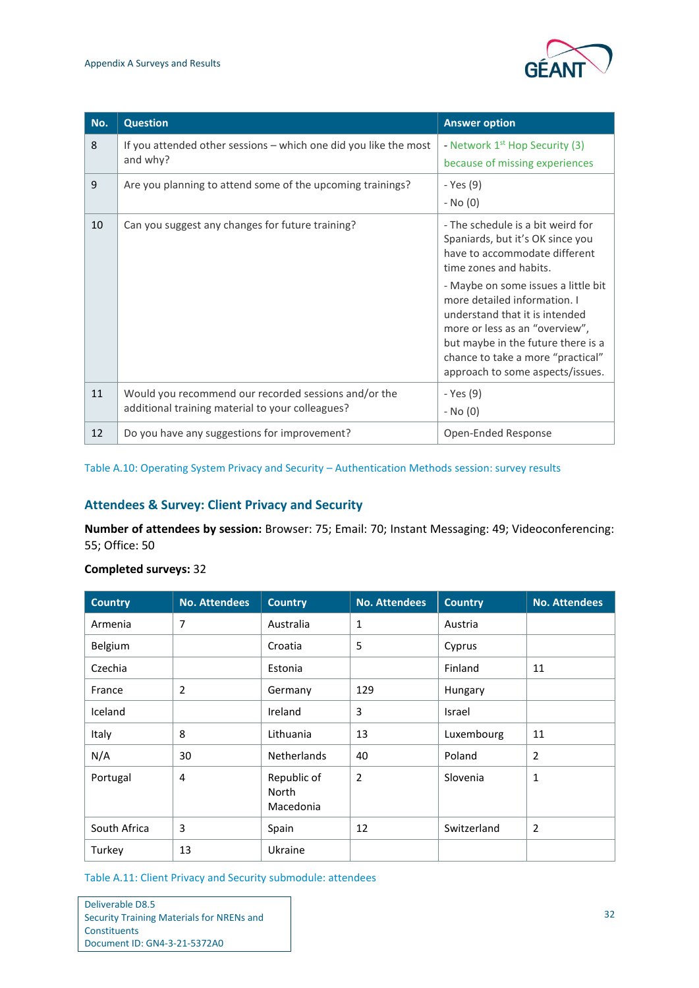

| No. | <b>Question</b>                                                                                          | <b>Answer option</b>                                                                                                                                                                                                                                                                                                                                                                       |
|-----|----------------------------------------------------------------------------------------------------------|--------------------------------------------------------------------------------------------------------------------------------------------------------------------------------------------------------------------------------------------------------------------------------------------------------------------------------------------------------------------------------------------|
| 8   | If you attended other sessions – which one did you like the most<br>and why?                             | - Network 1 <sup>st</sup> Hop Security (3)<br>because of missing experiences                                                                                                                                                                                                                                                                                                               |
| 9   | Are you planning to attend some of the upcoming trainings?                                               | - Yes (9)<br>- No (0)                                                                                                                                                                                                                                                                                                                                                                      |
| 10  | Can you suggest any changes for future training?                                                         | - The schedule is a bit weird for<br>Spaniards, but it's OK since you<br>have to accommodate different<br>time zones and habits.<br>- Maybe on some issues a little bit<br>more detailed information. I<br>understand that it is intended<br>more or less as an "overview",<br>but maybe in the future there is a<br>chance to take a more "practical"<br>approach to some aspects/issues. |
| 11  | Would you recommend our recorded sessions and/or the<br>additional training material to your colleagues? | - Yes (9)<br>- No (0)                                                                                                                                                                                                                                                                                                                                                                      |
| 12  | Do you have any suggestions for improvement?                                                             | Open-Ended Response                                                                                                                                                                                                                                                                                                                                                                        |

<span id="page-34-0"></span>Table A.10: Operating System Privacy and Security – Authentication Methods session: survey results

#### **Attendees & Survey: Client Privacy and Security**

**Number of attendees by session:** Browser: 75; Email: 70; Instant Messaging: 49; Videoconferencing: 55; Office: 50

| <b>Country</b> | <b>No. Attendees</b> | <b>Country</b>                    | <b>No. Attendees</b> | <b>Country</b> | <b>No. Attendees</b> |
|----------------|----------------------|-----------------------------------|----------------------|----------------|----------------------|
| Armenia        | $\overline{7}$       | Australia                         | 1                    | Austria        |                      |
| Belgium        |                      | Croatia                           | 5                    | Cyprus         |                      |
| Czechia        |                      | Estonia                           |                      | Finland        | 11                   |
| France         | $\overline{2}$       | Germany                           | 129                  | Hungary        |                      |
| Iceland        |                      | Ireland                           | 3                    | <b>Israel</b>  |                      |
| Italy          | 8                    | Lithuania                         | 13                   | Luxembourg     | 11                   |
| N/A            | 30                   | <b>Netherlands</b>                | 40                   | Poland         | $\overline{2}$       |
| Portugal       | 4                    | Republic of<br>North<br>Macedonia | 2                    | Slovenia       | $\mathbf{1}$         |
| South Africa   | 3                    | Spain                             | 12                   | Switzerland    | $\overline{2}$       |
| Turkey         | 13                   | Ukraine                           |                      |                |                      |

#### **Completed surveys:** 32

<span id="page-34-1"></span>Table A.11: Client Privacy and Security submodule: attendees

| Deliverable D8.5                          |
|-------------------------------------------|
| Security Training Materials for NRENs and |
| Constituents                              |
| Document ID: GN4-3-21-5372A0              |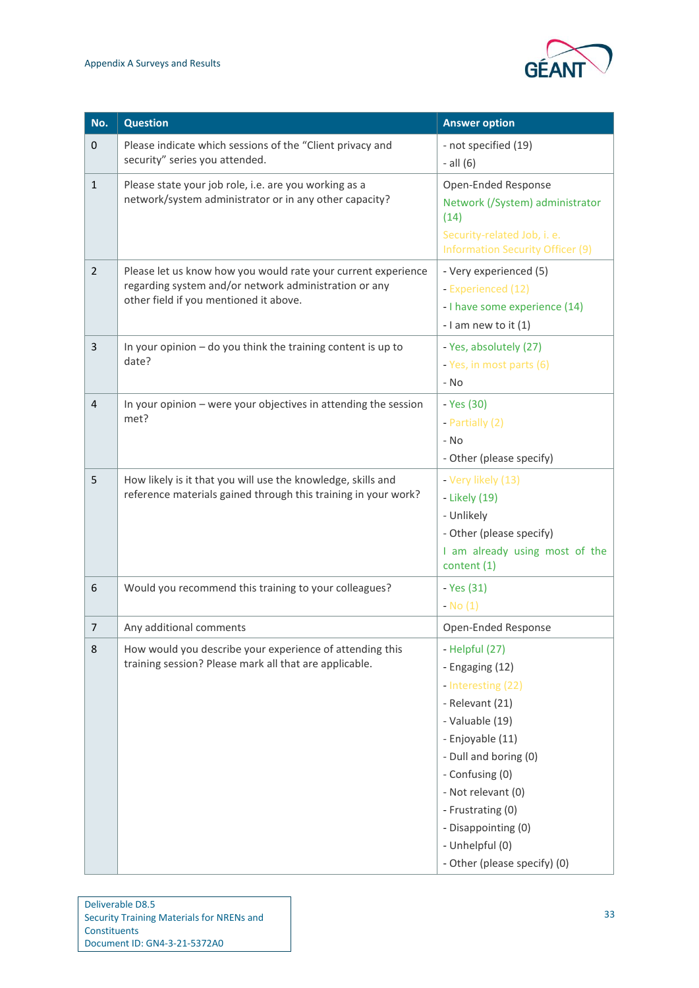

| No.            | <b>Question</b>                                                                                                                                                  | <b>Answer option</b>                                                                                                                                                                                                                                                               |
|----------------|------------------------------------------------------------------------------------------------------------------------------------------------------------------|------------------------------------------------------------------------------------------------------------------------------------------------------------------------------------------------------------------------------------------------------------------------------------|
| $\mathbf 0$    | Please indicate which sessions of the "Client privacy and<br>security" series you attended.                                                                      | - not specified (19)<br>$-$ all $(6)$                                                                                                                                                                                                                                              |
| $\mathbf{1}$   | Please state your job role, i.e. are you working as a<br>network/system administrator or in any other capacity?                                                  | Open-Ended Response<br>Network (/System) administrator<br>(14)<br>Security-related Job, i. e.<br><b>Information Security Officer (9)</b>                                                                                                                                           |
| $\overline{2}$ | Please let us know how you would rate your current experience<br>regarding system and/or network administration or any<br>other field if you mentioned it above. | - Very experienced (5)<br>- Experienced (12)<br>- I have some experience (14)<br>- I am new to it $(1)$                                                                                                                                                                            |
| 3              | In your opinion - do you think the training content is up to<br>date?                                                                                            | - Yes, absolutely (27)<br>- Yes, in most parts (6)<br>- No                                                                                                                                                                                                                         |
| 4              | In your opinion - were your objectives in attending the session<br>met?                                                                                          | - Yes (30)<br>- Partially (2)<br>$-$ No<br>- Other (please specify)                                                                                                                                                                                                                |
| 5              | How likely is it that you will use the knowledge, skills and<br>reference materials gained through this training in your work?                                   | - Very likely (13)<br>- Likely (19)<br>- Unlikely<br>- Other (please specify)<br>I am already using most of the<br>content (1)                                                                                                                                                     |
| 6              | Would you recommend this training to your colleagues?                                                                                                            | - Yes (31)<br>$-$ No $(1)$                                                                                                                                                                                                                                                         |
| 7              | Any additional comments                                                                                                                                          | Open-Ended Response                                                                                                                                                                                                                                                                |
| 8              | How would you describe your experience of attending this<br>training session? Please mark all that are applicable.                                               | - Helpful (27)<br>- Engaging (12)<br>- Interesting (22)<br>- Relevant (21)<br>- Valuable (19)<br>- Enjoyable (11)<br>- Dull and boring (0)<br>- Confusing (0)<br>- Not relevant (0)<br>- Frustrating (0)<br>- Disappointing (0)<br>- Unhelpful (0)<br>- Other (please specify) (0) |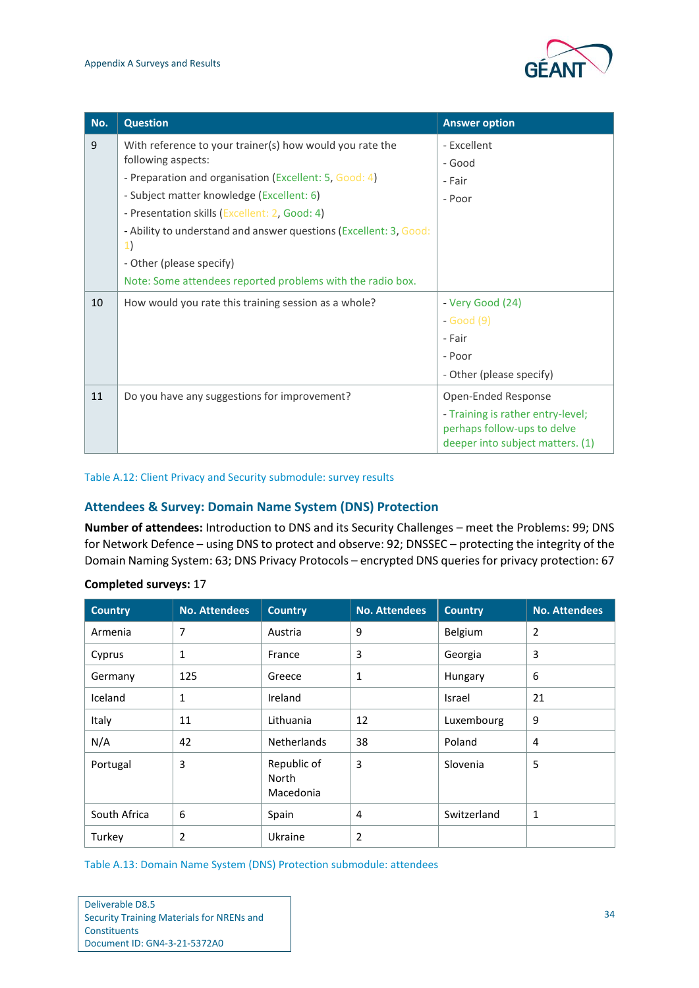

| No. | <b>Question</b>                                                                                                                                                                                                                                                                                                                               | <b>Answer option</b>                                                                                                        |
|-----|-----------------------------------------------------------------------------------------------------------------------------------------------------------------------------------------------------------------------------------------------------------------------------------------------------------------------------------------------|-----------------------------------------------------------------------------------------------------------------------------|
| 9   | With reference to your trainer(s) how would you rate the<br>following aspects:<br>- Preparation and organisation (Excellent: 5, Good: 4)<br>- Subject matter knowledge (Excellent: 6)<br>- Presentation skills (Excellent: 2, Good: 4)<br>- Ability to understand and answer questions (Excellent: 3, Good:<br>1)<br>- Other (please specify) | - Excellent<br>- Good<br>- Fair<br>- Poor                                                                                   |
| 10  | Note: Some attendees reported problems with the radio box.<br>How would you rate this training session as a whole?                                                                                                                                                                                                                            | - Very Good (24)<br>- Good (9)<br>- Fair<br>- Poor<br>- Other (please specify)                                              |
| 11  | Do you have any suggestions for improvement?                                                                                                                                                                                                                                                                                                  | Open-Ended Response<br>- Training is rather entry-level;<br>perhaps follow-ups to delve<br>deeper into subject matters. (1) |

#### <span id="page-36-0"></span>Table A.12: Client Privacy and Security submodule: survey results

#### <span id="page-36-2"></span>**Attendees & Survey: Domain Name System (DNS) Protection**

**Number of attendees:** Introduction to DNS and its Security Challenges – meet the Problems: 99; DNS for Network Defence – using DNS to protect and observe: 92; DNSSEC – protecting the integrity of the Domain Naming System: 63; DNS Privacy Protocols – encrypted DNS queries for privacy protection: 67

| <b>Country</b> | <b>No. Attendees</b> | <b>Country</b>                    | <b>No. Attendees</b> | <b>Country</b> | <b>No. Attendees</b> |
|----------------|----------------------|-----------------------------------|----------------------|----------------|----------------------|
| Armenia        | 7                    | Austria                           | 9                    | Belgium        | 2                    |
| Cyprus         | 1                    | France                            | 3                    | Georgia        | 3                    |
| Germany        | 125                  | Greece                            | $\mathbf{1}$         | Hungary        | 6                    |
| Iceland        | 1                    | Ireland                           |                      | Israel         | 21                   |
| Italy          | 11                   | Lithuania                         | 12                   | Luxembourg     | 9                    |
| N/A            | 42                   | <b>Netherlands</b>                | 38                   | Poland         | $\overline{4}$       |
| Portugal       | 3                    | Republic of<br>North<br>Macedonia | 3                    | Slovenia       | 5                    |
| South Africa   | 6                    | Spain                             | $\overline{4}$       | Switzerland    | 1                    |
| Turkey         | $\overline{2}$       | Ukraine                           | $\overline{2}$       |                |                      |

#### **Completed surveys:** 17

<span id="page-36-1"></span>Table A.13: Domain Name System (DNS) Protection submodule: attendees

| Deliverable D8.5                          |
|-------------------------------------------|
| Security Training Materials for NRENs and |
| Constituents                              |
| Document ID: GN4-3-21-5372A0              |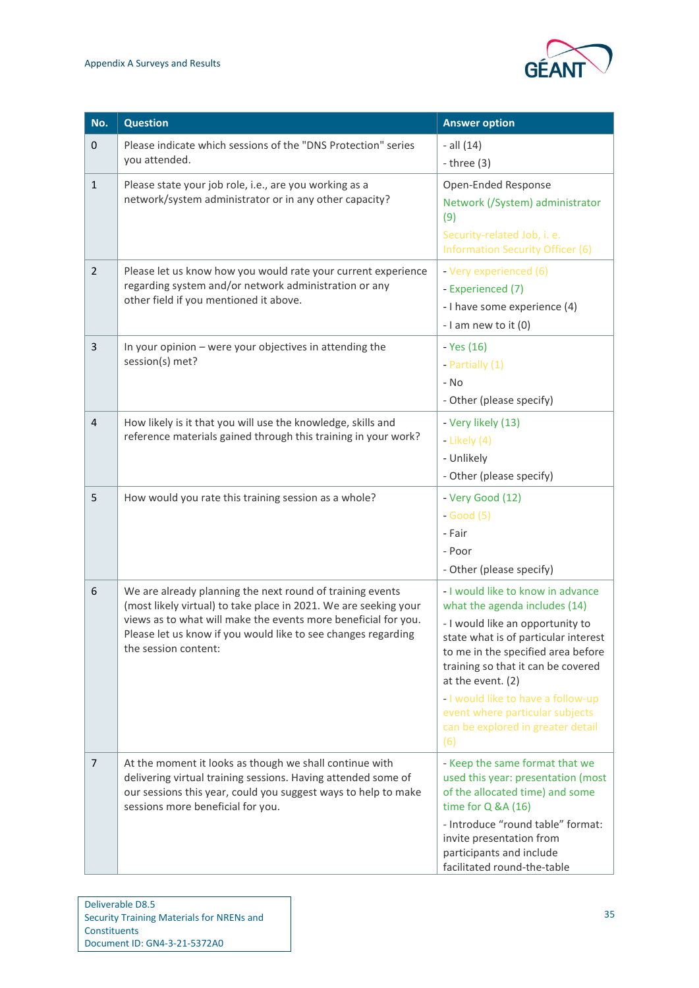

| No.            | <b>Question</b>                                                                                                                                                                                                                                                                          | <b>Answer option</b>                                                                                                                                                                                                                                                                                                                                                 |
|----------------|------------------------------------------------------------------------------------------------------------------------------------------------------------------------------------------------------------------------------------------------------------------------------------------|----------------------------------------------------------------------------------------------------------------------------------------------------------------------------------------------------------------------------------------------------------------------------------------------------------------------------------------------------------------------|
| $\pmb{0}$      | Please indicate which sessions of the "DNS Protection" series<br>you attended.                                                                                                                                                                                                           | $-$ all $(14)$<br>- three $(3)$                                                                                                                                                                                                                                                                                                                                      |
| $\mathbf{1}$   | Please state your job role, i.e., are you working as a<br>network/system administrator or in any other capacity?                                                                                                                                                                         | Open-Ended Response<br>Network (/System) administrator<br>(9)<br>Security-related Job, i. e.<br><b>Information Security Officer (6)</b>                                                                                                                                                                                                                              |
| $\overline{2}$ | Please let us know how you would rate your current experience<br>regarding system and/or network administration or any<br>other field if you mentioned it above.                                                                                                                         | - Very experienced (6)<br>- Experienced (7)<br>- I have some experience (4)<br>$-1$ am new to it $(0)$                                                                                                                                                                                                                                                               |
| 3              | In your opinion - were your objectives in attending the<br>session(s) met?                                                                                                                                                                                                               | - Yes (16)<br>- Partially (1)<br>- No<br>- Other (please specify)                                                                                                                                                                                                                                                                                                    |
| $\overline{4}$ | How likely is it that you will use the knowledge, skills and<br>reference materials gained through this training in your work?                                                                                                                                                           | - Very likely (13)<br>- Likely $(4)$<br>- Unlikely<br>- Other (please specify)                                                                                                                                                                                                                                                                                       |
| 5              | How would you rate this training session as a whole?                                                                                                                                                                                                                                     | - Very Good (12)<br>$-Good(5)$<br>- Fair<br>- Poor<br>- Other (please specify)                                                                                                                                                                                                                                                                                       |
| 6              | We are already planning the next round of training events<br>(most likely virtual) to take place in 2021. We are seeking your<br>views as to what will make the events more beneficial for you.<br>Please let us know if you would like to see changes regarding<br>the session content: | - I would like to know in advance<br>what the agenda includes (14)<br>- I would like an opportunity to<br>state what is of particular interest<br>to me in the specified area before<br>training so that it can be covered<br>at the event. (2)<br>- I would like to have a follow-up<br>event where particular subjects<br>can be explored in greater detail<br>(6) |
| $\overline{7}$ | At the moment it looks as though we shall continue with<br>delivering virtual training sessions. Having attended some of<br>our sessions this year, could you suggest ways to help to make<br>sessions more beneficial for you.                                                          | - Keep the same format that we<br>used this year: presentation (most<br>of the allocated time) and some<br>time for Q &A (16)<br>- Introduce "round table" format:<br>invite presentation from<br>participants and include<br>facilitated round-the-table                                                                                                            |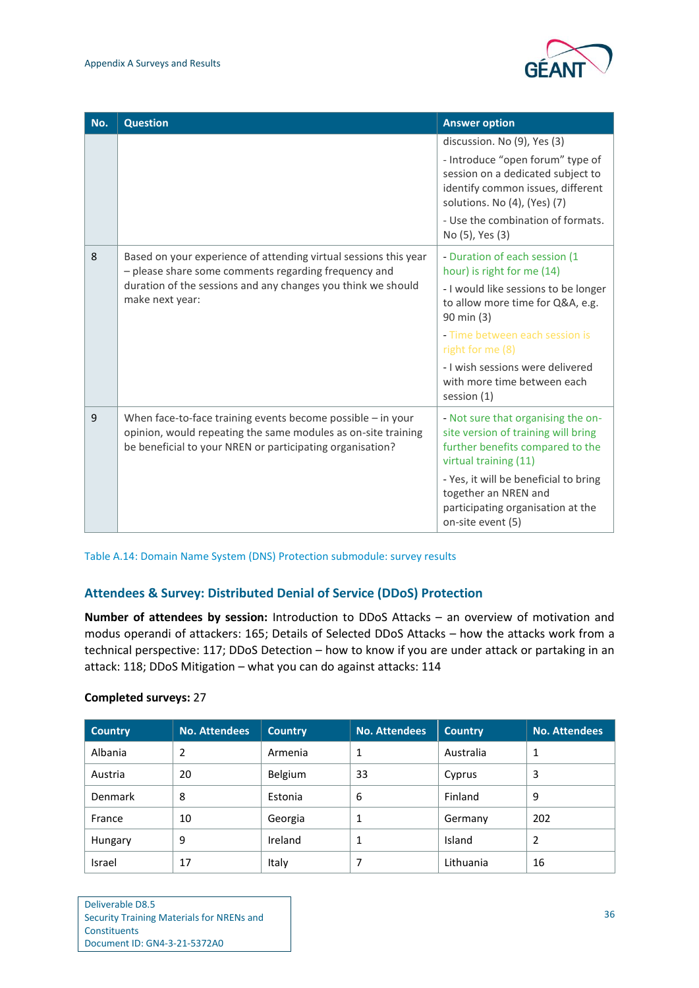

| No. | <b>Question</b>                                                                                                                                                                                             | <b>Answer option</b>                                                                                                                                                                                                                                                                          |
|-----|-------------------------------------------------------------------------------------------------------------------------------------------------------------------------------------------------------------|-----------------------------------------------------------------------------------------------------------------------------------------------------------------------------------------------------------------------------------------------------------------------------------------------|
|     |                                                                                                                                                                                                             | discussion. No (9), Yes (3)<br>- Introduce "open forum" type of<br>session on a dedicated subject to<br>identify common issues, different<br>solutions. No (4), (Yes) (7)<br>- Use the combination of formats.<br>No (5), Yes (3)                                                             |
| 8   | Based on your experience of attending virtual sessions this year<br>- please share some comments regarding frequency and<br>duration of the sessions and any changes you think we should<br>make next year: | - Duration of each session (1<br>hour) is right for me (14)<br>- I would like sessions to be longer<br>to allow more time for Q&A, e.g.<br>90 min (3)<br>- Time between each session is<br>right for me (8)<br>- I wish sessions were delivered<br>with more time between each<br>session (1) |
| 9   | When face-to-face training events become possible $-$ in your<br>opinion, would repeating the same modules as on-site training<br>be beneficial to your NREN or participating organisation?                 | - Not sure that organising the on-<br>site version of training will bring<br>further benefits compared to the<br>virtual training (11)<br>- Yes, it will be beneficial to bring<br>together an NREN and<br>participating organisation at the<br>on-site event (5)                             |

<span id="page-38-0"></span>Table A.14: Domain Name System (DNS) Protection submodule: survey results

#### **Attendees & Survey: Distributed Denial of Service (DDoS) Protection**

**Number of attendees by session:** Introduction to DDoS Attacks – an overview of motivation and modus operandi of attackers: 165; Details of Selected DDoS Attacks – how the attacks work from a technical perspective: 117; DDoS Detection – how to know if you are under attack or partaking in an attack: 118; DDoS Mitigation – what you can do against attacks: 114

| <b>Country</b> | <b>No. Attendees</b> | <b>Country</b> | <b>No. Attendees</b> | <b>Country</b> | <b>No. Attendees</b> |
|----------------|----------------------|----------------|----------------------|----------------|----------------------|
| Albania        | 2                    | Armenia        |                      | Australia      |                      |
| Austria        | 20                   | Belgium        | 33                   | Cyprus         | 3                    |
| <b>Denmark</b> | 8                    | Estonia        | 6                    | Finland        | 9                    |
| France         | 10                   | Georgia        |                      | Germany        | 202                  |
| Hungary        | 9                    | Ireland        |                      | Island         | 2                    |
| Israel         | 17                   | Italy          |                      | Lithuania      | 16                   |

#### **Completed surveys:** 27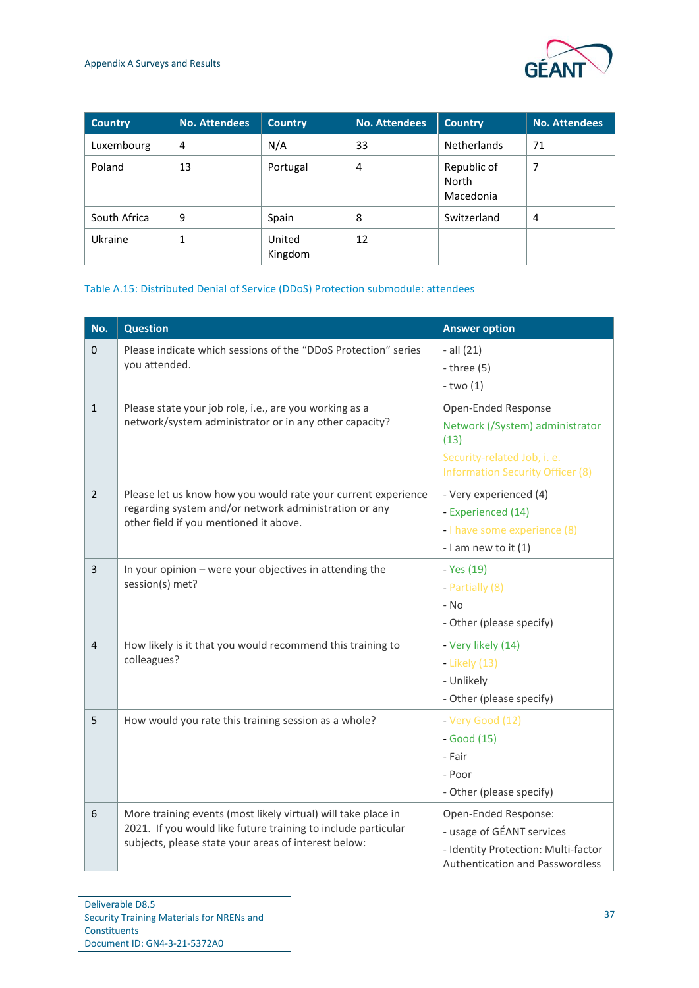

| <b>Country</b> | <b>No. Attendees</b> | <b>Country</b>    | <b>No. Attendees</b> | <b>Country</b>                    | <b>No. Attendees</b> |
|----------------|----------------------|-------------------|----------------------|-----------------------------------|----------------------|
| Luxembourg     | 4                    | N/A               | 33                   | <b>Netherlands</b>                | 71                   |
| Poland         | 13                   | Portugal          | 4                    | Republic of<br>North<br>Macedonia | 7                    |
| South Africa   | 9                    | Spain             | 8                    | Switzerland                       | 4                    |
| Ukraine        | ┸                    | United<br>Kingdom | 12                   |                                   |                      |

#### <span id="page-39-0"></span>Table A.15: Distributed Denial of Service (DDoS) Protection submodule: attendees

| No.            | <b>Question</b>                                                                                                                                                                        | <b>Answer option</b>                                                                                                                     |
|----------------|----------------------------------------------------------------------------------------------------------------------------------------------------------------------------------------|------------------------------------------------------------------------------------------------------------------------------------------|
| $\mathbf 0$    | Please indicate which sessions of the "DDoS Protection" series<br>you attended.                                                                                                        | $-$ all $(21)$<br>$-$ three $(5)$<br>$-two(1)$                                                                                           |
| $\mathbf{1}$   | Please state your job role, i.e., are you working as a<br>network/system administrator or in any other capacity?                                                                       | Open-Ended Response<br>Network (/System) administrator<br>(13)<br>Security-related Job, i. e.<br><b>Information Security Officer (8)</b> |
| $\overline{2}$ | Please let us know how you would rate your current experience<br>regarding system and/or network administration or any<br>other field if you mentioned it above.                       | - Very experienced (4)<br>- Experienced (14)<br>- I have some experience (8)<br>- I am new to it (1)                                     |
| 3              | In your opinion - were your objectives in attending the<br>session(s) met?                                                                                                             | - Yes (19)<br>- Partially (8)<br>- No<br>- Other (please specify)                                                                        |
| 4              | How likely is it that you would recommend this training to<br>colleagues?                                                                                                              | - Very likely (14)<br>- Likely (13)<br>- Unlikely<br>- Other (please specify)                                                            |
| 5              | How would you rate this training session as a whole?                                                                                                                                   | - Very Good (12)<br>$-Good(15)$<br>- Fair<br>- Poor<br>- Other (please specify)                                                          |
| 6              | More training events (most likely virtual) will take place in<br>2021. If you would like future training to include particular<br>subjects, please state your areas of interest below: | Open-Ended Response:<br>- usage of GÉANT services<br>- Identity Protection: Multi-factor<br>Authentication and Passwordless              |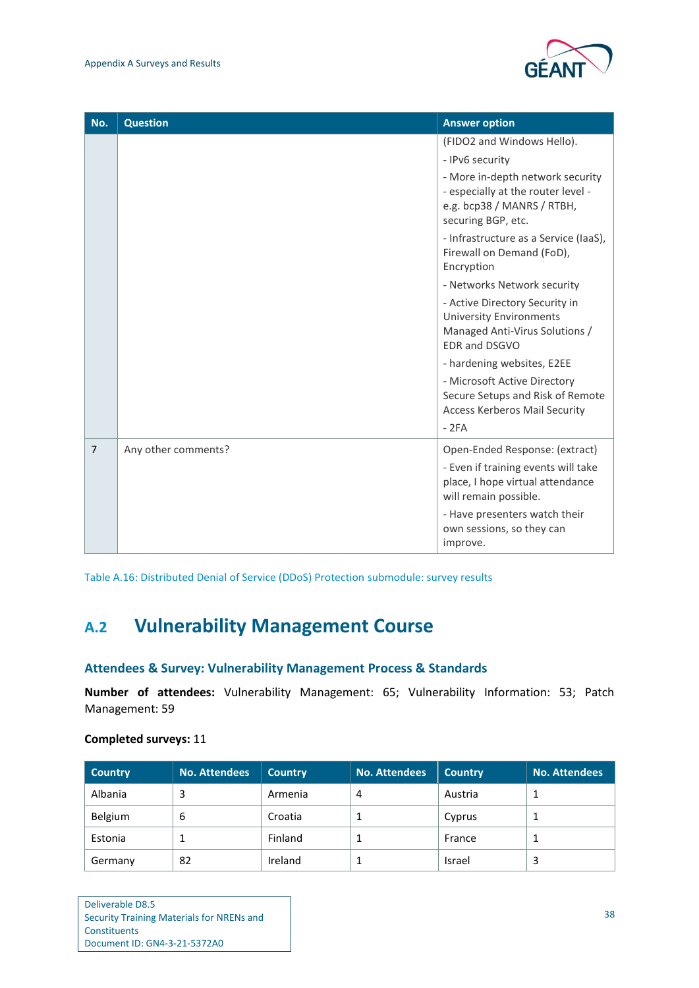

| No.            | <b>Question</b>     | <b>Answer option</b>                                                                                                       |
|----------------|---------------------|----------------------------------------------------------------------------------------------------------------------------|
|                |                     | (FIDO2 and Windows Hello).                                                                                                 |
|                |                     | - IPv6 security                                                                                                            |
|                |                     | - More in-depth network security<br>- especially at the router level -<br>e.g. bcp38 / MANRS / RTBH,<br>securing BGP, etc. |
|                |                     | - Infrastructure as a Service (IaaS),<br>Firewall on Demand (FoD),<br>Encryption                                           |
|                |                     | - Networks Network security                                                                                                |
|                |                     | - Active Directory Security in<br><b>University Environments</b><br>Managed Anti-Virus Solutions /<br>EDR and DSGVO        |
|                |                     | - hardening websites, E2EE                                                                                                 |
|                |                     | - Microsoft Active Directory<br>Secure Setups and Risk of Remote<br><b>Access Kerberos Mail Security</b><br>$-2FA$         |
| $\overline{7}$ | Any other comments? | Open-Ended Response: (extract)                                                                                             |
|                |                     | - Even if training events will take<br>place, I hope virtual attendance<br>will remain possible.                           |
|                |                     | - Have presenters watch their<br>own sessions, so they can<br>improve.                                                     |

<span id="page-40-1"></span>Table A.16: Distributed Denial of Service (DDoS) Protection submodule: survey results

### <span id="page-40-0"></span>**A.2 Vulnerability Management Course**

#### **Attendees & Survey: Vulnerability Management Process & Standards**

**Number of attendees:** Vulnerability Management: 65; Vulnerability Information: 53; Patch Management: 59

#### **Completed surveys:** 11

| <b>Country</b> | <b>No. Attendees</b> | <b>Country</b> | <b>No. Attendees</b> | <b>Country</b> | No. Attendees |
|----------------|----------------------|----------------|----------------------|----------------|---------------|
| Albania        | 3                    | Armenia        | 4                    | Austria        |               |
| Belgium        | 6                    | Croatia        |                      | Cyprus         |               |
| Estonia        |                      | Finland        |                      | France         |               |
| Germany        | 82                   | Ireland        |                      | Israel         | 3             |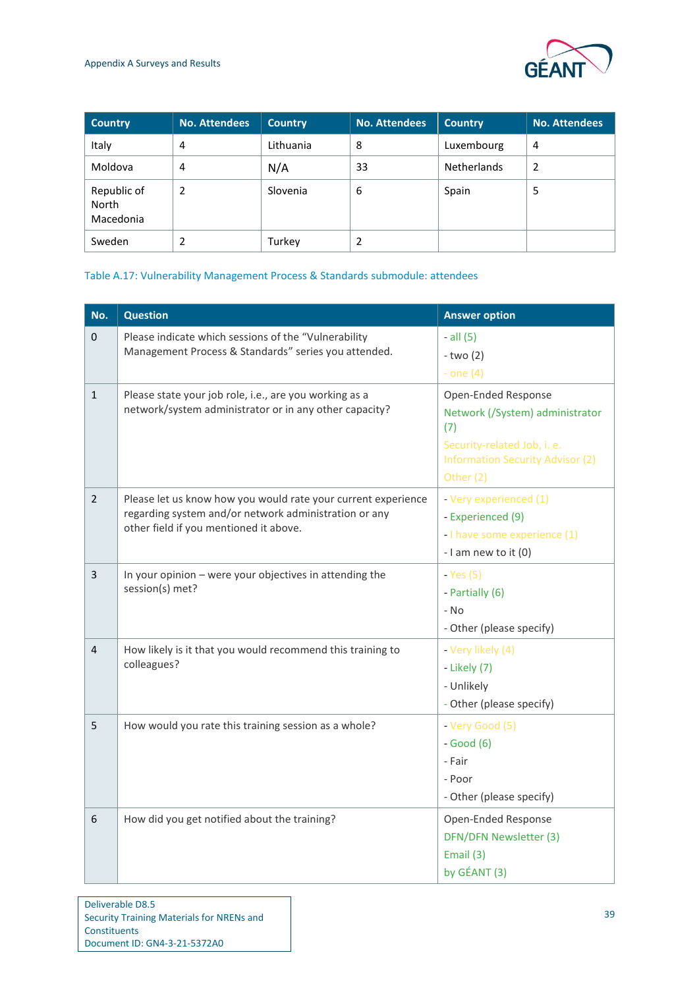

| <b>Country</b>                    | <b>No. Attendees</b> | <b>Country</b> | <b>No. Attendees</b> | <b>Country</b>     | <b>No. Attendees</b> |
|-----------------------------------|----------------------|----------------|----------------------|--------------------|----------------------|
| Italy                             | 4                    | Lithuania      | 8                    | Luxembourg         | $\overline{4}$       |
| Moldova                           | 4                    | N/A            | 33                   | <b>Netherlands</b> | 2                    |
| Republic of<br>North<br>Macedonia | 2                    | Slovenia       | 6                    | Spain              | 5                    |
| Sweden                            | 2                    | Turkey         |                      |                    |                      |

#### <span id="page-41-0"></span>Table A.17: Vulnerability Management Process & Standards submodule: attendees

| No.            | <b>Question</b>                                                                                                                                                  | <b>Answer option</b>                                                                                                                                 |
|----------------|------------------------------------------------------------------------------------------------------------------------------------------------------------------|------------------------------------------------------------------------------------------------------------------------------------------------------|
| $\pmb{0}$      | Please indicate which sessions of the "Vulnerability<br>Management Process & Standards" series you attended.                                                     | $-$ all $(5)$<br>$-two(2)$<br>- one $(4)$                                                                                                            |
| $\mathbf{1}$   | Please state your job role, i.e., are you working as a<br>network/system administrator or in any other capacity?                                                 | Open-Ended Response<br>Network (/System) administrator<br>(7)<br>Security-related Job, i. e.<br><b>Information Security Advisor (2)</b><br>Other (2) |
| $\overline{2}$ | Please let us know how you would rate your current experience<br>regarding system and/or network administration or any<br>other field if you mentioned it above. | - Very experienced (1)<br>- Experienced (9)<br>- I have some experience (1)<br>- I am new to it (0)                                                  |
| 3              | In your opinion - were your objectives in attending the<br>session(s) met?                                                                                       | $-Yes(5)$<br>- Partially (6)<br>$- NO$<br>- Other (please specify)                                                                                   |
| 4              | How likely is it that you would recommend this training to<br>colleagues?                                                                                        | - Very likely (4)<br>- Likely (7)<br>- Unlikely<br>- Other (please specify)                                                                          |
| 5              | How would you rate this training session as a whole?                                                                                                             | - Very Good (5)<br>$-Good(6)$<br>- Fair<br>- Poor<br>- Other (please specify)                                                                        |
| 6              | How did you get notified about the training?                                                                                                                     | Open-Ended Response<br>DFN/DFN Newsletter (3)<br>Email (3)<br>by GÉANT (3)                                                                           |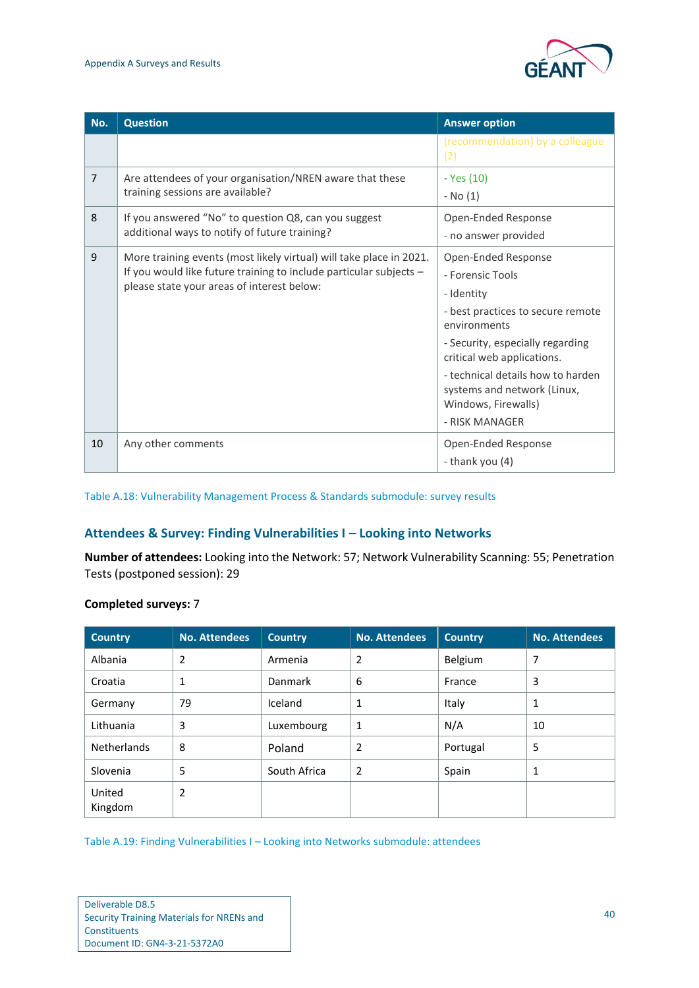

| No.            | <b>Question</b>                                                                                                                                                                         | <b>Answer option</b>                                                                                                                                                                                                                                                                      |
|----------------|-----------------------------------------------------------------------------------------------------------------------------------------------------------------------------------------|-------------------------------------------------------------------------------------------------------------------------------------------------------------------------------------------------------------------------------------------------------------------------------------------|
|                |                                                                                                                                                                                         | (recommendation) by a colleague<br>(2)                                                                                                                                                                                                                                                    |
| $\overline{7}$ | Are attendees of your organisation/NREN aware that these<br>training sessions are available?                                                                                            | - Yes (10)<br>- No (1)                                                                                                                                                                                                                                                                    |
| 8              | If you answered "No" to question Q8, can you suggest<br>additional ways to notify of future training?                                                                                   | Open-Ended Response<br>- no answer provided                                                                                                                                                                                                                                               |
| 9              | More training events (most likely virtual) will take place in 2021.<br>If you would like future training to include particular subjects -<br>please state your areas of interest below: | Open-Ended Response<br>- Forensic Tools<br>- Identity<br>- best practices to secure remote<br>environments<br>- Security, especially regarding<br>critical web applications.<br>- technical details how to harden<br>systems and network (Linux,<br>Windows, Firewalls)<br>- RISK MANAGER |
| 10             | Any other comments                                                                                                                                                                      | Open-Ended Response<br>- thank you (4)                                                                                                                                                                                                                                                    |

<span id="page-42-0"></span>Table A.18: Vulnerability Management Process & Standards submodule: survey results

#### **Attendees & Survey: Finding Vulnerabilities I – Looking into Networks**

**Number of attendees:** Looking into the Network: 57; Network Vulnerability Scanning: 55; Penetration Tests (postponed session): 29

| <b>Country</b>     | <b>No. Attendees</b> | <b>Country</b> | <b>No. Attendees</b> | <b>Country</b> | <b>No. Attendees</b> |
|--------------------|----------------------|----------------|----------------------|----------------|----------------------|
| Albania            | 2                    | Armenia        | 2                    | Belgium        | 7                    |
| Croatia            | 1                    | Danmark        | 6                    | France         | 3                    |
| Germany            | 79                   | Iceland        | 1                    | Italy          | 1                    |
| Lithuania          | 3                    | Luxembourg     | 1                    | N/A            | 10                   |
| <b>Netherlands</b> | 8                    | Poland         | 2                    | Portugal       | 5                    |
| Slovenia           | 5                    | South Africa   | 2                    | Spain          | 1                    |
| United<br>Kingdom  | 2                    |                |                      |                |                      |

#### **Completed surveys:** 7

<span id="page-42-1"></span>Table A.19: Finding Vulnerabilities I – Looking into Networks submodule: attendees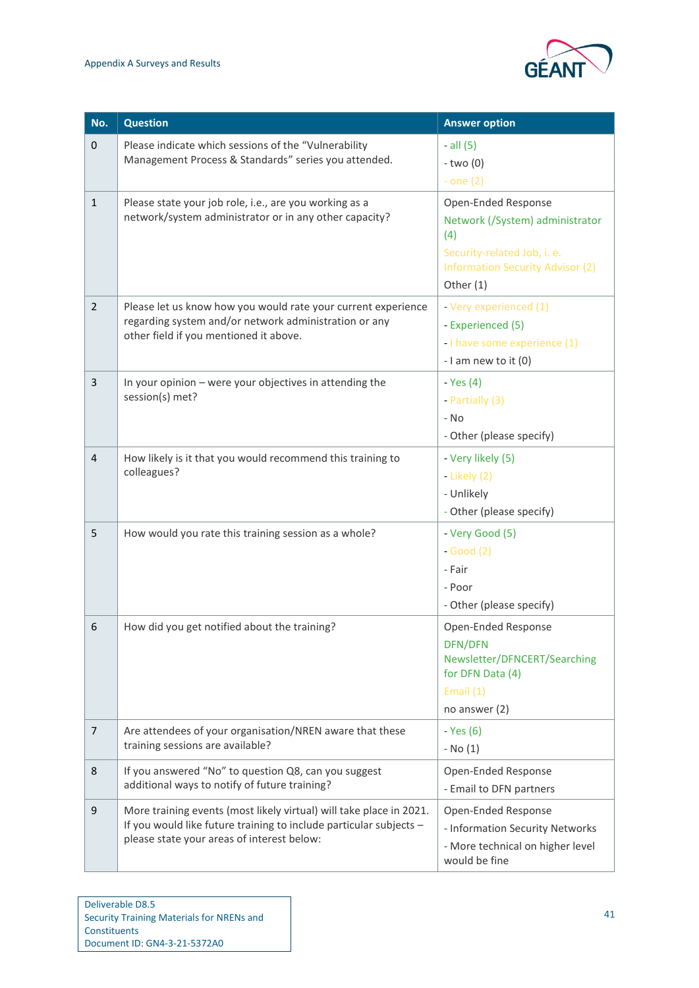

| No.            | <b>Question</b>                                                                                                                                                                         | <b>Answer option</b>                                                                                                                                 |
|----------------|-----------------------------------------------------------------------------------------------------------------------------------------------------------------------------------------|------------------------------------------------------------------------------------------------------------------------------------------------------|
| $\pmb{0}$      | Please indicate which sessions of the "Vulnerability<br>Management Process & Standards" series you attended.                                                                            | $-$ all $(5)$<br>$-two(0)$<br>- one $(2)$                                                                                                            |
| $\mathbf{1}$   | Please state your job role, i.e., are you working as a<br>network/system administrator or in any other capacity?                                                                        | Open-Ended Response<br>Network (/System) administrator<br>(4)<br>Security-related Job, i. e.<br><b>Information Security Advisor (2)</b><br>Other (1) |
| $\overline{2}$ | Please let us know how you would rate your current experience<br>regarding system and/or network administration or any<br>other field if you mentioned it above.                        | - Very experienced (1)<br>- Experienced (5)<br>- I have some experience (1)<br>- I am new to it (0)                                                  |
| 3              | In your opinion - were your objectives in attending the<br>session(s) met?                                                                                                              | - Yes $(4)$<br>- Partially (3)<br>- No<br>- Other (please specify)                                                                                   |
| $\overline{4}$ | How likely is it that you would recommend this training to<br>colleagues?                                                                                                               | - Very likely (5)<br>- Likely $(2)$<br>- Unlikely<br>- Other (please specify)                                                                        |
| 5              | How would you rate this training session as a whole?                                                                                                                                    | - Very Good (5)<br>$-Good(2)$<br>- Fair<br>- Poor<br>- Other (please specify)                                                                        |
| 6              | How did you get notified about the training?                                                                                                                                            | Open-Ended Response<br><b>DFN/DFN</b><br>Newsletter/DFNCERT/Searching<br>for DFN Data (4)<br>Email $(1)$<br>no answer $(2)$                          |
| $\overline{7}$ | Are attendees of your organisation/NREN aware that these<br>training sessions are available?                                                                                            | - Yes (6)<br>$-$ No $(1)$                                                                                                                            |
| 8              | If you answered "No" to question Q8, can you suggest<br>additional ways to notify of future training?                                                                                   | Open-Ended Response<br>- Email to DFN partners                                                                                                       |
| 9              | More training events (most likely virtual) will take place in 2021.<br>If you would like future training to include particular subjects -<br>please state your areas of interest below: | Open-Ended Response<br>- Information Security Networks<br>- More technical on higher level<br>would be fine                                          |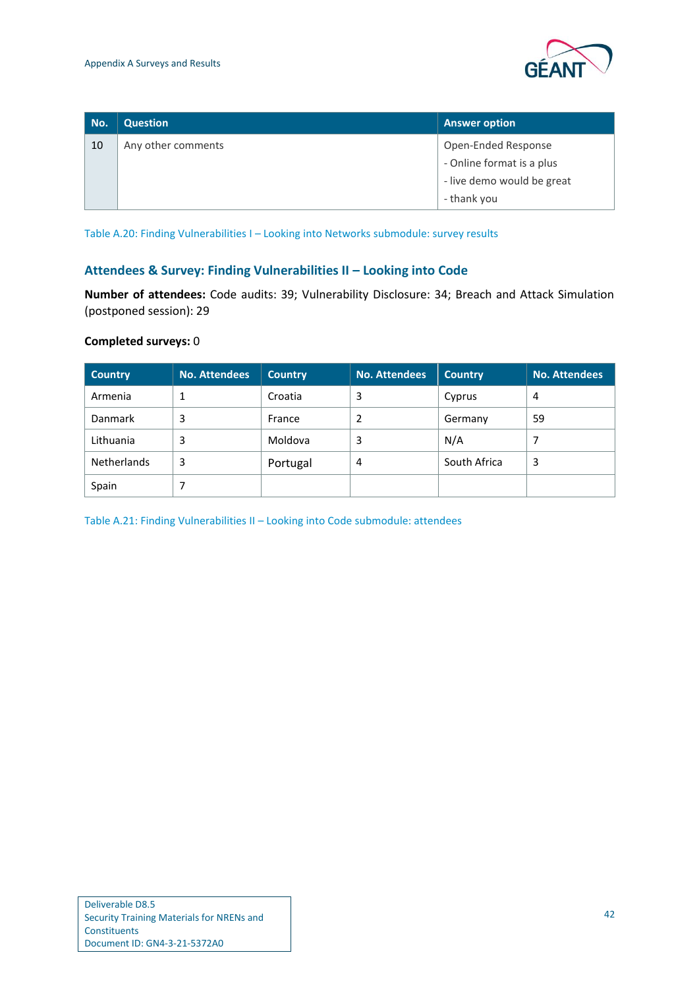

| No. | <b>Question</b>    | <b>Answer option</b>       |
|-----|--------------------|----------------------------|
| 10  | Any other comments | Open-Ended Response        |
|     |                    | - Online format is a plus  |
|     |                    | - live demo would be great |
|     |                    | - thank you                |

<span id="page-44-0"></span>Table A.20: Finding Vulnerabilities I – Looking into Networks submodule: survey results

#### **Attendees & Survey: Finding Vulnerabilities II – Looking into Code**

**Number of attendees:** Code audits: 39; Vulnerability Disclosure: 34; Breach and Attack Simulation (postponed session): 29

#### **Completed surveys:** 0

| <b>Country</b>     | <b>No. Attendees</b> | <b>Country</b> | <b>No. Attendees</b> | <b>Country</b> | <b>No. Attendees</b> |
|--------------------|----------------------|----------------|----------------------|----------------|----------------------|
| Armenia            |                      | Croatia        | 3                    | Cyprus         | 4                    |
| <b>Danmark</b>     | 3                    | France         |                      | Germany        | 59                   |
| Lithuania          | 3                    | Moldova        | 3                    | N/A            |                      |
| <b>Netherlands</b> | 3                    | Portugal       | 4                    | South Africa   | 3                    |
| Spain              |                      |                |                      |                |                      |

<span id="page-44-1"></span>Table A.21: Finding Vulnerabilities II – Looking into Code submodule: attendees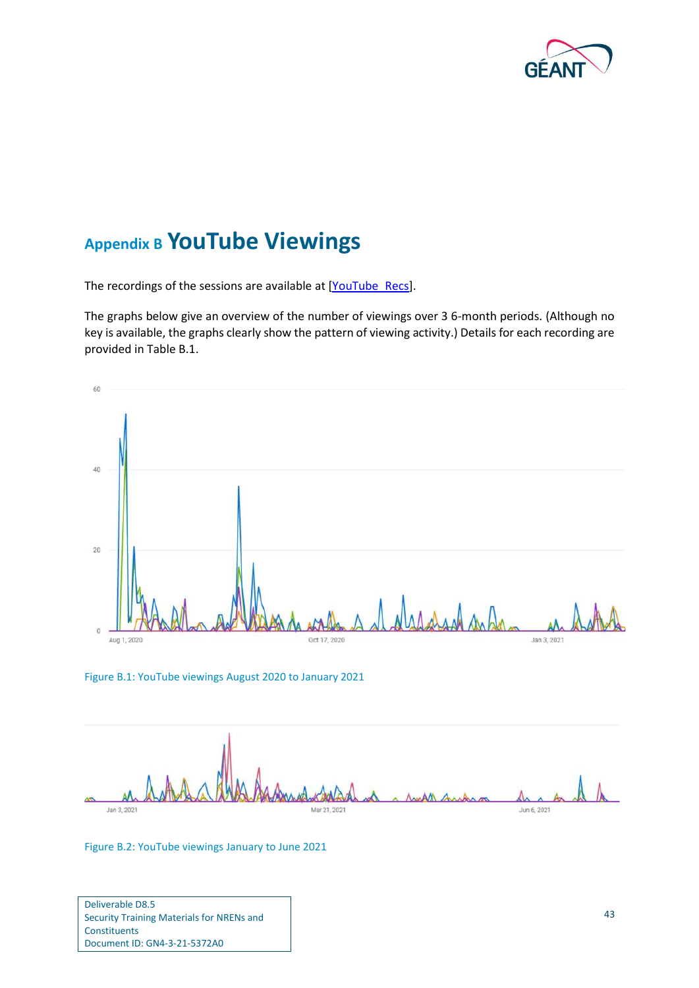

## <span id="page-45-0"></span>**Appendix B YouTube Viewings**

The recordings of the sessions are available at [\[YouTube\\_Recs\]](#page-49-6).

The graphs below give an overview of the number of viewings over 3 6-month periods. (Although no key is available, the graphs clearly show the pattern of viewing activity.) Details for each recording are provided in [Table B.1.](#page-47-0)



<span id="page-45-1"></span>



<span id="page-45-2"></span>Figure B.2: YouTube viewings January to June 2021

Deliverable D8.5 Security Training Materials for NRENs and Constituents Document ID: GN4-3-21-5372A0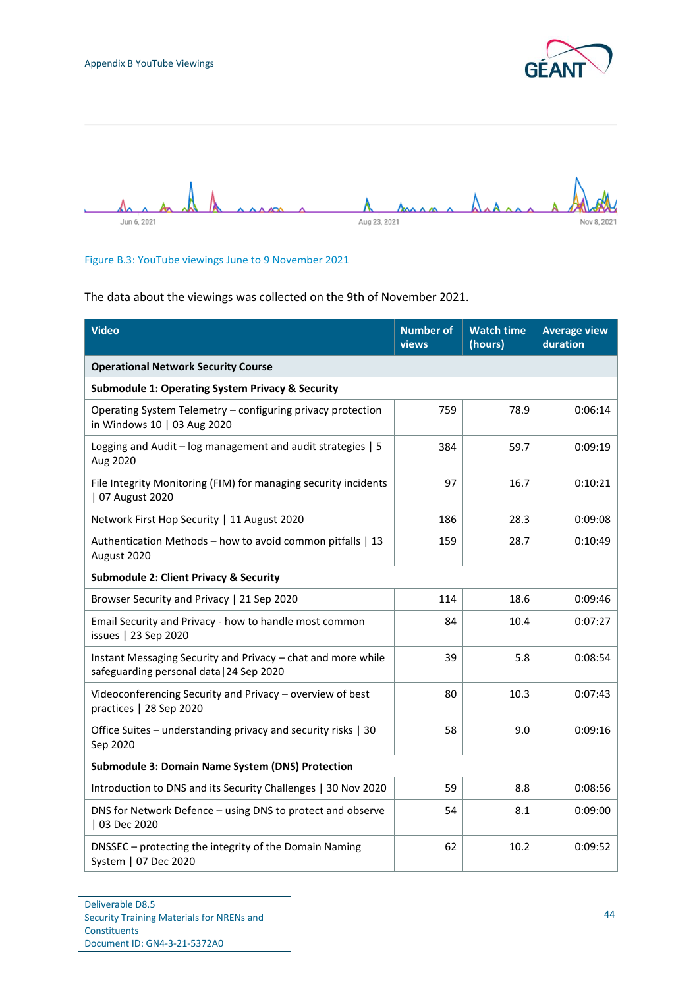



#### <span id="page-46-0"></span>Figure B.3: YouTube viewings June to 9 November 2021

The data about the viewings was collected on the 9th of November 2021.

| <b>Video</b>                                                                                             | <b>Number of</b><br>views | <b>Watch time</b><br>(hours) | <b>Average view</b><br>duration |
|----------------------------------------------------------------------------------------------------------|---------------------------|------------------------------|---------------------------------|
| <b>Operational Network Security Course</b>                                                               |                           |                              |                                 |
| <b>Submodule 1: Operating System Privacy &amp; Security</b>                                              |                           |                              |                                 |
| Operating System Telemetry - configuring privacy protection<br>in Windows 10   03 Aug 2020               | 759                       | 78.9                         | 0:06:14                         |
| Logging and Audit - log management and audit strategies   5<br>Aug 2020                                  | 384                       | 59.7                         | 0:09:19                         |
| File Integrity Monitoring (FIM) for managing security incidents<br>  07 August 2020                      | 97                        | 16.7                         | 0:10:21                         |
| Network First Hop Security   11 August 2020                                                              | 186                       | 28.3                         | 0:09:08                         |
| Authentication Methods - how to avoid common pitfalls   13<br>August 2020                                | 159                       | 28.7                         | 0:10:49                         |
| <b>Submodule 2: Client Privacy &amp; Security</b>                                                        |                           |                              |                                 |
| Browser Security and Privacy   21 Sep 2020                                                               | 114                       | 18.6                         | 0:09:46                         |
| Email Security and Privacy - how to handle most common<br>issues   23 Sep 2020                           | 84                        | 10.4                         | 0:07:27                         |
| Instant Messaging Security and Privacy - chat and more while<br>safeguarding personal data   24 Sep 2020 | 39                        | 5.8                          | 0:08:54                         |
| Videoconferencing Security and Privacy - overview of best<br>practices   28 Sep 2020                     | 80                        | 10.3                         | 0:07:43                         |
| Office Suites - understanding privacy and security risks   30<br>Sep 2020                                | 58                        | 9.0                          | 0:09:16                         |
| <b>Submodule 3: Domain Name System (DNS) Protection</b>                                                  |                           |                              |                                 |
| Introduction to DNS and its Security Challenges   30 Nov 2020                                            | 59                        | 8.8                          | 0:08:56                         |
| DNS for Network Defence - using DNS to protect and observe<br>  03 Dec 2020                              | 54                        | 8.1                          | 0:09:00                         |
| DNSSEC - protecting the integrity of the Domain Naming<br>System   07 Dec 2020                           | 62                        | 10.2                         | 0:09:52                         |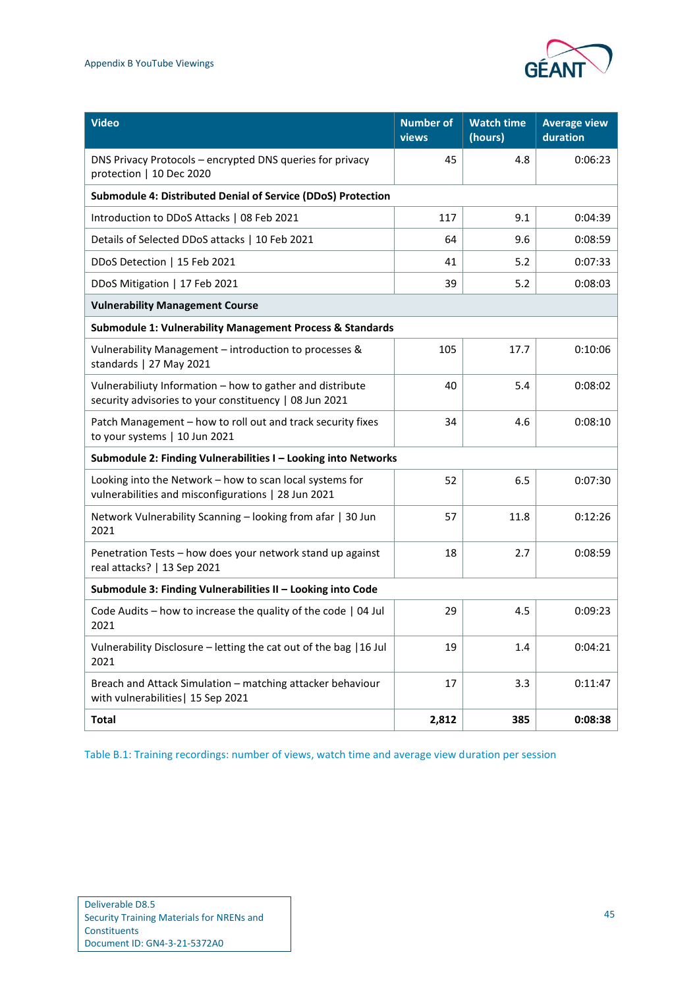

| <b>Video</b>                                                                                                        | <b>Number of</b><br>views | <b>Watch time</b><br>(hours) | <b>Average view</b><br>duration |
|---------------------------------------------------------------------------------------------------------------------|---------------------------|------------------------------|---------------------------------|
| DNS Privacy Protocols - encrypted DNS queries for privacy<br>protection   10 Dec 2020                               | 45                        | 4.8                          | 0:06:23                         |
| Submodule 4: Distributed Denial of Service (DDoS) Protection                                                        |                           |                              |                                 |
| Introduction to DDoS Attacks   08 Feb 2021                                                                          | 117                       | 9.1                          | 0:04:39                         |
| Details of Selected DDoS attacks   10 Feb 2021                                                                      | 64                        | 9.6                          | 0:08:59                         |
| DDoS Detection   15 Feb 2021                                                                                        | 41                        | 5.2                          | 0:07:33                         |
| DDoS Mitigation   17 Feb 2021                                                                                       | 39                        | 5.2                          | 0:08:03                         |
| <b>Vulnerability Management Course</b>                                                                              |                           |                              |                                 |
| <b>Submodule 1: Vulnerability Management Process &amp; Standards</b>                                                |                           |                              |                                 |
| Vulnerability Management - introduction to processes &<br>standards   27 May 2021                                   | 105                       | 17.7                         | 0:10:06                         |
| Vulnerabiliuty Information - how to gather and distribute<br>security advisories to your constituency   08 Jun 2021 | 40                        | 5.4                          | 0:08:02                         |
| Patch Management - how to roll out and track security fixes<br>to your systems   10 Jun 2021                        | 34                        | 4.6                          | 0:08:10                         |
| Submodule 2: Finding Vulnerabilities I - Looking into Networks                                                      |                           |                              |                                 |
| Looking into the Network - how to scan local systems for<br>vulnerabilities and misconfigurations   28 Jun 2021     | 52                        | 6.5                          | 0:07:30                         |
| Network Vulnerability Scanning - looking from afar   30 Jun<br>2021                                                 | 57                        | 11.8                         | 0:12:26                         |
| Penetration Tests - how does your network stand up against<br>real attacks?   13 Sep 2021                           | 18                        | 2.7                          | 0:08:59                         |
| Submodule 3: Finding Vulnerabilities II - Looking into Code                                                         |                           |                              |                                 |
| Code Audits - how to increase the quality of the code   04 Jul<br>2021                                              | 29                        | 4.5                          | 0:09:23                         |
| Vulnerability Disclosure - letting the cat out of the bag   16 Jul<br>2021                                          | 19                        | 1.4                          | 0:04:21                         |
| Breach and Attack Simulation - matching attacker behaviour<br>with vulnerabilities   15 Sep 2021                    | 17                        | 3.3                          | 0:11:47                         |
| <b>Total</b>                                                                                                        | 2,812                     | 385                          | 0:08:38                         |

<span id="page-47-0"></span>Table B.1: Training recordings: number of views, watch time and average view duration per session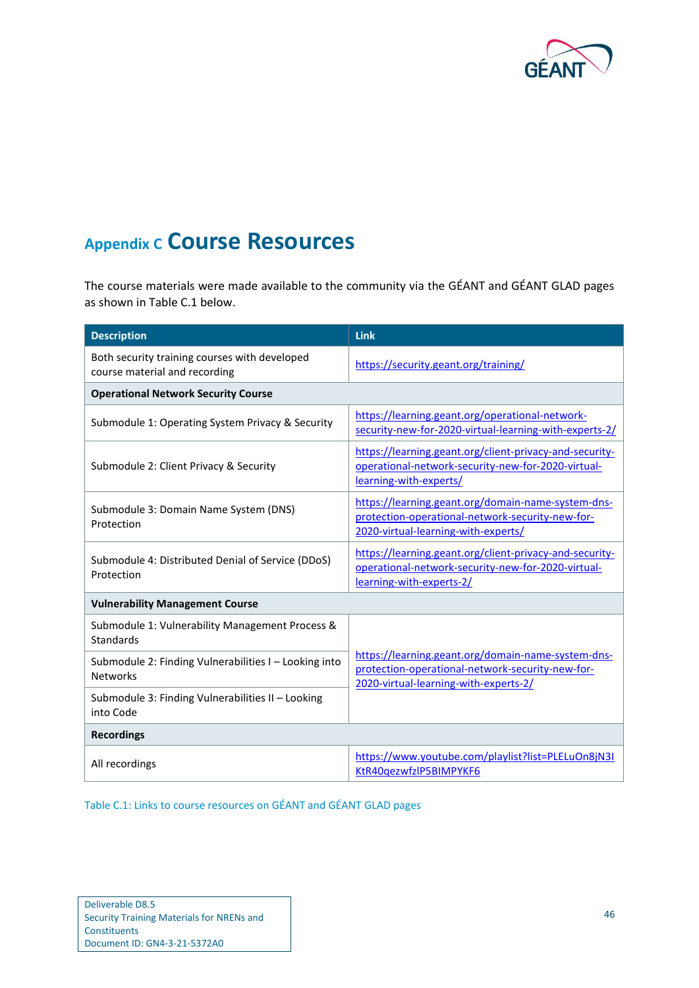

## <span id="page-48-0"></span>**Appendix C Course Resources**

The course materials were made available to the community via the GÉANT and GÉANT GLAD pages as shown in [Table C.1](#page-48-1) below.

| <b>Description</b>                                                             | Link                                                                                                                                            |  |
|--------------------------------------------------------------------------------|-------------------------------------------------------------------------------------------------------------------------------------------------|--|
| Both security training courses with developed<br>course material and recording | https://security.geant.org/training/                                                                                                            |  |
| <b>Operational Network Security Course</b>                                     |                                                                                                                                                 |  |
| Submodule 1: Operating System Privacy & Security                               | https://learning.geant.org/operational-network-<br>security-new-for-2020-virtual-learning-with-experts-2/                                       |  |
| Submodule 2: Client Privacy & Security                                         | https://learning.geant.org/client-privacy-and-security-<br>operational-network-security-new-for-2020-virtual-<br>learning-with-experts/         |  |
| Submodule 3: Domain Name System (DNS)<br>Protection                            | https://learning.geant.org/domain-name-system-dns-<br>protection-operational-network-security-new-for-<br>2020-virtual-learning-with-experts/   |  |
| Submodule 4: Distributed Denial of Service (DDoS)<br>Protection                | https://learning.geant.org/client-privacy-and-security-<br>operational-network-security-new-for-2020-virtual-<br>learning-with-experts-2/       |  |
| <b>Vulnerability Management Course</b>                                         |                                                                                                                                                 |  |
| Submodule 1: Vulnerability Management Process &<br><b>Standards</b>            |                                                                                                                                                 |  |
| Submodule 2: Finding Vulnerabilities I - Looking into<br><b>Networks</b>       | https://learning.geant.org/domain-name-system-dns-<br>protection-operational-network-security-new-for-<br>2020-virtual-learning-with-experts-2/ |  |
| Submodule 3: Finding Vulnerabilities II - Looking<br>into Code                 |                                                                                                                                                 |  |
| <b>Recordings</b>                                                              |                                                                                                                                                 |  |
| All recordings                                                                 | https://www.youtube.com/playlist?list=PLELuOn8jN3I<br>KtR40qezwfzlP5BIMPYKF6                                                                    |  |

<span id="page-48-1"></span>Table C.1: Links to course resources on GÉANT and GÉANT GLAD pages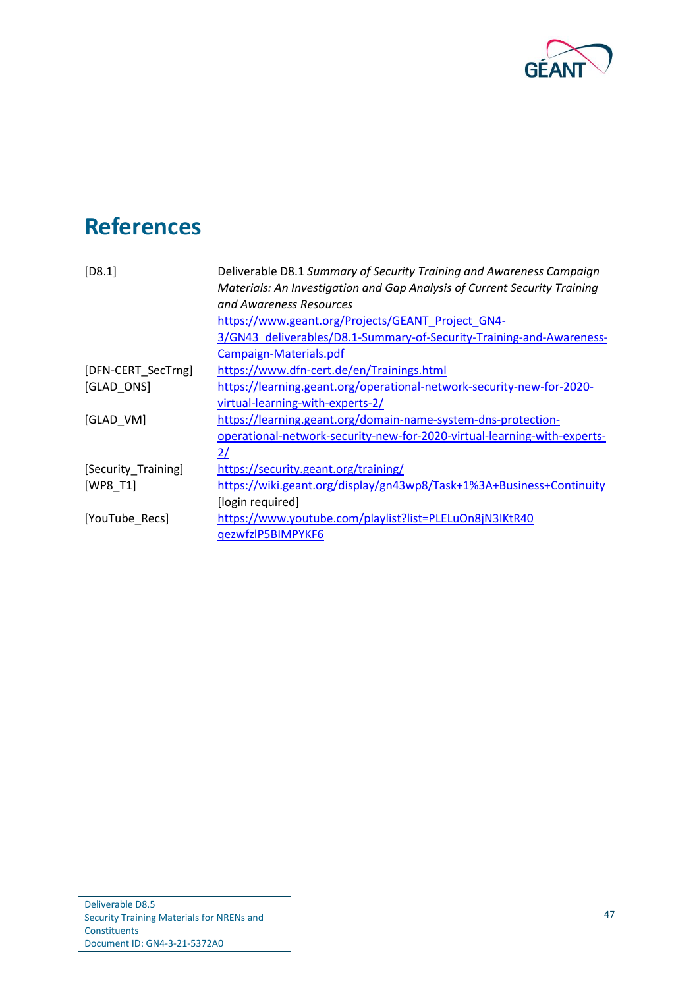

# <span id="page-49-0"></span>**References**

<span id="page-49-7"></span><span id="page-49-6"></span><span id="page-49-5"></span><span id="page-49-4"></span><span id="page-49-3"></span><span id="page-49-2"></span><span id="page-49-1"></span>

| $[D8.1]$            | Deliverable D8.1 Summary of Security Training and Awareness Campaign<br>Materials: An Investigation and Gap Analysis of Current Security Training<br>and Awareness Resources |
|---------------------|------------------------------------------------------------------------------------------------------------------------------------------------------------------------------|
|                     | https://www.geant.org/Projects/GEANT Project GN4-                                                                                                                            |
|                     | 3/GN43 deliverables/D8.1-Summary-of-Security-Training-and-Awareness-                                                                                                         |
|                     | Campaign-Materials.pdf                                                                                                                                                       |
| [DFN-CERT_SecTrng]  | https://www.dfn-cert.de/en/Trainings.html                                                                                                                                    |
| [GLAD ONS]          | https://learning.geant.org/operational-network-security-new-for-2020-                                                                                                        |
|                     | virtual-learning-with-experts-2/                                                                                                                                             |
| [GLAD VM]           | https://learning.geant.org/domain-name-system-dns-protection-                                                                                                                |
|                     | operational-network-security-new-for-2020-virtual-learning-with-experts-                                                                                                     |
|                     | 2/                                                                                                                                                                           |
| [Security_Training] | https://security.geant.org/training/                                                                                                                                         |
| [WP8 T1]            | https://wiki.geant.org/display/gn43wp8/Task+1%3A+Business+Continuity                                                                                                         |
|                     | [login required]                                                                                                                                                             |
| [YouTube Recs]      | https://www.youtube.com/playlist?list=PLELuOn8jN3IKtR40                                                                                                                      |
|                     | qezwfzlP5BIMPYKF6                                                                                                                                                            |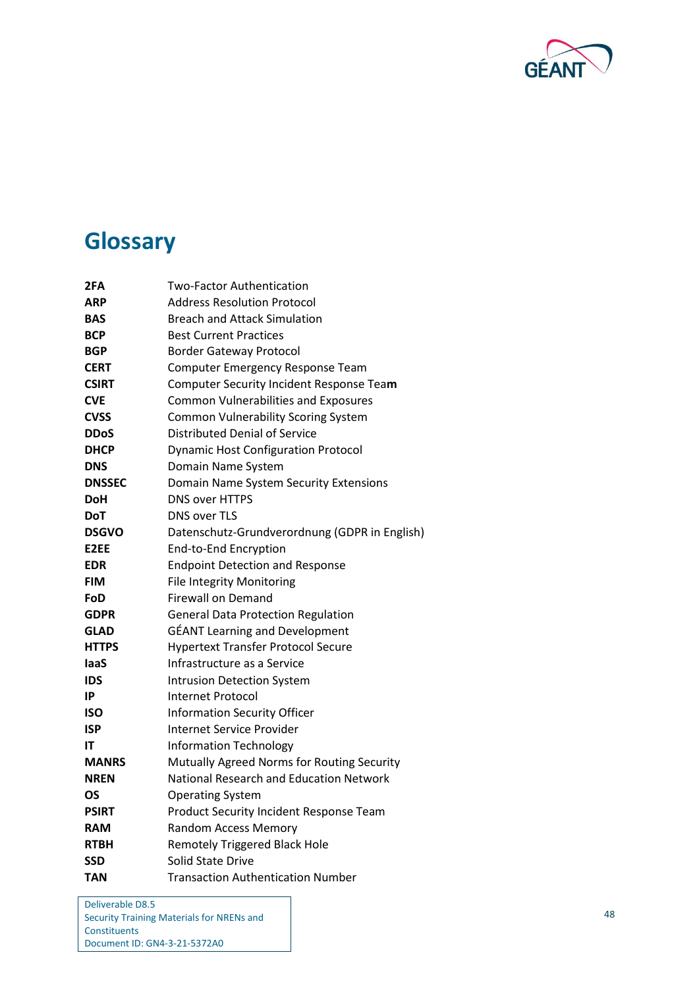

# <span id="page-50-0"></span>**Glossary**

| 2FA           | Two-Factor Authentication                      |
|---------------|------------------------------------------------|
| <b>ARP</b>    | Address Resolution Protocol                    |
| <b>BAS</b>    | <b>Breach and Attack Simulation</b>            |
| <b>BCP</b>    | <b>Best Current Practices</b>                  |
| <b>BGP</b>    | <b>Border Gateway Protocol</b>                 |
| <b>CERT</b>   | Computer Emergency Response Team               |
| <b>CSIRT</b>  | Computer Security Incident Response Team       |
| <b>CVE</b>    | <b>Common Vulnerabilities and Exposures</b>    |
| <b>CVSS</b>   | <b>Common Vulnerability Scoring System</b>     |
| <b>DDoS</b>   | <b>Distributed Denial of Service</b>           |
| <b>DHCP</b>   | <b>Dynamic Host Configuration Protocol</b>     |
| <b>DNS</b>    | Domain Name System                             |
| <b>DNSSEC</b> | Domain Name System Security Extensions         |
| <b>DoH</b>    | <b>DNS over HTTPS</b>                          |
| <b>DoT</b>    | <b>DNS over TLS</b>                            |
| <b>DSGVO</b>  | Datenschutz-Grundverordnung (GDPR in English)  |
| E2EE          | End-to-End Encryption                          |
| <b>EDR</b>    | <b>Endpoint Detection and Response</b>         |
| <b>FIM</b>    | <b>File Integrity Monitoring</b>               |
| FoD           | <b>Firewall on Demand</b>                      |
| <b>GDPR</b>   | <b>General Data Protection Regulation</b>      |
| <b>GLAD</b>   | <b>GÉANT Learning and Development</b>          |
| <b>HTTPS</b>  | <b>Hypertext Transfer Protocol Secure</b>      |
| laaS          | Infrastructure as a Service                    |
| IDS           | <b>Intrusion Detection System</b>              |
| IP            | Internet Protocol                              |
| <b>ISO</b>    | <b>Information Security Officer</b>            |
| <b>ISP</b>    | Internet Service Provider                      |
| IΤ            | <b>Information Technology</b>                  |
| <b>MANRS</b>  | Mutually Agreed Norms for Routing Security     |
| <b>NREN</b>   | <b>National Research and Education Network</b> |
| OS            | <b>Operating System</b>                        |
| <b>PSIRT</b>  | Product Security Incident Response Team        |
| <b>RAM</b>    | <b>Random Access Memory</b>                    |
| <b>RTBH</b>   | <b>Remotely Triggered Black Hole</b>           |
| <b>SSD</b>    | Solid State Drive                              |
| <b>TAN</b>    | <b>Transaction Authentication Number</b>       |

Deliverable D8.5 Security Training Materials for NRENs and **Constituents** Document ID: GN4-3-21-5372A0